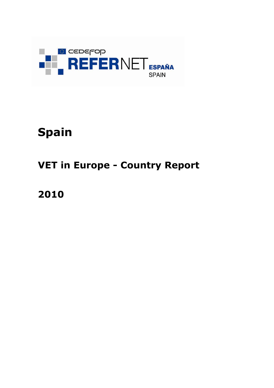

# **Spain**

# **VET in Europe - Country Report**

**2010**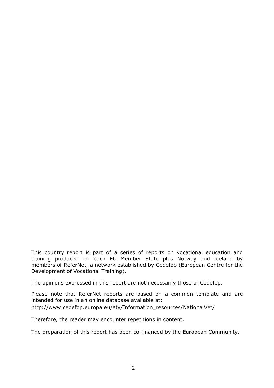This country report is part of a series of reports on vocational education and training produced for each EU Member State plus Norway and Iceland by members of ReferNet, a network established by Cedefop (European Centre for the Development of Vocational Training).

The opinions expressed in this report are not necessarily those of Cedefop.

Please note that ReferNet reports are based on a common template and are intended for use in an online database available at: [http://www.cedefop.europa.eu/etv/Information\\_resources/NationalVet/](http://www.cedefop.europa.eu/etv/Information_resources/NationalVet/)

Therefore, the reader may encounter repetitions in content.

The preparation of this report has been co-financed by the European Community.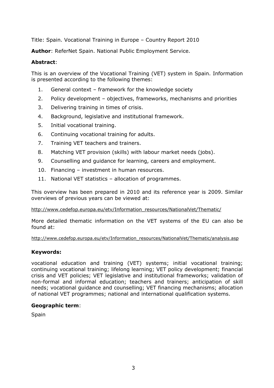Title: Spain. Vocational Training in Europe – Country Report 2010

**Author**: ReferNet Spain. National Public Employment Service.

## **Abstract**:

This is an overview of the Vocational Training (VET) system in Spain. Information is presented according to the following themes:

- 1. General context framework for the knowledge society
- 2. Policy development objectives, frameworks, mechanisms and priorities
- 3. Delivering training in times of crisis.
- 4. Background, legislative and institutional framework.
- 5. Initial vocational training.
- 6. Continuing vocational training for adults.
- 7. Training VET teachers and trainers.
- 8. Matching VET provision (skills) with labour market needs (jobs).
- 9. Counselling and guidance for learning, careers and employment.
- 10. Financing investment in human resources.
- 11. National VET statistics allocation of programmes.

This overview has been prepared in 2010 and its reference year is 2009. Similar overviews of previous years can be viewed at:

#### [http://www.cedefop.europa.eu/etv/Information\\_resources/NationalVet/Thematic/](http://www.cedefop.europa.eu/etv/Information_resources/NationalVet/Thematic)

More detailed thematic information on the VET systems of the EU can also be found at:

#### [http://www.cedefop.europa.eu/etv/Information\\_resources/NationalVet/Thematic/analysis.asp](http://www.cedefop.europa.eu/etv/Information_resources/NationalVet/Thematic/analysis.asp)

## **Keywords:**

vocational education and training (VET) systems; initial vocational training; continuing vocational training; lifelong learning; VET policy development; financial crisis and VET policies; VET legislative and institutional frameworks; validation of non-formal and informal education; teachers and trainers; anticipation of skill needs; vocational guidance and counselling; VET financing mechanisms; allocation of national VET programmes; national and international qualification systems.

## **Geographic term**:

Spain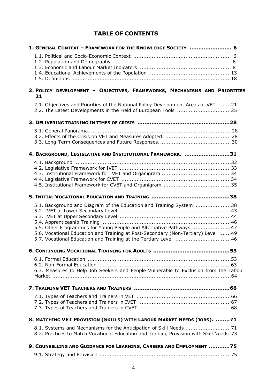# **TABLE OF CONTENTS**

| 1. GENERAL CONTEXT - FRAMEWORK FOR THE KNOWLEDGE SOCIETY  6                                                                                                                                                                                                                                      |
|--------------------------------------------------------------------------------------------------------------------------------------------------------------------------------------------------------------------------------------------------------------------------------------------------|
|                                                                                                                                                                                                                                                                                                  |
| 2. POLICY DEVELOPMENT - OBJECTIVES, FRAMEWORKS, MECHANISMS AND PRIORITIES<br>21                                                                                                                                                                                                                  |
| 2.1. Objectives and Priorities of the National Policy Development Areas of VET 21                                                                                                                                                                                                                |
|                                                                                                                                                                                                                                                                                                  |
|                                                                                                                                                                                                                                                                                                  |
| 4. BACKGROUND, LEGISLATIVE AND INSTITUTIONAL FRAMEWORK. 31                                                                                                                                                                                                                                       |
|                                                                                                                                                                                                                                                                                                  |
|                                                                                                                                                                                                                                                                                                  |
| 5.1. Background and Diagram of the Education and Training System 38<br>5.5. Other Programmes for Young People and Alternative Pathways 47<br>5.6. Vocational Education and Training at Post-Secondary (Non-Tertiary) Level 49<br>5.7. Vocational Education and Training at the Tertiary Level 46 |
| 6. CONTINUING VOCATIONAL TRAINING FOR ADULTS<br>53                                                                                                                                                                                                                                               |
| 6.3. Measures to Help Job Seekers and People Vulnerable to Exclusion from the Labour                                                                                                                                                                                                             |
|                                                                                                                                                                                                                                                                                                  |
|                                                                                                                                                                                                                                                                                                  |
| 8. MATCHING VET PROVISION (SKILLS) WITH LABOUR MARKET NEEDS (JOBS). 71                                                                                                                                                                                                                           |
| 8.1. Systems and Mechanisms for the Anticipation of Skill Needs 71<br>8.2. Practices to Match Vocational Education and Training Provision with Skill Needs 73                                                                                                                                    |
| 9. COUNSELLING AND GUIDANCE FOR LEARNING, CAREERS AND EMPLOYMENT 75                                                                                                                                                                                                                              |
|                                                                                                                                                                                                                                                                                                  |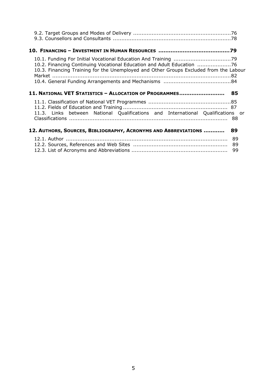| 10.2. Financing Continuing Vocational Education and Adult Education<br>10.3. Financing Training for the Unemployed and Other Groups Excluded from the Labour |                |
|--------------------------------------------------------------------------------------------------------------------------------------------------------------|----------------|
| 11. NATIONAL VET STATISTICS - ALLOCATION OF PROGRAMMES 85                                                                                                    |                |
| 11.3. Links between National Qualifications and International Qualifications or                                                                              |                |
| 12. AUTHORS, SOURCES, BIBLIOGRAPHY, ACRONYMS AND ABBREVIATIONS                                                                                               | 89             |
|                                                                                                                                                              | 89<br>89<br>99 |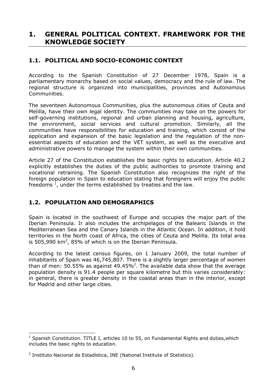# **1. GENERAL POLITICAL CONTEXT. FRAMEWORK FOR THE KNOWLEDGE SOCIETY**

## **1.1. POLITICAL AND SOCIO-ECONOMIC CONTEXT**

According to the Spanish Constitution of 27 December 1978, Spain is a parliamentary monarchy based on social values, democracy and the rule of law. The regional structure is organized into municipalities, provinces and Autonomous Communities.

<span id="page-5-1"></span>The seventeen Autonomous Communities, plus the autonomous cities of Ceuta and Melilla, have their own legal identity. The communities may take on the powers for self-governing institutions, regional and urban planning and housing, agriculture, the environment, social services and cultural promotion. Similarly, all the communities have responsibilities for education and training, which consist of the application and expansion of the basic legislation and the regulation of the nonessential aspects of education and the VET system, as well as the executive and administrative powers to manage the system within their own communities.

<span id="page-5-0"></span>Article 27 of the Constitution establishes the basic rights to education. Article 40.2 explicitly establishes the duties of the public authorities to promote training and vocational retraining. The Spanish Constitution also recognizes the right of the foreign population in Spain to education stating that foreigners will enjoy the public freedoms  $^1$ , under the terms established by treaties and the law.

## **1.2. POPULATION AND DEMOGRAPHICS**

Spain is located in the southwest of Europe and occupies the major part of the Iberian Peninsula. Ir also includes the archipelagos of the Balearic Islands in the Mediterranean Sea and the Canary Islands in the Atlantic Ocean. In addition, it hold territories in the North coast of Africa, the cities of Ceuta and Melilla. Its total area is 505,990 km<sup>2</sup>, 85% of which is on the Iberian Peninsula.

According to the latest census figures, on 1 January 2009, the total number of inhabitants of Spain was 46,745,807. There is a slightly larger percentage of women than of men: 50.55% as against 49.45%<sup>2</sup>. The available data show that the average population density is 91.4 people per square kilometre but this varies considerably: in general, there is greater density in the coastal areas than in the interior, except for Madrid and other large cities.

 $\overline{a}$ 

<sup>&</sup>lt;sup>1</sup> Spanish Constitution. TITLE I, articles 10 to 55, on Fundamental Rights and duties, which includes the basic rights to education.

<sup>&</sup>lt;sup>2</sup> Instituto Nacional de Estadística, INE (National Institute of Statistics).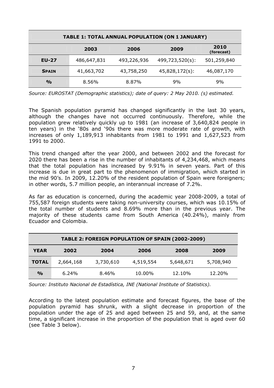| <b>TABLE 1: TOTAL ANNUAL POPULATION (ON 1 JANUARY)</b> |             |             |                 |                    |  |  |  |  |  |
|--------------------------------------------------------|-------------|-------------|-----------------|--------------------|--|--|--|--|--|
|                                                        | 2003        | 2006        | 2009            | 2010<br>(forecast) |  |  |  |  |  |
| <b>EU-27</b>                                           | 486,647,831 | 493,226,936 | 499,723,520(s): | 501,259,840        |  |  |  |  |  |
| <b>SPAIN</b>                                           | 41,663,702  | 43,758,250  | 45,828,172(s):  | 46,087,170         |  |  |  |  |  |
| $\frac{0}{0}$                                          | 8.56%       | 8.87%       | 9%              | 9%                 |  |  |  |  |  |

*Source: EUROSTAT (Demographic statistics); date of query: 2 May 2010. (s) estimated.*

The Spanish population pyramid has changed significantly in the last 30 years, although the changes have not occurred continuously. Therefore, while the population grew relatively quickly up to 1981 (an increase of 3,640,824 people in ten years) in the '80s and '90s there was more moderate rate of growth, with increases of only 1,189,913 inhabitants from 1981 to 1991 and 1,627,523 from 1991 to 2000.

This trend changed after the year 2000, and between 2002 and the forecast for 2020 there has been a rise in the number of inhabitants of 4,234,468, which means that the total population has increased by 9.91% in seven years. Part of this increase is due in great part to the phenomenon of immigration, which started in the mid 90's. In 2009, 12.20% of the resident population of Spain were foreigners; in other words, 5.7 million people, an interannual increase of 7.2%.

As far as education is concerned, during the academic year 2008-2009, a total of 755,587 foreign students were taking non-university courses, which was 10.15% of the total number of students and 8.69% more than in the previous year. The majority of these students came from South America (40.24%), mainly from Ecuador and Colombia.

| TABLE 2: FOREIGN POPULATION OF SPAIN (2002-2009) |           |           |           |           |           |  |  |  |  |  |
|--------------------------------------------------|-----------|-----------|-----------|-----------|-----------|--|--|--|--|--|
| <b>YEAR</b>                                      | 2002      | 2004      | 2006      | 2008      | 2009      |  |  |  |  |  |
| <b>TOTAL</b>                                     | 2,664,168 | 3,730,610 | 4,519,554 | 5,648,671 | 5,708,940 |  |  |  |  |  |
| $\frac{1}{2}$                                    | 6.24%     | 8.46%     | 10.00%    | 12.10%    | 12.20%    |  |  |  |  |  |

*Source: Instituto Nacional de Estadística, INE (National Institute of Statistics).*

According to the latest population estimate and forecast figures, the base of the population pyramid has shrunk, with a slight decrease in proportion of the population under the age of 25 and aged between 25 and 59, and, at the same time, a significant increase in the proportion of the population that is aged over 60 (see Table 3 below).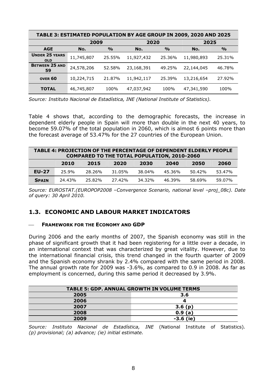| TABLE 3: ESTIMATED POPULATION BY AGE GROUP IN 2009, 2020 AND 2025 |                      |               |                      |               |            |               |  |  |  |  |
|-------------------------------------------------------------------|----------------------|---------------|----------------------|---------------|------------|---------------|--|--|--|--|
|                                                                   | 2009                 |               | 2020                 |               | 2025       |               |  |  |  |  |
| <b>AGE</b>                                                        | No.                  | $\frac{O}{O}$ | No.                  | $\frac{O}{O}$ | No.        | $\frac{0}{0}$ |  |  |  |  |
| <b>UNDER 25 YEARS</b><br><b>OLD</b>                               | 11,745,807           | 25.55%        | 11,927,432           | 25.36%        | 11,980,893 | 25.31%        |  |  |  |  |
| <b>BETWEEN 25 AND</b><br>59                                       | 24,578,206<br>52.58% |               | 23,168,391<br>49.25% |               | 22,144,045 | 46.78%        |  |  |  |  |
| OVER <sub>60</sub>                                                | 10,224,715           | 21.87%        | 11,942,117           | 25.39%        | 13,216,654 | 27.92%        |  |  |  |  |
| <b>TOTAL</b>                                                      | 46,745,807           | 100%          | 47,037,942           | 100%          | 47,341,590 | 100%          |  |  |  |  |

*Source: Instituto Nacional de Estadística, INE (National Institute of Statistics).*

Table 4 shows that, according to the demographic forecasts, the increase in dependent elderly people in Spain will more than double in the next 40 years, to become 59.07% of the total population in 2060, which is almost 6 points more than the forecast average of 53.47% for the 27 countries of the European Union.

| <b>TABLE 4: PROJECTION OF THE PERCENTAGE OF DEPENDENT ELDERLY PEOPLE</b><br><b>COMPARED TO THE TOTAL POPULATION, 2010-2060</b> |        |        |        |        |        |           |        |  |  |  |
|--------------------------------------------------------------------------------------------------------------------------------|--------|--------|--------|--------|--------|-----------|--------|--|--|--|
|                                                                                                                                | 2010   | 2015   | 2020   | 2030   | 2040   | 2050      | 2060   |  |  |  |
| <b>EU-27</b>                                                                                                                   | 25.9%  | 28.26% | 31.05% | 38.04% | 45.36% | $50.42\%$ | 53.47% |  |  |  |
| <b>SPAIN</b>                                                                                                                   | 24.43% | 25.82% | 27.42% | 34.32% | 46.39% | 58.69%    | 59.07% |  |  |  |

*Source: EUROSTAT.(EUROPOP2008 –Convergence Scenario, national level –proj\_08c). Date of query: 30 April 2010.*

## <span id="page-7-0"></span>**1.3. ECONOMIC AND LABOUR MARKET INDICATORS**

#### **FRAMEWORK FOR THE ECONOMY AND GDP**

During 2006 and the early months of 2007, the Spanish economy was still in the phase of significant growth that it had been registering for a little over a decade, in an international context that was characterized by great vitality. However, due to the international financial crisis, this trend changed in the fourth quarter of 2009 and the Spanish economy shrank by 2.4% compared with the same period in 2008. The annual growth rate for 2009 was -3.6%, as compared to 0.9 in 2008. As far as employment is concerned, during this same period it decreased by 3.9%.

| <b>TABLE 5: GDP. ANNUAL GROWTH IN VOLUME TERMS</b> |             |  |  |  |  |  |  |  |  |
|----------------------------------------------------|-------------|--|--|--|--|--|--|--|--|
| 2005<br>3.6                                        |             |  |  |  |  |  |  |  |  |
| 2006                                               |             |  |  |  |  |  |  |  |  |
| 2007                                               | 3.6(p)      |  |  |  |  |  |  |  |  |
| 2008                                               | 0.9(a)      |  |  |  |  |  |  |  |  |
| 2009                                               | $-3.6$ (ie) |  |  |  |  |  |  |  |  |

*Source: Instituto Nacional de Estadística, INE* (National Institute of Statistics)*. (p) provisional; (a) advance; (ie) initial estimate.*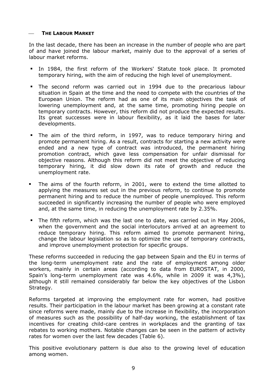#### ⎯ **THE LABOUR MARKET**

In the last decade, there has been an increase in the number of people who are part of and have joined the labour market, mainly due to the approval of a series of labour market reforms.

- In 1984, the first reform of the Workers' Statute took place. It promoted temporary hiring, with the aim of reducing the high level of unemployment.
- The second reform was carried out in 1994 due to the precarious labour situation in Spain at the time and the need to compete with the countries of the European Union. The reform had as one of its main objectives the task of lowering unemployment and, at the same time, promoting hiring people on temporary contracts. However, this reform did not produce the expected results. Its great successes were in labour flexibility, as it laid the bases for later developments.
- The aim of the third reform, in 1997, was to reduce temporary hiring and promote permanent hiring. As a result, contracts for starting a new activity were ended and a new type of contract was introduced, the permanent hiring promotion contract, which gave less compensation for unfair dismissal for objective reasons. Although this reform did not meet the objective of reducing temporary hiring, it did slow down its rate of growth and reduce the unemployment rate.
- The aims of the fourth reform, in 2001, were to extend the time allotted to applying the measures set out in the previous reform, to continue to promote permanent hiring and to reduce the number of people unemployed. This reform succeeded in significantly increasing the number of people who were employed and, at the same time, in reducing the unemployment rate by 2.35%.
- The fifth reform, which was the last one to date, was carried out in May 2006, when the government and the social interlocutors arrived at an agreement to reduce temporary hiring. This reform aimed to promote permanent hiring, change the labour legislation so as to optimize the use of temporary contracts, and improve unemployment protection for specific groups.

These reforms succeeded in reducing the gap between Spain and the EU in terms of the long-term unemployment rate and the rate of employment among older workers, mainly in certain areas (according to data from EUROSTAT, in 2000, Spain's long-term unemployment rate was 4.6%, while in 2009 it was 4,3%), although it still remained considerably far below the key objectives of the Lisbon Strategy.

Reforms targeted at improving the employment rate for women, had positive results. Their participation in the labour market has been growing at a constant rate since reforms were made, mainly due to the increase in flexibility, the incorporation of measures such as the possibility of half-day working, the establishment of tax incentives for creating child-care centres in workplaces and the granting of tax rebates to working mothers. Notable changes can be seen in the pattern of activity rates for women over the last few decades (Table 6).

This positive evolutionary pattern is due also to the growing level of education among women.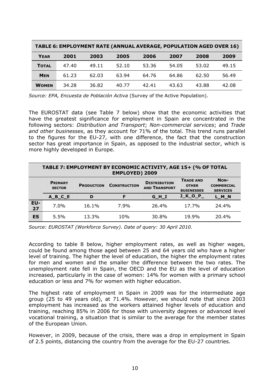| TABLE 6: EMPLOYMENT RATE (ANNUAL AVERAGE, POPULATION AGED OVER 16) |       |       |       |       |       |       |       |  |  |
|--------------------------------------------------------------------|-------|-------|-------|-------|-------|-------|-------|--|--|
| <b>YEAR</b>                                                        | 2001  | 2003  | 2005  | 2006  | 2007  | 2008  | 2009  |  |  |
| <b>TOTAL</b>                                                       | 47.40 | 49.11 | 52.10 | 53.36 | 54.05 | 53.02 | 49.15 |  |  |
| <b>MEN</b>                                                         | 61.23 | 62.03 | 63.94 | 64.76 | 64.86 | 62.50 | 56.49 |  |  |
| <b>WOMEN</b>                                                       | 34.28 | 36.82 | 40.77 | 42.41 | 43.63 | 43.88 | 42.08 |  |  |

*Source: EPA, Encuesta de Población Activa* (Survey of the Active Population).

The EUROSTAT data (see Table 7 below) show that the economic activities that have the greatest significance for employment in Spain are concentrated in the following sectors: *Distribution and Transport*; *Non-commercial services*; and *Trade and other businesses*, as they account for 71% of the total. This trend runs parallel to the figures for the EU-27, with one difference, the fact that the construction sector has great importance in Spain, as opposed to the industrial sector, which is more highly developed in Europe.

|           | TABLE 7: EMPLOYMENT BY ECONOMIC ACTIVITY, AGE 15+ (% OF TOTAL<br><b>EMPLOYED) 2009</b> |                   |                     |                                             |                                                       |                                              |  |  |  |  |
|-----------|----------------------------------------------------------------------------------------|-------------------|---------------------|---------------------------------------------|-------------------------------------------------------|----------------------------------------------|--|--|--|--|
|           | <b>PRIMARY</b><br><b>SECTOR</b>                                                        | <b>PRODUCTION</b> | <b>CONSTRUCTION</b> | <b>DISTRIBUTION</b><br><b>AND TRANSPORT</b> | <b>TRADE AND</b><br><b>OTHER</b><br><b>BUSINESSES</b> | NON-<br><b>COMMERCIAL</b><br><b>SERVICES</b> |  |  |  |  |
|           | $A$ $B$ $C$ $E$                                                                        | D                 | F                   | $G$ $H$ <sup>I</sup>                        | <b>J_K_O_P_</b>                                       | $L$ $M$ $N$                                  |  |  |  |  |
| EU-<br>27 | 7.0%                                                                                   | 16.1%             | 7.9%                | 26.4%                                       | 17.7%                                                 | 24.4%                                        |  |  |  |  |
| <b>ES</b> | 5.5%                                                                                   | 13.3%             | 10%                 | 30.8%                                       | 19.9%                                                 | 20.4%                                        |  |  |  |  |

*Source: EUROSTAT (Workforce Survey). Date of query: 30 April 2010.*

According to table 8 below, higher employment rates, as well as higher wages, could be found among those aged between 25 and 64 years old who have a higher level of training. The higher the level of education, the higher the employment rates for men and women and the smaller the difference between the two rates. The unemployment rate fell in Spain, the OECD and the EU as the level of education increased, particularly in the case of women: 14% for women with a primary school education or less and 7% for women with higher education.

The highest rate of employment in Spain in 2009 was for the intermediate age group (25 to 49 years old), at 71.4%. However, we should note that since 2003 employment has increased as the workers attained higher levels of education and training, reaching 85% in 2006 for those with university degrees or advanced level vocational training, a situation that is similar to the average for the member states of the European Union.

However, in 2009, because of the crisis, there was a drop in employment in Spain of 2.5 points, distancing the country from the average for the EU-27 countries.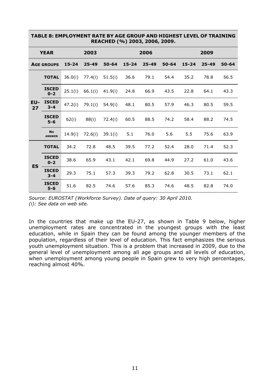|           | KEALNED (70) ZUUS, ZUUG, ZUUY. |           |           |           |           |           |           |           |           |           |  |
|-----------|--------------------------------|-----------|-----------|-----------|-----------|-----------|-----------|-----------|-----------|-----------|--|
|           | <b>YEAR</b>                    |           | 2003      |           |           | 2006      |           |           | 2009      |           |  |
|           | <b>AGE GROUPS</b>              | $15 - 24$ | $25 - 49$ | $50 - 64$ | $15 - 24$ | $25 - 49$ | $50 - 64$ | $15 - 24$ | $25 - 49$ | $50 - 64$ |  |
|           | <b>TOTAL</b>                   | 36.0(i)   | 77.4(i)   | 51.5(i)   | 36.6      | 79.1      | 54.4      | 35.2      | 78.8      | 56.5      |  |
| EU-<br>27 | <b>ISCED</b><br>$0 - 2$        | 25.1(i)   | 66.1(i)   | 41.9(i)   | 24.8      | 66.9      | 43.5      | 22.8      | 64.1      | 43.3      |  |
|           | <b>ISCED</b><br>$3 - 4$        | 47.2(i)   | 79.1(i)   | 54.9(i)   | 48.1      | 80.5      | 57.9      | 46.3      | 80.5      | 59.5      |  |
|           | <b>ISCED</b><br>$5 - 6$        | 62(i)     | 88(i)     | 72.4(i)   | 60.5      | 88.5      | 74.2      | 58.4      | 88.2      | 74.5      |  |
|           | <b>No</b><br><b>ANSWER</b>     | 14.9(i)   | 72.6(i)   | 39.1(i)   | 5.1       | 76.0      | 5.6       | 5.5       | 75.6      | 63.9      |  |
|           | <b>TOTAL</b>                   | 34.2      | 72.8      | 48.5      | 39.5      | 77.2      | 52.4      | 28.0      | 71.4      | 52.3      |  |
| <b>ES</b> | <b>ISCED</b><br>$0 - 2$        | 38.6      | 65.9      | 43.1      | 42.1      | 69.8      | 44.9      | 27.2      | 61.0      | 43.6      |  |
|           | <b>ISCED</b><br>$3 - 4$        | 29.3      | 75.1      | 57.3      | 39.3      | 79.2      | 62.8      | 30.5      | 73.1      | 62.1      |  |
|           | <b>ISCED</b><br>5-6            | 51.6      | 82.5      | 74.6      | 57.6      | 85.3      | 74.6      | 48.5      | 82.8      | 74.0      |  |

#### **TABLE 8: EMPLOYMENT RATE BY AGE GROUP AND HIGHEST LEVEL OF TRAINING REACHED (%) 2003, 2006, 2009.**

In the countries that make up the EU-27, as shown in Table 9 below, higher unemployment rates are concentrated in the youngest groups with the least education, while in Spain they can be found among the younger members of the population, regardless of their level of education. This fact emphasizes the serious youth unemployment situation. This is a problem that increased in 2009, due to the general level of unemployment among all age groups and all levels of education, when unemployment among young people in Spain grew to very high percentages, reaching almost 40%.

*Source: EUROSTAT (Workforce Survey). Date of query: 30 April 2010. (i): See data on web site.*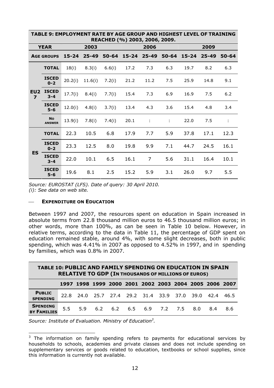|                                            | בטו בבאבב טו וולמבוזנוזט<br>REACHED (%) 2003, 2006, 2009. |           |           |           |           |                |       |           |           |       |  |
|--------------------------------------------|-----------------------------------------------------------|-----------|-----------|-----------|-----------|----------------|-------|-----------|-----------|-------|--|
|                                            | <b>YEAR</b>                                               |           | 2003      |           |           | 2006           |       |           | 2009      |       |  |
|                                            | <b>AGE GROUPS</b>                                         | $15 - 24$ | $25 - 49$ | $50 - 64$ | $15 - 24$ | $25 - 49$      | 50-64 | $15 - 24$ | $25 - 49$ | 50-64 |  |
|                                            | <b>TOTAL</b>                                              | 18(i)     | 8.3(i)    | 6.6(i)    | 17.2      | 7.3            | 6.3   | 19.7      | 8.2       | 6.3   |  |
|                                            | <b>ISCED</b><br>$0 - 2$                                   | 20.2(i)   | 11.6(i)   | 7.2(i)    | 21.2      | 11.2           | 7.5   | 25.9      | 14.8      | 9.1   |  |
| EU <sub>2</sub><br>$\overline{\mathbf{z}}$ | <b>ISCED</b><br>$3 - 4$                                   | 17.7(i)   | 8.4(i)    | 7.7(i)    | 15.4      | 7.3            | 6.9   | 16.9      | 7.5       | $6.2$ |  |
|                                            | <b>ISCED</b><br>$5 - 6$                                   | 12.0(i)   | 4.8(i)    | 3.7(i)    | 13.4      | 4.3            | 3.6   | 15.4      | 4.8       | 3.4   |  |
|                                            | <b>No</b><br><b>ANSWER</b>                                | 13.9(i)   | 7.8(i)    | 7.4(i)    | 20.1      | ÷              | ÷     | 22.0      | 7.5       | ÷     |  |
|                                            | <b>TOTAL</b>                                              | 22.3      | 10.5      | 6.8       | 17.9      | 7.7            | 5.9   | 37.8      | 17.1      | 12.3  |  |
|                                            | <b>ISCED</b><br>$0 - 2$                                   | 23.3      | 12.5      | 8.0       | 19.8      | 9.9            | 7.1   | 44.7      | 24.5      | 16.1  |  |
| <b>ES</b>                                  | <b>ISCED</b><br>$3 - 4$                                   | 22.0      | 10.1      | 6.5       | 16.1      | $\overline{7}$ | 5.6   | 31.1      | 16.4      | 10.1  |  |
|                                            | <b>ISCED</b><br>$5 - 6$                                   | 19.6      | 8.1       | 2.5       | 15.2      | 5.9            | 3.1   | 26.0      | 9.7       | 5.5   |  |

**TABLE 9: EMPLOYMENT RATE BY AGE GROUP AND HIGHEST LEVEL OF TRAINING**

*Source: EUROSTAT (LFS). Date of query: 30 April 2010. (i): See data on web site.*

#### **EXPENDITURE ON EDUCATION**

Between 1997 and 2007, the resources spent on education in Spain increased in absolute terms from 22.8 thousand million euros to 46.5 thousand million euros; in other words, more than 100%, as can be seen in Table 10 below. However, in relative terms, according to the data in Table 11, the percentage of GDP spent on education remained stable, around 4%, with some slight decreases, both in public spending, which was 4.41% in 2007 as opposed to 4.52% in 1997, and in spending by families, which was 0.8% in 2007.

| <b>TABLE 10: PUBLIC AND FAMILY SPENDING ON EDUCATION IN SPAIN</b><br><b>RELATIVE TO GDP (IN THOUSANDS OF MILLIONS OF EUROS)</b> |     |  |  |  |  |                                                        |  |  |  |     |     |
|---------------------------------------------------------------------------------------------------------------------------------|-----|--|--|--|--|--------------------------------------------------------|--|--|--|-----|-----|
|                                                                                                                                 |     |  |  |  |  | 1997 1998 1999 2000 2001 2002 2003 2004 2005 2006 2007 |  |  |  |     |     |
| <b>PUBLIC</b><br><b>SPENDING</b>                                                                                                |     |  |  |  |  | 22.8 24.0 25.7 27.4 29.2 31.4 33.9 37.0 39.0 42.4 46.5 |  |  |  |     |     |
| <b>SPENDING</b><br><b>BY FAMILIES</b>                                                                                           | 5.5 |  |  |  |  | 5.9 6.2 6.2 6.5 6.9 7.2 7.5 8.0                        |  |  |  | 8.4 | 8.6 |

*Source: Institute of Evaluation. Ministry of Education3 .* 

 $\overline{a}$  $3$  The information on family spending refers to payments for educational services by households to schools, academies and private classes and does not include spending on supplementary services or goods related to education, textbooks or school supplies, since this information is currently not available.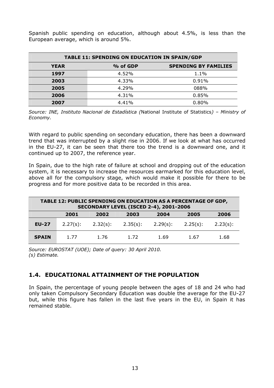Spanish public spending on education, although about 4.5%, is less than the European average, which is around 5%.

| <b>TABLE 11: SPENDING ON EDUCATION IN SPAIN/GDP</b>    |       |       |  |  |  |  |  |  |
|--------------------------------------------------------|-------|-------|--|--|--|--|--|--|
| <b>SPENDING BY FAMILIES</b><br>% of GDP<br><b>YEAR</b> |       |       |  |  |  |  |  |  |
| 1997                                                   | 4.52% | 1.1%  |  |  |  |  |  |  |
| 2003                                                   | 4.33% | 0.91% |  |  |  |  |  |  |
| 2005                                                   | 4.29% | 088%  |  |  |  |  |  |  |
| 2006                                                   | 4.31% | 0.85% |  |  |  |  |  |  |
| 2007                                                   | 4.41% | 0.80% |  |  |  |  |  |  |

*Source: INE, Instituto Nacional de Estadística (*National Institute of Statistics*) – Ministry of Economy.*

With regard to public spending on secondary education, there has been a downward trend that was interrupted by a slight rise in 2006. If we look at what has occurred in the EU-27, it can be seen that there too the trend is a downward one, and it continued up to 2007, the reference year.

In Spain, due to the high rate of failure at school and dropping out of the education system, it is necessary to increase the resources earmarked for this education level, above all for the compulsory stage, which would make it possible for there to be progress and for more positive data to be recorded in this area.

| <b>TABLE 12: PUBLIC SPENDING ON EDUCATION AS A PERCENTAGE OF GDP,</b><br><b>SECONDARY LEVEL (ISCED 2-4), 2001-2006</b> |             |             |             |          |             |             |  |
|------------------------------------------------------------------------------------------------------------------------|-------------|-------------|-------------|----------|-------------|-------------|--|
|                                                                                                                        | 2001        | 2002        | 2003        | 2004     | 2005        | 2006        |  |
| <b>EU-27</b>                                                                                                           | $2.27(s)$ : | $2.32(s)$ : | $2.35(s)$ : | 2.29(s): | $2.25(s)$ : | $2.23(s)$ : |  |
| <b>SPAIN</b>                                                                                                           | 1.77        | 1.76        | 1.72        | 1.69     | 1.67        | 1.68        |  |

*Source: EUROSTAT (UOE); Date of query: 30 April 2010. (s) Estimate.*

## **1.4. EDUCATIONAL ATTAINMENT OF THE POPULATION**

In Spain, the percentage of young people between the ages of 18 and 24 who had only taken Compulsory Secondary Education was double the average for the EU-27 but, while this figure has fallen in the last five years in the EU, in Spain it has remained stable.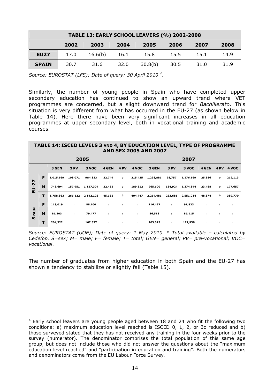| <b>TABLE 13: EARLY SCHOOL LEAVERS (%) 2002-2008</b> |      |         |      |         |      |      |      |  |
|-----------------------------------------------------|------|---------|------|---------|------|------|------|--|
|                                                     | 2002 | 2003    | 2004 | 2005    | 2006 | 2007 | 2008 |  |
| <b>EU27</b>                                         | 17.0 | 16.6(b) | 16.1 | 15.8    | 15.5 | 15.1 | 14.9 |  |
| <b>SPAIN</b>                                        | 30.7 | 31.6    | 32.0 | 30.8(b) | 30.5 | 31.0 | 31.9 |  |

*Source: EUROSTAT (LFS); Date of query: 30 April 2010 4 .*

Similarly, the number of young people in Spain who have completed upper secondary education has continued to show an upward trend where VET programmes are concerned, but a slight downward trend for *Bachillerato*. This situation is very different from what has occurred in the EU-27 (as shown below in Table 14). Here there have been very significant increases in all education programmes at upper secondary level, both in vocational training and academic courses.

| TABLE 14: ISCED LEVELS 3 AND 4, BY EDUCATION LEVEL, TYPE OF PROGRAMME |
|-----------------------------------------------------------------------|
| <b>AND SEX 2005 AND 2007</b>                                          |

|                            |   |           |         | 2005      |        |      |         |           |         | 2007      |        |             |         |
|----------------------------|---|-----------|---------|-----------|--------|------|---------|-----------|---------|-----------|--------|-------------|---------|
|                            |   | 3 GEN     | 3 PV    | 3 VOC     | 4 GEN  | 4 PV | 4 VOC   | 3 GEN     | 3 PV    | 3 VOC     | 4 GEN  | <b>4 PV</b> | 4 VOC   |
| N                          | F | 1,015,169 | 108,071 | 984,823   | 22,749 | 0    | 215,435 | 1,298,881 | 98,757  | 1,176,169 | 25,386 | 0           | 212,113 |
| $\mathbf{\mathsf{N}}$<br>∍ | M | 743,694   | 157,951 | 1,157,304 | 22,432 | 0    | 189,312 | 965,600   | 134,924 | 1,374,844 | 23,488 | 0           | 177,657 |
| ш                          | т | 1,758,863 | 266,122 | 2,142,128 | 45,182 | 0    | 404,747 | 2,264,481 | 233,681 | 2,551,014 | 48,874 | $\mathbf 0$ | 389,770 |
|                            | F | 118,019   | ÷.      | 88,100    | ÷.     | ÷    | ÷       | 116,497   | ÷       | 91,823    | ÷      | ÷           | ÷       |
| PAIN                       | M | 86,303    | ÷       | 79,477    | п.     | ÷    | ÷.      | 86,518    | ÷       | 86,115    | ÷      | ÷           | ÷       |
| <b>5</b>                   | т | 204,322   | ÷       | 167,577   | ÷.     | ÷    | ÷       | 203,015   | ÷       | 177,938   | ÷.     | ÷           | ÷.      |

*Source: EUROSTAT (UOE); Date of query: 1 May 2010. \* Total available – calculated by Cedefop. S=sex; M= male; F= female; T= total; GEN= general; PV= pre-vocational; VOC= vocational*.

The number of graduates from higher education in both Spain and the EU-27 has shown a tendency to stabilize or slightly fall (Table 15).

 $\overline{a}$ 

<sup>&</sup>lt;sup>4</sup> Early school leavers are young people aged between 18 and 24 who fit the following two conditions: a) maximum education level reached is ISCED 0, 1, 2, or 3c reduced and b) those surveyed stated that they has not received any training in the four weeks prior to the survey (numerator). The denominator comprises the total population of this same age group, but does not include those who did not answer the questions about the "maximum education level reached" and "participation in education and training". Both the numerators and denominators come from the EU Labour Force Survey*.*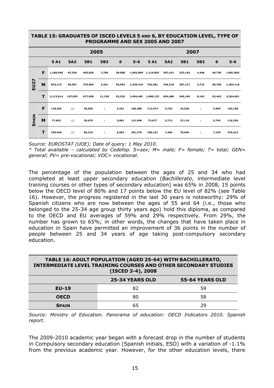#### **TABLE 15: GRADUATES OF ISCED LEVELS 5 AND 6, BY EDUCATION LEVEL, TYPE OF PROGRAMME AND SEX 2005 AND 2007**

|              | 2005 |           |            |            |                 |        |           | 2007      |            |            |                 |        |           |
|--------------|------|-----------|------------|------------|-----------------|--------|-----------|-----------|------------|------------|-----------------|--------|-----------|
|              |      | 5A1       | <b>5A2</b> | <b>5B1</b> | 5B <sub>2</sub> | 6      | $5 - 6$   | 5A1       | <b>5A2</b> | <b>5B1</b> | 5B <sub>2</sub> | 6      | $5 - 6$   |
|              | F    | 1,189,646 | 87,526     | 403,026    | 7,709           | 39,068 | 1,993,899 | 1,114,803 | 397,431    | 332,154    | 4,448           | 40,736 | 1,891,803 |
| <b>EU27</b>  | M    | 876,113   | 69,567     | 270,994    | 3,441           | 50,963 | 1,439,416 | 792,381   | 249,218    | 207,117    | 3,715           | 50,700 | 1,304,118 |
|              |      | 2,113,614 | 157,093    | 677,990    | 11,150          | 92,525 | 3,494,481 | 1,960,132 | 654,480    | 545,166    | 8,163           | 93,442 | 3,264,601 |
|              | F    | 118,293   | :(i)       | 45,635     | ÷               | 3,221  | 169,380   | 112,474   | 4,753      | 42,526     | ÷               | 3,405  | 163,158   |
| <b>SPAIN</b> | M    | 77,653    | :(i)       | 39,675     | ٠.              | 3,681  | 121,996   | 72,677    | 2,713      | 37,119     | ÷               | 3,745  | 116,254   |
|              | т    | 195,946   | :(i)       | 85,310     | ÷               | 6,902  | 291,376   | 185,151   | 7,466      | 79,645     | ÷               | 7,150  | 279,412   |

*Source: EUROSTAT (UOE); Date of query: 1 May 2010.* 

*\* Total available – calculated by Cedefop. S=sex; M= male; F= female; T= total; GEN= general; PV= pre-vocational; VOC= vocational.*

The percentage of the population between the ages of 25 and 34 who had completed at least upper secondary education (*Bachillerato*, intermediate level training courses or other types of secondary education) was 65% in 2008, 15 points below the OECD level of 80% and 17 points below the EU level of 82% (see Table 16). However, the progress registered in the last 30 years is noteworthy: 29% of Spanish citizens who are now between the ages of 55 and 64 (i.e., those who belonged to the 25-34 age group thirty years ago) hold this diploma, as compared to the OECD and EU averages of 59% and 29% respectively. From 29%, the number has grown to 65%; in other words, the changes that have taken place in education in Spain have permitted an improvement of 36 points in the number of people between 25 and 34 years of age taking post-compulsory secondary education.

#### **TABLE 16: ADULT POPULATION (AGED 25-64) WITH BACHILLERATO, INTERMEDIATE LEVEL TRAINING COURSES AND OTHER SECONDARY STUDIES (ISCED 3-4), 2008**

|              | <b>25-34 YEARS OLD</b> | 55-64 YEARS OLD |
|--------------|------------------------|-----------------|
| $EU-19$      | 82                     | 59              |
| <b>OECD</b>  | 80                     | 58              |
| <b>SPAIN</b> | 65                     | 29              |

*Source: Ministry of Education. Panorama of education: OECD Indicators 2010. Spanish report.*

The 2009-2010 academic year began with a forecast drop in the number of students in Compulsory secondary education (Spanish initials, ESO) with a variation of  $-1.1\%$ from the previous academic year. However, for the other education levels, there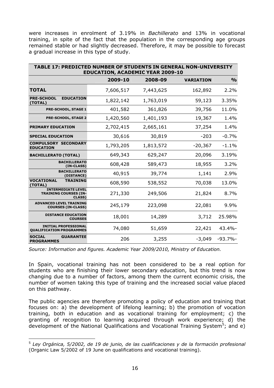were increases in enrolment of 3.19% in *Bachillerato* and 13% in vocational training, in spite of the fact that the population in the corresponding age groups remained stable or had slightly decreased. Therefore, it may be possible to forecast a gradual increase in this type of study.

| TABLE 17: PREDICTED NUMBER OF STUDENTS IN GENERAL NON-UNIVERSITY<br><b>EDUCATION, ACADEMIC YEAR 2009-10</b> |           |           |                  |               |  |  |  |  |
|-------------------------------------------------------------------------------------------------------------|-----------|-----------|------------------|---------------|--|--|--|--|
|                                                                                                             | 2009-10   | 2008-09   | <b>VARIATION</b> | $\frac{0}{0}$ |  |  |  |  |
| <b>TOTAL</b>                                                                                                | 7,606,517 | 7,443,625 | 162,892          | 2.2%          |  |  |  |  |
| <b>PRE-SCHOOL</b><br><b>EDUCATION</b><br>(TOTAL)                                                            | 1,822,142 | 1,763,019 | 59,123           | 3.35%         |  |  |  |  |
| PRE-SCHOOL, STAGE 1                                                                                         | 401,582   | 361,826   | 39,756           | 11.0%         |  |  |  |  |
| <b>PRE-SCHOOL, STAGE 2</b>                                                                                  | 1,420,560 | 1,401,193 | 19,367           | 1.4%          |  |  |  |  |
| <b>PRIMARY EDUCATION</b>                                                                                    | 2,702,415 | 2,665,161 | 37,254           | 1.4%          |  |  |  |  |
| <b>SPECIAL EDUCATION</b>                                                                                    | 30,616    | 30,819    | $-203$           | $-0.7%$       |  |  |  |  |
| <b>COMPULSORY SECONDARY</b><br><b>EDUCATION</b>                                                             | 1,793,205 | 1,813,572 | $-20,367$        | $-1.1%$       |  |  |  |  |
| <b>BACHILLERATO (TOTAL)</b>                                                                                 | 649,343   | 629,247   | 20,096           | 3.19%         |  |  |  |  |
| <b>BACHILLERATO</b><br>(IN-CLASS)                                                                           | 608,428   | 589,473   | 18,955           | 3.2%          |  |  |  |  |
| <b>BACHILLERATO</b><br>(DISTANCE)                                                                           | 40,915    | 39,774    | 1,141            | 2.9%          |  |  |  |  |
| <b>VOCATIONAL</b><br>TRAINING<br>(TOTAL)                                                                    | 608,590   | 538,552   | 70,038           | 13.0%         |  |  |  |  |
| <b>INTERMEDIATE LEVEL</b><br><b>TRAINING COURSES (IN-</b><br><b>CLASS</b> )                                 | 271,330   | 249,506   | 21,824           | 8.7%          |  |  |  |  |
| <b>ADVANCED LEVEL TRAINING</b><br><b>COURSES (IN-CLASS)</b>                                                 | 245,179   | 223,098   | 22,081           | 9.9%          |  |  |  |  |
| <b>DISTANCE EDUCATION</b><br><b>COURSES</b>                                                                 | 18,001    | 14,289    | 3,712            | 25.98%        |  |  |  |  |
| <b>INITIAL PROFESSIONAL</b><br><b>QUALIFICATION PROGRAMMES</b>                                              | 74,080    | 51,659    | 22,421           | $43.4% -$     |  |  |  |  |
| <b>SOCIAL</b><br><b>GUARANTEE</b><br><b>PROGRAMMES</b>                                                      | 206       | 3,255     | $-3,049$         | $-93.7\%$     |  |  |  |  |

*Source: Information and figures. Academic Year 2009/2010, Ministry of Education.*

In Spain, vocational training has not been considered to be a real option for students who are finishing their lower secondary education, but this trend is now changing due to a number of factors, among them the current economic crisis, the number of women taking this type of training and the increased social value placed on this pathway.

The public agencies are therefore promoting a policy of education and training that focuses on: a) the development of lifelong learning; b) the promotion of vocation training, both in education and as vocational training for employment; c) the granting of recognition to learning acquired through work experience; d) the development of the National Qualifications and Vocational Training System<sup>5</sup>; and e)

 $\overline{a}$ <sup>5</sup> *Ley Orgánica, 5/2002, de 19 de junio, de las cualificaciones y de la formación profesional* (Organic Law 5/2002 of 19 June on qualifications and vocational training).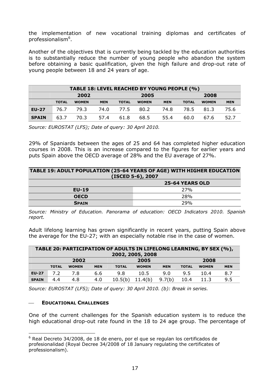the implementation of new vocational training diplomas and certificates of professionalism<sup>6</sup>.

Another of the objectives that is currently being tackled by the education authorities is to substantially reduce the number of young people who abandon the system before obtaining a basic qualification, given the high failure and drop-out rate of young people between 18 and 24 years of age.

| TABLE 18: LEVEL REACHED BY YOUNG PEOPLE (%) |              |              |            |              |              |            |              |              |            |
|---------------------------------------------|--------------|--------------|------------|--------------|--------------|------------|--------------|--------------|------------|
|                                             |              | 2002         |            |              | 2005         |            |              | 2008         |            |
|                                             | <b>TOTAL</b> | <b>WOMEN</b> | <b>MEN</b> | <b>TOTAL</b> | <b>WOMEN</b> | <b>MEN</b> | <b>TOTAL</b> | <b>WOMEN</b> | <b>MEN</b> |
| <b>EU-27</b>                                | 76.7         | 79.3         | 74.0       | 77.5         | 80.2         | 74.8       | 78.5         | 81.3         | 75.6       |
| <b>SPAIN</b>                                | 63.7         | 70.3         | 57.4       | 61.8         | 68.5         | 55.4       | 60.0         | 67.6         | 52.7       |

*Source: EUROSTAT (LFS); Date of query: 30 April 2010.* 

29% of Spaniards between the ages of 25 and 64 has completed higher education courses in 2008. This is an increase compared to the figures for earlier years and puts Spain above the OECD average of 28% and the EU average of 27%.

#### **TABLE 19: ADULT POPULATION (25-64 YEARS OF AGE) WITH HIGHER EDUCATION (ISCED 5-6), 2007**

|              | .<br><b>25-64 YEARS OLD</b> |
|--------------|-----------------------------|
| <b>EU-19</b> | 27%                         |
| <b>OECD</b>  | 28%                         |
| <b>SPAIN</b> | 29%                         |

*Source: Ministry of Education. Panorama of education: OECD Indicators 2010. Spanish report.*

Adult lifelong learning has grown significantly in recent years, putting Spain above the average for the EU-27; with an especially notable rise in the case of women.

| TABLE 20: PARTICIPATION OF ADULTS IN LIFELONG LEARNING, BY SEX (%),<br>2002, 2005, 2008 |              |              |            |         |              |            |              |              |            |
|-----------------------------------------------------------------------------------------|--------------|--------------|------------|---------|--------------|------------|--------------|--------------|------------|
|                                                                                         |              | 2002         |            |         | 2005         |            |              | 2008         |            |
|                                                                                         | <b>TOTAL</b> | <b>WOMEN</b> | <b>MEN</b> | TOTAL   | <b>WOMEN</b> | <b>MEN</b> | <b>TOTAL</b> | <b>WOMEN</b> | <b>MEN</b> |
| <b>EU-27</b>                                                                            | 7.2          | 7.8          | 6.6        | 9.8     | 10.5         | 9.0        | 9.5          | 10.4         | 8.7        |
| <b>SPAIN</b>                                                                            | 4.4          | 4.8          | 4.0        | 10.5(b) | 11.4(b)      | 9.7(b)     | 10.4         | 11.3         | 9.5        |

<span id="page-16-0"></span>*Source: EUROSTAT (LFS); Date of query: 30 April 2010. (b): Break in series.* 

## **EDUCATIONAL CHALLENGES**

One of the current challenges for the Spanish education system is to reduce the high educational drop-out rate found in the 18 to 24 age group. The percentage of

 $\overline{a}$  $6$  Real Decreto 34/2008, de 18 de enero, por el que se regulan los certificados de profesionalidad (Royal Decree 34/2008 of 18 January regulating the certificates of professionalism).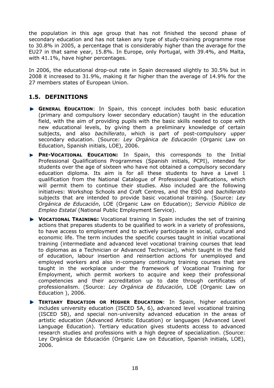the population in this age group that has not finished the second phase of secondary education and has not taken any type of study-training programme rose to 30.8% in 2005, a percentage that is considerably higher than the average for the EU27 in that same year, 15.8%. In Europe, only Portugal, with 39.4%, and Malta, with 41.1%, have higher percentages.

In 2006, the educational drop-out rate in Spain decreased slightly to 30.5% but in 2008 it increased to 31.9%, making it far higher than the average of 14.9% for the 27 members states of European Union.

## **1.5. DEFINITIONS**

- **GENERAL EDUCATION**: In Spain, this concept includes both basic education (primary and compulsory lower secondary education) taught in the education field, with the aim of providing pupils with the basic skills needed to cope with new educational levels, by giving them a preliminary knowledge of certain subjects, and also *bachillerato*, which is part of post-compulsory upper secondary education. (Source: *Ley Orgánica de Educación* (Organic Law on Education, Spanish initials, LOE), 2006.
- **PRE-VOCATIONAL EDUCATION:** In Spain, this corresponds to the Initial Professional Qualifications Programmes (Spanish initials, PCPI), intended for students over the age of sixteen who have not obtained a compulsory secondary education diploma. Its aim is for all these students to have a Level 1 qualification from the National Catalogue of Professional Qualifications, which will permit them to continue their studies. Also included are the following initiatives: Workshop Schools and Craft Centres, and the ESO and *bachillerato* subjects that are intended to provide basic vocational training. (Source: *Ley Orgánica de Educación*, LOE (Organic Law on Education); *Servicio Público de Empleo Estatal* (National Public Employment Service).
- **VOCATIONAL TRAINING:** Vocational training in Spain includes the set of training actions that prepares students to be qualified to work in a variety of professions, to have access to employment and to actively participate in social, cultural and economic life. The term includes the specific courses taught in initial vocational training (intermediate and advanced level vocational training courses that lead to diplomas as a Technician or Advanced Technician), which taught in the field of education, labour insertion and reinsertion actions for unemployed and employed workers and also in-company continuing training courses that are taught in the workplace under the framework of Vocational Training for Employment, which permit workers to acquire and keep their professional competencies and their accreditation up to date through certificates of professionalism. (Source: *Ley Orgánica de Educación,* LOE (Organic Law on Education ), 2006.
- **TERTIARY EDUCATION OR HIGHER EDUCATION:** In Spain, higher education includes university education (ISCED 5A, 6), advanced level vocational training (ISCED 5B), and special non-university advanced education in the areas of artistic education (Advanced Artistic Education) or languages (Advanced Level Language Education). Tertiary education gives students access to advanced research studies and professions with a high degree of specialization. (Source: Ley Orgánica de Educación (Organic Law on Education, Spanish initials, LOE), 2006.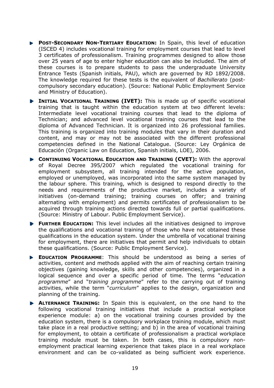- **POST-SECONDARY NON-TERTIARY EDUCATION:** In Spain, this level of education (ISCED 4) includes vocational training for employment courses that lead to level 3 certificates of professionalism. Training programmes designed to allow those over 25 years of age to enter higher education can also be included. The aim of these courses is to prepare students to pass the undergraduate University Entrance Tests (Spanish initials, PAU), which are governed by RD 1892/2008. The knowledge required for these tests is the equivalent of *Bachillerato* (postcompulsory secondary education). (Source: National Public Employment Service and Ministry of Education).
- **INITIAL VOCATIONAL TRAINING (IVET):** This is made up of specific vocational training that is taught within the education system at two different levels: Intermediate level vocational training courses that lead to the diploma of Technician; and advanced level vocational training courses that lead to the diploma of Advanced Technician. It is organized into 26 professional families. This training is organized into training modules that vary in their duration and content, and may or may not be associated with the different professional competencies defined in the National Catalogue. (Source: Ley Orgánica de Educación (Organic Law on Education, Spanish initials, LOE), 2006.
- **CONTINUING VOCATIONAL EDUCATION AND TRAINING (CVET):** With the approval of Royal Decree 395/2007 which regulated the vocational training for employment subsystem, all training intended for the active population, employed or unemployed, was incorporated into the same system managed by the labour sphere. This training, which is designed to respond directly to the needs and requirements of the productive market, includes a variety of initiatives (on-demand training; training courses on offer; and training alternating with employment) and permits certificates of professionalism to be acquired through training actions directed towards full or partial qualifications. (Source: Ministry of Labour. Public Employment Service).
- **FURTHER EDUCATION:** This level includes all the initiatives designed to improve the qualifications and vocational training of those who have not obtained these qualifications in the education system. Under the umbrella of vocational training for employment, there are initiatives that permit and help individuals to obtain these qualifications. (Source: Public Employment Service).
- **EDUCATION PROGRAMME**: This should be understood as being a series of activities, content and methods applied with the aim of reaching certain training objectives (gaining knowledge, skills and other competencies), organized in a logical sequence and over a specific period of time. The terms "*education programme*" and "*training programme*" refer to the carrying out of training activities, while the term "*curriculum*" applies to the design, organization and planning of the training.
- **ALTERNANCE TRAINING:** In Spain this is equivalent, on the one hand to the following vocational training initiatives that include a practical workplace experience module: a) on the vocational training courses provided by the education system, there is a compulsory workplace training module, which must take place in a real productive setting; and b) in the area of vocational training for employment, to obtain a certificate of professionalism a practical workplace training module must be taken. In both cases, this is compulsory nonemployment practical learning experience that takes place in a real workplace environment and can be co-validated as being sufficient work experience.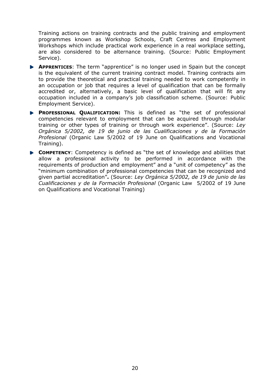Training actions on training contracts and the public training and employment programmes known as Workshop Schools, Craft Centres and Employment Workshops which include practical work experience in a real workplace setting, are also considered to be alternance training. (Source: Public Employment Service).

- **APPRENTICES:** The term "apprentice" is no longer used in Spain but the concept is the equivalent of the current training contract model. Training contracts aim to provide the theoretical and practical training needed to work competently in an occupation or job that requires a level of qualification that can be formally accredited or, alternatively, a basic level of qualification that will fit any occupation included in a company's job classification scheme. (Source: Public Employment Service).
- **PROFESSIONAL QUALIFICATION:** This is defined as "the set of professional competencies relevant to employment that can be acquired through modular training or other types of training or through work experience". (Source: *Ley Orgánica 5/2002, de 19 de junio de las Cualificaciones y de la Formación Profesional* (Organic Law 5/2002 of 19 June on Qualifications and Vocational Training).
- <span id="page-19-0"></span>**COMPETENCY:** Competency is defined as "the set of knowledge and abilities that allow a professional activity to be performed in accordance with the requirements of production and employment" and a "unit of competency" as the "minimum combination of professional competencies that can be recognized and given partial accreditation"**.** (Source: *Ley Orgánica 5/2002, de 19 de junio de las Cualificaciones y de la Formación Profesional* (Organic Law 5/2002 of 19 June on Qualifications and Vocational Training)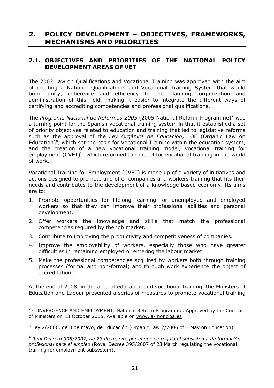# **2. POLICY DEVELOPMENT – OBJECTIVES, FRAMEWORKS, MECHANISMS AND PRIORITIES**

## **2.1. OBJECTIVES AND PRIORITIES OF THE NATIONAL POLICY DEVELOPMENT AREAS OF VET**

The 2002 Law on Qualifications and Vocational Training was approved with the aim of creating a National Qualifications and Vocational Training System that would bring unity, coherence and efficiency to the planning, organization and administration of this field, making it easier to integrate the different ways of certifying and accrediting competencies and professional qualifications.

The *Programa Nacional de Reformas 2005* (2005 National Reform Programme)**<sup>7</sup>** was a turning point for the Spanish vocational training system in that it established a set of priority objectives related to education and training that led to legislative reforms such as the approval of the *Ley Orgánica de Educación*, LOE (Organic Law on Education)<sup>8</sup>, which set the basis for Vocational Training within the education system, and the creation of a new vocational training model, vocational training for employment (CVET) $9$ , which reformed the model for vocational training in the world of work.

Vocational Training for Employment (CVET) is made up of a variety of initiatives and actions designed to promote and offer companies and workers training that fits their needs and contributes to the development of a knowledge based economy. Its aims are to:

- <span id="page-20-0"></span>1. Promote opportunities for lifelong learning for unemployed and employed workers so that they can improve their professional abilities and personal development.
- 2. Offer workers the knowledge and skills that match the professional competencies required by the job market.
- 3. Contribute to improving the productivity and competitiveness of companies.
- 4. Improve the employability of workers, especially those who have greater difficulties in remaining employed or entering the labour market.
- 5. Make the professional competencies acquired by workers both through training processes (formal and non-formal) and through work experience the object of accreditation.

At the end of 2008, in the area of education and vocational training, the Ministers of Education and Labour presented a series of measures to promote vocational training

 $\overline{a}$ <sup>7</sup> CONVERGENCE AND EMPLOYMENT: National Reform Programme. Approved by the Council of Ministers on 13 October 2005. Available on [www.la-moncloa.es](http://www.la-moncloa.es/)

 $8$  Ley 2/2006, de 3 de mayo, de Educación (Organic Law 2/2006 of 3 May on Education).

<sup>9</sup> *Real Decreto 395/2007, de 23 de marzo, por el que se regula el subsistema de formación profesional para el empleo* (Royal Decree 395/2007 of 23 March regulating the vocational training for employment subsystem).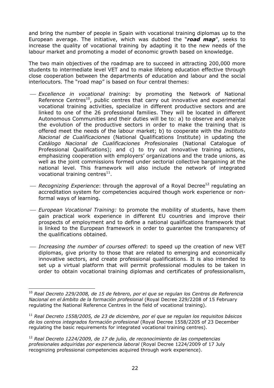and bring the number of people in Spain with vocational training diplomas up to the European average. The initiative, which was dubbed the "*road map*", seeks to increase the quality of vocational training by adapting it to the new needs of the labour market and promoting a model of economic growth based on knowledge.

The two main objectives of the roadmap are to succeed in attracting 200,000 more students to intermediate level VET and to make lifelong education effective through close cooperation between the departments of education and labour and the social interlocutors. The "road map" is based on four central themes:

- ⎯ *Excellence in vocational training*: by promoting the Network of National Reference Centres<sup>10</sup>, public centres that carry out innovative and experimental vocational training activities, specialize in different productive sectors and are linked to one of the 26 professional families. They will be located in different Autonomous Communities and their duties will be to: a) to observe and analyze the evolution of the productive sectors in order to make the training that is offered meet the needs of the labour market; b) to cooperate with the *Instituto Nacional de Cualificaciones* (National Qualifications Institute) in updating the *Catálogo Nacional de Cualificaciones Profesionales* (National Catalogue of Professional Qualifications); and c) to try out innovative training actions, emphasizing cooperation with employers' organizations and the trade unions, as well as the joint commissions formed under sectorial collective bargaining at the national level. This framework will also include the network of integrated vocational training centres $^{11}$ .
- *Recognizing Experience*: through the approval of a Royal Decree<sup>12</sup> regulating an accreditation system for competencies acquired though work experience or nonformal ways of learning.
- ⎯ *European Vocational Training:* to promote the mobility of students, have them gain practical work experience in different EU countries and improve their prospects of employment and to define a national qualifications framework that is linked to the European framework in order to guarantee the transparency of the qualifications obtained.
- ⎯ *Increasing the number of courses offered*: to speed up the creation of new VET diplomas, give priority to those that are related to emerging and economically innovative sectors, and create professional qualifications. It is also intended to set up a virtual platform that will permit professional modules to be taken in order to obtain vocational training diplomas and certificates of professionalism,

 $\overline{a}$ 

<sup>10</sup> *Real Decreto 229/2008, de 15 de febrero, por el que se regulan los Centros de Referencia Nacional en el ámbito de la formación profesional* (Royal Decree 229/2208 of 15 February regulating the National Reference Centres in the field of vocational training).

<sup>11</sup> *Real Decreto 1558/2005, de 23 de diciembre, por el que se regulan los requisitos básicos de los centros integrados formación profesional* (Royal Decree 1558/2205 of 23 December regulating the basic requirements for integrated vocational training centres).

<sup>12</sup> *Real Decreto 1224/2009, de 17 de julio, de reconocimiento de las competencias profesionales adquiridas por experiencia laboral* (Royal Decree 1224/2009 of 17 July recognizing professional competencies acquired through work experience).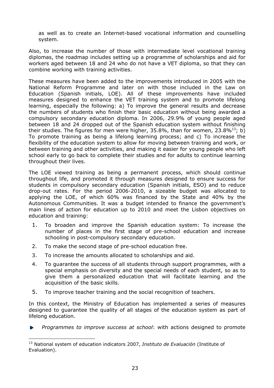as well as to create an Internet-based vocational information and counselling system.

Also, to increase the number of those with intermediate level vocational training diplomas, the roadmap includes setting up a programme of scholarships and aid for workers aged between 18 and 24 who do not have a VET diploma, so that they can combine working with training activities.

These measures have been added to the improvements introduced in 2005 with the National Reform Programme and later on with those included in the Law on Education (Spanish initials, LOE). All of these improvements have included measures designed to enhance the VET training system and to promote lifelong learning, especially the following: a) To improve the general results and decrease the numbers of students who finish their basic education without being awarded a compulsory secondary education diploma. In 2006, 29.9% of young people aged between 18 and 24 dropped out of the Spanish education system without finishing their studies. The figures for men were higher, 35.8%, than for women, 23.8% $^{13}$ ; b) To promote training as being a lifelong learning process; and c) To increase the flexibility of the education system to allow for moving between training and work, or between training and other activities, and making it easier for young people who left school early to go back to complete their studies and for adults to continue learning throughout their lives.

The LOE viewed training as being a permanent process, which should continue throughout life, and promoted it through measures designed to ensure success for students in compulsory secondary education (Spanish initials, ESO) and to reduce drop-out rates. For the period 2006-2010, a sizeable budget was allocated to applying the LOE, of which 60% was financed by the State and 40% by the Autonomous Communities. It was a budget intended to finance the government's main lines of action for education up to 2010 and meet the Lisbon objectives on education and training:

- 1. To broaden and improve the Spanish education system: To increase the number of places in the first stage of pre-school education and increase schooling in post-compulsory secondary education.
- 2. To make the second stage of pre-school education free.
- 3. To increase the amounts allocated to scholarships and aid.
- 4. To guarantee the success of all students through support programmes, with a special emphasis on diversity and the special needs of each student, so as to give them a personalized education that will facilitate learning and the acquisition of the basic skills.
- 5. To improve teacher training and the social recognition of teachers.

In this context, the Ministry of Education has implemented a series of measures designed to guarantee the quality of all stages of the education system as part of lifelong education.

Þ *Programmes to improve success at school*: with actions designed to promote

 $\overline{a}$ 13 National system of education indicators 2007, *Instituto de Evaluación* (Institute of Evaluation).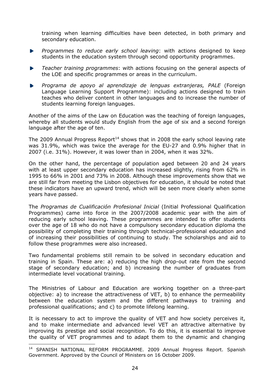training when learning difficulties have been detected, in both primary and secondary education.

- *Programmes to reduce early school leaving*: with actions designed to keep Þ students in the education system through second opportunity programmes.
- *Teacher training programmes*: with actions focusing on the general aspects of the LOE and specific programmes or areas in the curriculum.
- *Programa de apoyo al aprendizaje de lenguas extranjeras, PALE* (Foreign Language Learning Support Programme): including actions designed to train teaches who deliver content in other languages and to increase the number of students learning foreign languages.

Another of the aims of the Law on Education was the teaching of foreign languages, whereby all students would study English from the age of six and a second foreign language after the age of ten.

The 2009 Annual Progress Report<sup>14</sup> shows that in 2008 the early school leaving rate was 31.9%, which was twice the average for the EU-27 and 0.9% higher that in 2007 (i.e. 31%). However, it was lower than in 2004, when it was 32%.

On the other hand, the percentage of population aged between 20 and 24 years with at least upper secondary education has increased slightly, rising from 62% in 1995 to 66% in 2001 and 73% in 2008. Although these improvements show that we are still far from meeting the Lisbon objectives for education, it should be noted that these indicators have an upward trend, which will be seen more clearly when some years have passed.

The *Programas de Cualificación Profesional Inicial* (Initial Professional Qualification Programmes) came into force in the 2007/2008 academic year with the aim of reducing early school leaving. These programmes are intended to offer students over the age of 18 who do not have a compulsory secondary education diploma the possibility of completing their training through technical-professional education and of increasing their possibilities of continuing to study. The scholarships and aid to follow these programmes were also increased.

Two fundamental problems still remain to be solved in secondary education and training in Spain. These are: a) reducing the high drop-out rate from the second stage of secondary education; and b) increasing the number of graduates from intermediate level vocational training.

<span id="page-23-0"></span>The Ministries of Labour and Education are working together on a three-part objective: a) to increase the attractiveness of VET, b) to enhance the permeability between the education system and the different pathways to training and professional qualifications; and c) to promote lifelong learning.

It is necessary to act to improve the quality of VET and how society perceives it, and to make intermediate and advanced level VET an attractive alternative by improving its prestige and social recognition. To do this, it is essential to improve the quality of VET programmes and to adapt them to the dynamic and changing

 $\overline{a}$ 

<sup>&</sup>lt;sup>14</sup> SPANISH NATIONAL REFORM PROGRAMME. 2009 Annual Progress Report. Spanish Government. Approved by the Council of Ministers on 16 October 2009.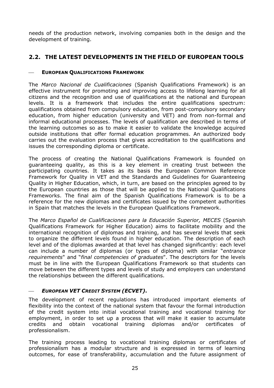needs of the production network, involving companies both in the design and the development of training.

## **2.2. THE LATEST DEVELOPMENTS IN THE FIELD OF EUROPEAN TOOLS**

#### **EUROPEAN QUALIFICATIONS FRAMEWORK**

The *Marco Nacional de Cualificaciones* (Spanish Qualifications Framework) is an effective instrument for promoting and improving access to lifelong learning for all citizens and the recognition and use of qualifications at the national and European levels. It is a framework that includes the entire qualifications spectrum: qualifications obtained from compulsory education, from post-compulsory secondary education, from higher education (university and VET) and from non-formal and informal educational processes. The levels of qualification are described in terms of the learning outcomes so as to make it easier to validate the knowledge acquired outside institutions that offer formal education programmes. An authorized body carries out the evaluation process that gives accreditation to the qualifications and issues the corresponding diploma or certificate.

The process of creating the National Qualifications Framework is founded on guaranteeing quality, as this is a key element in creating trust between the participating countries. It takes as its basis the European Common Reference Framework for Quality in VET and the Standards and Guidelines for Guaranteeing Quality in Higher Education, which, in turn, are based on the principles agreed to by the European countries as those that will be applied to the National Qualifications Frameworks. The final aim of the Spanish Qualifications Framework is to be a reference for the new diplomas and certificates issued by the competent authorities in Spain that matches the levels in the European Qualifications Framework.

The *Marco Español de Cualificaciones para la Educación Superior, MECES* (Spanish Qualifications Framework for Higher Education) aims to facilitate mobility and the international recognition of diplomas and training, and has several levels that seek to organize the different levels found in higher education. The description of each level and of the diplomas awarded at that level has changed significantly: each level can include a number of diplomas (or types of diploma) with similar "*entrance requirements*" and "*final competencies of graduates*". The descriptors for the levels must be in line with the European Qualifications Framework so that students can move between the different types and levels of study and employers can understand the relationships between the different qualifications.

## ⎯ *EUROPEAN VET CREDIT SYSTEM (ECVET)***.**

The development of recent regulations has introduced important elements of flexibility into the context of the national system that favour the formal introduction of the credit system into initial vocational training and vocational training for employment, in order to set up a process that will make it easier to accumulate credits and obtain vocational training diplomas and/or certificates of professionalism.

The training process leading to vocational training diplomas or certificates of professionalism has a modular structure and is expressed in terms of learning outcomes, for ease of transferability, accumulation and the future assignment of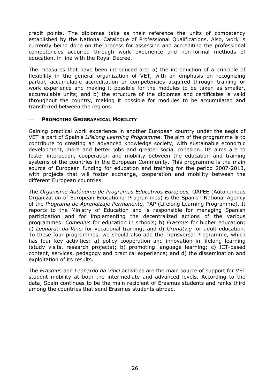credit points. The diplomas take as their reference the units of competency established by the National Catalogue of Professional Qualifications. Also, work is currently being done on the process for assessing and accrediting the professional competencies acquired through work experience and non-formal methods of education, in line with the Royal Decree.

The measures that have been introduced are: a) the introduction of a principle of flexibility in the general organization of VET, with an emphasis on recognizing partial, accumulable accreditation or competencies acquired through training or work experience and making it possible for the modules to be taken as smaller, accumulable units; and b) the structure of the diplomas and certificates is valid throughout the country, making it possible for modules to be accumulated and transferred between the regions.

#### ⎯ **PROMOTING GEOGRAPHICAL MOBILITY**

Gaining practical work experience in another European country under the aegis of VET is part of Spain's *Lifelong Learning Programme*. The aim of the programme is to contribute to creating an advanced knowledge society, with sustainable economic development, more and better jobs and greater social cohesion. Its aims are to foster interaction, cooperation and mobility between the education and training systems of the countries in the European Community. This programme is the main source of European funding for education and training for the period 2007-2013, with projects that will foster exchange, cooperation and mobility between the different European countries.

<span id="page-25-0"></span>The *Organismo Autónomo de Programas Educativos Europeos,* OAPEE (Autonomous Organization of European Educational Programmes) is the Spanish National Agency of the *Programa de Aprendizaje Permanente,* PAP (Lifelong Learning Programme). It reports to the Ministry of Education and is responsible for managing Spanish participation and for implementing the decentralized actions of the various programmes: *Comenius* for education in schools; b) *Erasmus* for higher education; c) *Leonardo da Vinci* for vocational training; and d) *Grundtvig* for adult education. To these four programmes, we should also add the Transversal Programme, which has four key activities: a) policy cooperation and innovation in lifelong learning (study visits, research projects); b) promoting language learning; c) ICT-based content, services, pedagogy and practical experience; and d) the dissemination and exploitation of its results.

The *Erasmus* and *Leonardo da Vinci* activities are the main source of support for VET student mobility at both the intermediate and advanced levels. According to the data, Spain continues to be the main recipient of Erasmus students and ranks third among the countries that send Erasmus students abroad.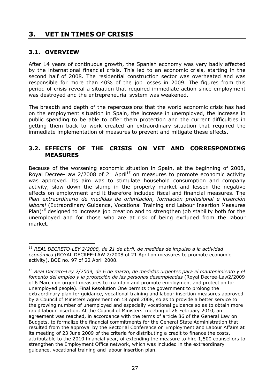# **3. VET IN TIMES OF CRISIS**

## **3.1. OVERVIEW**

After 14 years of continuous growth, the Spanish economy was very badly affected by the international financial crisis. This led to an economic crisis, starting in the second half of 2008. The residential construction sector was overheated and was responsible for more than 40% of the job losses in 2009. The figures from this period of crisis reveal a situation that required immediate action since employment was destroyed and the entrepreneurial system was weakened.

The breadth and depth of the repercussions that the world economic crisis has had on the employment situation in Spain, the increase in unemployed, the increase in public spending to be able to offer them protection and the current difficulties in getting them back to work created an extraordinary situation that required the immediate implementation of measures to prevent and mitigate these effects.

## **3.2. EFFECTS OF THE CRISIS ON VET AND CORRESPONDING MEASURES**

Because of the worsening economic situation in Spain, at the beginning of 2008, Royal Decree-Law  $2/2008$  of 21 April<sup>15</sup> on measures to promote economic activity was approved. Its aim was to stimulate household consumption and company activity, slow down the slump in the property market and lessen the negative effects on employment and it therefore included fiscal and financial measures. The *Plan extraordinario de medidas de orientación, formación profesional e inserción laboral* (Extraordinary Guidance, Vocational Training and Labour Insertion Measures Plan)<sup>16</sup> designed to increase job creation and to strengthen job stability both for the unemployed and for those who are at risk of being excluded from the labour market.

 $\overline{a}$ <sup>15</sup> *REAL DECRETO-LEY 2/2008, de 21 de abril, de medidas de impulso a la actividad económica* (ROYAL DECREE-LAW 2/2008 of 21 April on measures to promote economic activity). BOE no. 97 of 22 April 2008.

<sup>16</sup> *Real Decreto-Ley 2/2009, de 6 de marzo, de medidas urgentes para el mantenimiento y el fomento del empleo y la protección de las personas desempleadas* (Royal Decree-Law2/2009 of 6 March on urgent measures to maintain and promote employment and protection for unemployed people). Final Resolution One permits the government to prolong the extraordinary plan for guidance, vocational training and labour insertion measures approved by a Council of Ministers Agreement on 18 April 2008, so as to provide a better service to the growing number of unemployed and especially vocational guidance so as to obtain more rapid labour insertion. At the Council of Ministers' meeting of 26 February 2010, an agreement was reached, in accordance with the terms of article 86 of the General Law on Budgets, to formalize the financial commitments for the General State Administration that resulted from the approval by the Sectorial Conference on Employment and Labour Affairs at its meeting of 23 June 2009 of the criteria for distributing a credit to finance the costs, attributable to the 2010 financial year, of extending the measure to hire 1,500 counsellors to strengthen the Employment Office network, which was included in the extraordinary guidance, vocational training and labour insertion plan.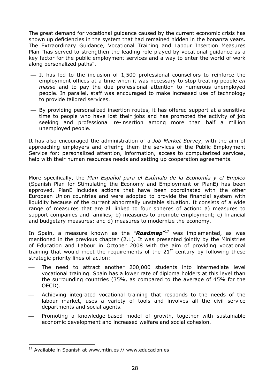The great demand for vocational guidance caused by the current economic crisis has shown up deficiencies in the system that had remained hidden in the bonanza years. The Extraordinary Guidance, Vocational Training and Labour Insertion Measures Plan "has served to strengthen the leading role played by vocational guidance as a key factor for the public employment services and a way to enter the world of work along personalized paths".

- $-$  It has led to the inclusion of 1,500 professional counsellors to reinforce the employment offices at a time when it was necessary to stop treating people *en masse* and to pay the due professional attention to numerous unemployed people. In parallel, staff was encouraged to make increased use of technology to provide tailored services.
- $-$  By providing personalized insertion routes, it has offered support at a sensitive time to people who have lost their jobs and has promoted the activity of job seeking and professional re-insertion among more than half a million unemployed people.

It has also encouraged the administration of a *Job Market Survey*, with the aim of approaching employers and offering them the services of the Public Employment Service for: personalized attention, information, access to computerized services, help with their human resources needs and setting up cooperation agreements.

More specifically, the *Plan Español para el Estímulo de la Economía y el Empleo*  (Spanish Plan for Stimulating the Economy and Employment or PlanE) has been approved. PlanE includes actions that have been coordinated with the other European Union countries and were adopted to provide the financial system with liquidity because of the current abnormally unstable situation. It consists of a wide range of measures that are all linked to four spheres of action: a) measures to support companies and families; b) measures to promote employment; c) financial and budgetary measures; and d) measures to modernize the economy.

In Spain, a measure known as the "*Roadmap*"17 was implemented, as was mentioned in the previous chapter (2.1). It was presented jointly by the Ministries of Education and Labour in October 2008 with the aim of providing vocational training that would meet the requirements of the  $21<sup>st</sup>$  century by following these strategic priority lines of action:

- The need to attract another 200,000 students into intermediate level vocational training. Spain has a lower rate of diploma holders at this level than the surrounding countries (35%, as compared to the average of 45% for the OECD).
- Achieving integrated vocational training that responds to the needs of the labour market, uses a variety of tools and involves all the civil service departments and social agents.
- Promoting a knowledge-based model of growth, together with sustainable economic development and increased welfare and social cohesion.

 $\overline{a}$ 

<sup>&</sup>lt;sup>17</sup> Available in Spanish at [www.mtin.es /](http://www.mtin.es/)/ [www.educacion.es](http://www.educacion.es/)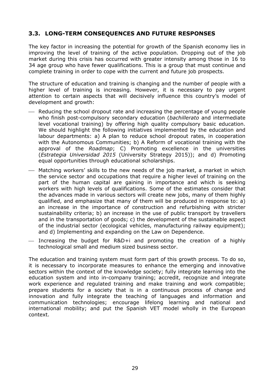## **3.3. LONG-TERM CONSEQUENCES AND FUTURE RESPONSES**

The key factor in increasing the potential for growth of the Spanish economy lies in improving the level of training of the active population. Dropping out of the job market during this crisis has occurred with greater intensity among those in 16 to 34 age group who have fewer qualifications. This is a group that must continue and complete training in order to cope with the current and future job prospects.

The structure of education and training is changing and the number of people with a higher level of training is increasing. However, it is necessary to pay urgent attention to certain aspects that will decisively influence this country's model of development and growth:

- Reducing the school dropout rate and increasing the percentage of young people who finish post-compulsory secondary education (*bachillerato* and intermediate level vocational training) by offering high quality compulsory basic education. We should highlight the following initiatives implemented by the education and labour departments: a) A plan to reduce school dropout rates, in cooperation with the Autonomous Communities; b) A Reform of vocational training with the approval of the *Roadmap*; C) Promoting excellence in the universities (*Estrategia Universidad 2015* (University Strategy 2015)); and d) Promoting equal opportunities through educational scholarships.
- ⎯ Matching workers' skills to the new needs of the job market, a market in which the service sector and occupations that require a higher level of training on the part of the human capital are gaining in importance and which is seeking workers with high levels of qualifications. Some of the estimates consider that the advances made in various sectors will create new jobs, many of them highly qualified, and emphasize that many of them will be produced in response to: a) an increase in the importance of construction and refurbishing with stricter sustainability criteria; b) an increase in the use of public transport by travellers and in the transportation of goods; c) the development of the sustainable aspect of the industrial sector (ecological vehicles, manufacturing railway equipment); and d) Implementing and expanding on the Law on Dependence.
- $-$  Increasing the budget for R&D+i and promoting the creation of a highly technological small and medium sized business sector.

The education and training system must form part of this growth process. To do so, it is necessary to incorporate measures to enhance the emerging and innovative sectors within the context of the knowledge society; fully integrate learning into the education system and into in-company training; accredit, recognize and integrate work experience and regulated training and make training and work compatible; prepare students for a society that is in a continuous process of change and innovation and fully integrate the teaching of languages and information and communication technologies; encourage lifelong learning and national and international mobility; and put the Spanish VET model wholly in the European context.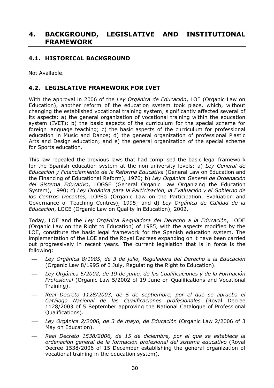# **4. BACKGROUND, LEGISLATIVE AND INSTITUTIONAL FRAMEWORK**

## **4.1. HISTORICAL BACKGROUND**

Not Available.

## **4.2. LEGISLATIVE FRAMEWORK FOR IVET**

With the approval in 2006 of the *Ley Orgánica de Educación*, LOE (Organic Law on Education), another reform of the education system took place, which, without changing the established vocational training system, significantly affected several of its aspects: a) the general organization of vocational training within the education system (IVET); b) the basic aspects of the curriculum for the special scheme for foreign language teaching; c) the basic aspects of the curriculum for professional education in Music and Dance; d) the general organization of professional Plastic Arts and Design education; and e) the general organization of the special scheme for Sports education.

<span id="page-29-0"></span>This law repealed the previous laws that had comprised the basic legal framework for the Spanish education system at the non-university levels: a) *Ley General de Educación y Financiamiento de la Reforma Educativa* (General Law on Education and the Financing of Educational Reform), 1970; b) *Ley Orgánica General de Ordenación del Sistema Educativo*, LOGSE (General Organic Law Organizing the Education System), 1990; c) *Ley Orgánica para la Participación, la Evaluación y el Gobierno de los Centros Docentes,* LOPEG (Organic Law on the Participation, Evaluation and Governance of Teaching Centres), 1995; and d) *Ley Orgánica de Calidad de la Educación*, LOCE (Organic Law on Quality in Education), 2002.

Today, LOE and the *Ley Orgánica Reguladora del Derecho a la Educación*, LODE (Organic Law on the Right to Education) of 1985, with the aspects modified by the LOE, constitute the basic legal framework for the Spanish education system. The implementation of the LOE and the Royal Decrees expanding on it have been carried out progressively in recent years. The current legislation that is in force is the following:

- ⎯ *Ley Orgánica 8/1985, de 3 de julio, Reguladora del Derecho a la Educación* (Organic Law 8/1995 of 3 July, Regulating the Right to Education).
- Ley Orgánica 5/2002, de 19 de junio, de las Cualificaciones y de la Formación *Profesional* (Organic Law 5/2002 of 19 June on Qualifications and Vocational Training).
- <span id="page-29-1"></span>Real Decreto 1128/2003, de 5 de septiembre, por el que se aprueba el *Catálogo Nacional de las Cualificaciones profesionales* (Royal Decree 1128/2003 of 5 September approving the National Catalogue of Professional Qualifications).
- ⎯ *Ley Orgánica 2/2006, de 3 de mayo, de Educación* (Organic Law 2/2006 of 3 May on Education).
- ⎯ *Real Decreto 1538/2006, de 15 de diciembre, por el que se establece la ordenación general de la formación profesional del sistema educativo* (Royal Decree 1538/2006 of 15 December establishing the general organization of vocational training in the education system).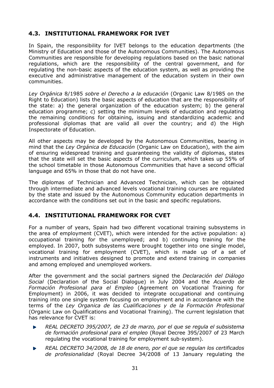## **4.3. INSTITUTIONAL FRAMEWORK FOR IVET**

In Spain, the responsibility for IVET belongs to the education departments (the Ministry of Education and those of the Autonomous Communities). The Autonomous Communities are responsible for developing regulations based on the basic national regulations, which are the responsibility of the central government, and for regulating the non-basic aspects of the education system, as well as providing the executive and administrative management of the education system in their own communities.

*Ley Orgánica* 8/1985 *sobre el Derecho a la educación* (Organic Law 8/1985 on the Right to Education) lists the basic aspects of education that are the responsibility of the state: a) the general organization of the education system; b) the general education programme; c) setting the minimum levels of education and regulating the remaining conditions for obtaining, issuing and standardizing academic and professional diplomas that are valid all over the country; and d) the High Inspectorate of Education.

All other aspects may be developed by the Autonomous Communities, bearing in mind that the *Ley Orgánica de Educación* (Organic Law on Education), with the aim of ensuring widespread training and guaranteeing the validity of diplomas, states that the state will set the basic aspects of the curriculum, which takes up 55% of the school timetable in those Autonomous Communities that have a second official language and 65% in those that do not have one.

The diplomas of Technician and Advanced Technician, which can be obtained through intermediate and advanced levels vocational training courses are regulated by the state and issued by the Autonomous Community education departments in accordance with the conditions set out in the basic and specific regulations.

## **4.4. INSTITUTIONAL FRAMEWORK FOR CVET**

For a number of years, Spain had two different vocational training subsystems in the area of employment (CVET), which were intended for the active population: a) occupational training for the unemployed; and b) continuing training for the employed. In 2007, both subsystems were brought together into one single model, vocational training for employment (CVET), which is made up of a set of instruments and initiatives designed to promote and extend training in companies and among employed and unemployed workers.

After the government and the social partners signed the *Declaración del Diálogo Social* (Declaration of the Social Dialogue) in July 2004 and the *Acuerdo de Formación Profesional para el Empleo* (Agreement on Vocational Training for Employment) in 2006, it was decided to integrate occupational and continuing training into one single system focusing on employment and in accordance with the terms of the *Ley Organica de las Cualificaciones y de la Formación Profesional*  (Organic Law on Qualifications and Vocational Training). The current legislation that has relevance for CVET is:

- *REAL DECRETO 395/2007, de 23 de marzo, por el que se regula el subsistema*  Г. *de formación profesional para el empleo* (Royal Decree 395/2007 of 23 March regulating the vocational training for employment sub-system).
- *REAL DECRETO 34/2008, de 18 de enero, por el que se regulan los certificados de profesionalidad* (Royal Decree 34/2008 of 13 January regulating the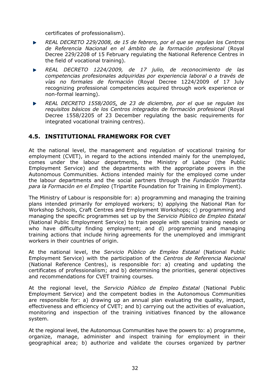certificates of professionalism).

- *REAL DECRETO 229/2008, de 15 de febrero, por el que se regulan los Centros de Referencia Nacional en el ámbito de la formación profesional* (Royal Decree 229/2208 of 15 February regulating the National Reference Centres in the field of vocational training).
- *REAL DECRETO 1224/2009, de 17 julio, de reconocimiento de las competencias profesionales adquiridas por experiencia laboral o a través de vías no formales de formación* (Royal Decree 1224/2009 of 17 July recognizing professional competencies acquired through work experience or non-formal learning).
- *REAL DECRETO 1558/2005, de 23 de diciembre, por el que se regulan los requisitos básicos de los Centros integrados de formación profesional* (Royal Decree 1558/2205 of 23 December regulating the basic requirements for integrated vocational training centres).

## **4.5. INSTITUTIONAL FRAMEWORK FOR CVET**

At the national level, the management and regulation of vocational training for employment (CVET), in regard to the actions intended mainly for the unemployed, comes under the labour departments, the Ministry of Labour (the Public Employment Service) and the departments with the appropriate powers in the Autonomous Communities. Actions intended mainly for the employed come under the labour departments and the social partners through the *Fundación Tripartita para la Formación en el Empleo* (Tripartite Foundation for Training in Employment).

The Ministry of Labour is responsible for: a) programming and managing the training plans intended primarily for employed workers; b) applying the National Plan for Workshop Schools, Craft Centres and Employment Workshops; c) programming and managing the specific programmes set up by the *Servicio Público de Empleo Estatal*  (National Public Employment Service) to train people with special training needs or who have difficulty finding employment; and d) programming and managing training actions that include hiring agreements for the unemployed and immigrant workers in their countries of origin.

At the national level, the *Servicio Público de Empleo Estatal* (National Public Employment Service) with the participation of the *Centros de Referencia Nacional*  (National Reference Centres), is responsible for: a) creating and updating the certificates of professionalism; and b) determining the priorities, general objectives and recommendations for CVET training courses.

At the regional level, the *Servicio Público de Empleo Estatal* (National Public Employment Service) and the competent bodies in the Autonomous Communities are responsible for: a) drawing up an annual plan evaluating the quality, impact, effectiveness and efficiency of CVET; and b) carrying out the activities of evaluation, monitoring and inspection of the training initiatives financed by the allowance system.

At the regional level, the Autonomous Communities have the powers to: a) programme, organize, manage, administer and inspect training for employment in their geographical area; b) authorize and validate the courses organized by partner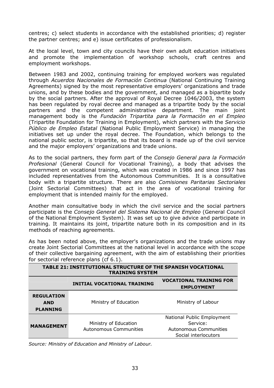centres; c) select students in accordance with the established priorities; d) register the partner centres; and e) issue certificates of professionalism.

At the local level, town and city councils have their own adult education initiatives and promote the implementation of workshop schools, craft centres and employment workshops.

Between 1983 and 2002, continuing training for employed workers was regulated through *Acuerdos Nacionales de Formación Continua* (National Continuing Training Agreements) signed by the most representative employers' organizations and trade unions, and by these bodies and the government, and managed as a bipartite body by the social partners. After the approval of Royal Decree 1046/2003, the system has been regulated by royal decree and managed as a tripartite body by the social partners and the competent administrative department. The main joint management body is the *Fundación Tripartita para la Formación en el Empleo*  (Tripartite Foundation for Training in Employment), which partners with the *Servicio Público de Empleo Estatal* (National Public Employment Service) in managing the initiatives set up under the royal decree. The Foundation, which belongs to the national public sector, is tripartite, so that its board is made up of the civil service and the major employers' organizations and trade unions.

As to the social partners, they form part of the *Consejo General para la Formación Profesional* (General Council for Vocational Training), a body that advises the government on vocational training, which was created in 1986 and since 1997 has included representatives from the Autonomous Communities. It is a consultative body with a tripartite structure. There are also *Comisiones Paritarias Sectoriales* (Joint Sectorial Committees) that act in the area of vocational training for employment that is intended mainly for the employed.

Another main consultative body in which the civil service and the social partners participate is the *Consejo General del Sistema Nacional de Empleo* (General Council of the National Employment System). It was set up to give advice and participate in training. It maintains its joint, tripartite nature both in its composition and in its methods of reaching agreements.

As has been noted above, the employer's organizations and the trade unions may create Joint Sectorial Committees at the national level in accordance with the scope of their collective bargaining agreement, with the aim of establishing their priorities for sectorial reference plans (cf 6.1).

| <b>TABLE 21: INSTITUTIONAL STRUCTURE OF THE SPANISH VOCATIONAL</b><br><b>TRAINING SYSTEM</b> |                                                 |                                                                                          |  |  |  |  |  |  |
|----------------------------------------------------------------------------------------------|-------------------------------------------------|------------------------------------------------------------------------------------------|--|--|--|--|--|--|
|                                                                                              | <b>INITIAL VOCATIONAL TRAINING</b>              | <b>VOCATIONAL TRAINING FOR</b><br><b>EMPLOYMENT</b>                                      |  |  |  |  |  |  |
| <b>REGULATION</b><br><b>AND</b><br><b>PLANNING</b>                                           | Ministry of Education                           | Ministry of Labour                                                                       |  |  |  |  |  |  |
| <b>MANAGEMENT</b>                                                                            | Ministry of Education<br>Autonomous Communities | National Public Employment<br>Service:<br>Autonomous Communities<br>Social interlocutors |  |  |  |  |  |  |

<span id="page-32-0"></span>*Source: Ministry of Education and Ministry of Labour.*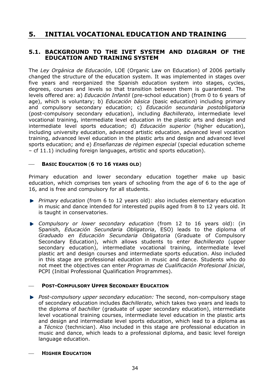# **5. INITIAL VOCATIONAL EDUCATION AND TRAINING**

## **5.1. BACKGROUND TO THE IVET SYSTEM AND DIAGRAM OF THE EDUCATION AND TRAINING SYSTEM**

The *Ley Orgánica de Educación*, LOE (Organic Law on Education) of 2006 partially changed the structure of the education system. It was implemented in stages over five years and reorganized the Spanish education system into stages, cycles, degrees, courses and levels so that transition between them is guaranteed. The levels offered are: a) *Educación Infantil* (pre-school education) (from 0 to 6 years of age), which is voluntary; b) *Educación básica* (basic education) including primary and compulsory secondary education; c) *Educación secundaria postobligatoria* (post-compulsory secondary education), including *Bachillerato*, intermediate level vocational training, intermediate level education in the plastic arts and design and intermediate level sports education; d) *Educación superior* (higher education), including university education, advanced artistic education, advanced level vocation training, advanced level education in the plastic arts and design and advanced level sports education; and e) *Enseñanzas de régimen especial* (special education scheme – cf 11.1) including foreign languages, artistic and sports education).

#### ⎯ **BASIC EDUCATION** (**6 TO 16 YEARS OLD**)

Primary education and lower secondary education together make up basic education, which comprises ten years of schooling from the age of 6 to the age of 16, and is free and compulsory for all students.

- *Primary education* (from 6 to 12 years old): also includes elementary education in music and dance intended for interested pupils aged from 8 to 12 years old. It is taught in conservatories.
- *Compulsory or lower secondary education* (from 12 to 16 years old): (in Spanish, *Educación Secundaria Obligatoria*, ESO) leads to the diploma of *Graduado en Educación Secundaria Obligatoria* (Graduate of Compulsory Secondary Education), which allows students to enter *Bachillerato* (upper secondary education), intermediate vocational training, intermediate level plastic art and design courses and intermediate sports education. Also included in this stage are professional education in music and dance. Students who do not meet the objectives can enter *Programas de Cualificación Profesional Inicial*, PCPI (Initial Professional Qualification Programmes).

## **POST-COMPULSORY UPPER SECONDARY EDUCATION**

*Post-compulsory upper secondary education:* The second, non-compulsory stage of secondary education includes *Bachillerato*, which takes two years and leads to the diploma of *bachiller* (graduate of upper secondary education), intermediate level vocational training courses, intermediate level education in the plastic arts and design and intermediate level sports education, which lead to a diploma as a *Técnico* (technician). Also included in this stage are professional education in music and dance, which leads to a professional diploma, and basic level foreign language education.

#### **HIGHER EDUCATION**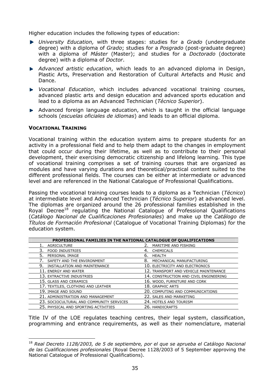Higher education includes the following types of education:

- *University Education,* with three stages: studies for a *Grado* (undergraduate degree) with a diploma of *Grado*; studies for a *Posgrado* (post-graduate degree) with a diploma of *Máster* (Master); and studies for a *Doctorado* (doctorate degree) with a diploma of *Doctor*.
- *Advanced artistic education*, which leads to an advanced diploma in Design, Plastic Arts, Preservation and Restoration of Cultural Artefacts and Music and Dance.
- *Vocational Education*, which includes advanced vocational training courses, advanced plastic arts and design education and advanced sports education and lead to a diploma as an Advanced Technician (*Técnico Superior*).
- Advanced foreign language education, which is taught in the official language schools (*escuelas oficiales de idiomas*) and leads to an official diploma.

#### **VOCATIONAL TRAINING**

 $\overline{a}$ 

Vocational training within the education system aims to prepare students for an activity in a professional field and to help them adapt to the changes in employment that could occur during their lifetime, as well as to contribute to their personal development, their exercising democratic citizenship and lifelong learning. This type of vocational training comprises a set of training courses that are organized as modules and have varying durations and theoretical/practical content suited to the different professional fields. The courses can be either at intermediate or advanced level and are referenced in the National Catalogue of Professional Qualifications.

Passing the vocational training courses leads to a diploma as a Technician (*Técnico*) at intermediate level and Advanced Technician (*Técnico Superior*) at advanced level. The diplomas are organized around the 26 professional families established in the Roval Decree<sup>18</sup> requlating the National Catalogue of Professional Qualifications (*Catálogo Nacional de Cualificaciones Profesionales*) and make up the *Catálogo de Títulos de Formación Profesional* (Catalogue of Vocational Training Diplomas) for the education system.

| PROFESSIONAL FAMILIES IN THE NATIONAL CATALOGUE OF QUALIFICATIONS |                                        |  |  |  |  |  |  |
|-------------------------------------------------------------------|----------------------------------------|--|--|--|--|--|--|
| AGRICULTURE                                                       | MARITIME AND FISHING                   |  |  |  |  |  |  |
| 3.<br><b>FOOD INDUSTRIES</b>                                      | 4. CHEMICALS                           |  |  |  |  |  |  |
| 5.<br>PERSONAL IMAGE                                              | HEALTH<br>6.                           |  |  |  |  |  |  |
| SAFETY AND THE ENVIRONMENT                                        | 8.<br>MECHANICAL MANUFACTURING         |  |  |  |  |  |  |
| 9.<br>INSTALLATION AND MAINTENANCE                                | 10. ELECTRICITY AND ELECTRONICS        |  |  |  |  |  |  |
| 11. ENERGY AND WATER                                              | 12. TRANSPORT AND VEHICLE MAINTENANCE  |  |  |  |  |  |  |
| 13. EXTRACTIVE INDUSTRIES                                         | 14. CONSTRUCTION AND CIVIL ENGINEERING |  |  |  |  |  |  |
| 15. GLASS AND CERAMICS                                            | 16. WOOD, FURNITURE AND CORK           |  |  |  |  |  |  |
| 17. TEXTILES, CLOTHING AND LEATHER                                | 18. GRAPHIC ARTS                       |  |  |  |  |  |  |
| 19. IMAGE AND SOUND                                               | 20. COMPUTING AND COMMUNICATIONS       |  |  |  |  |  |  |
| 21. ADMINISTRATION AND MANAGEMENT                                 | 22. SALES AND MARKETING                |  |  |  |  |  |  |
| 23. SOCIOCULTURAL AND COMMUNITY SERVICES                          | 24. HOTELS AND TOURISM                 |  |  |  |  |  |  |
| 25. PHYSICAL AND SPORTING ACTIVITIES                              | 26. HANDICRAFTS                        |  |  |  |  |  |  |

Title IV of the LOE regulates teaching centres, their legal system, classification, programming and entrance requirements, as well as their nomenclature, material

<sup>18</sup> *Real Decreto 1128/2003, de 5 de septiembre, por el que se aprueba el Catálogo Nacional de las Cualificaciones profesionales* (Royal Decree 1128/2003 of 5 September approving the National Catalogue of Professional Qualifications).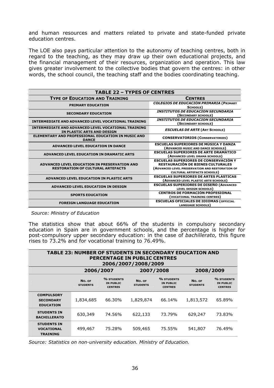and human resources and matters related to private and state-funded private education centres.

The LOE also pays particular attention to the autonomy of teaching centres, both in regard to the teaching, as they may draw up their own educational projects, and the financial management of their resources, organization and operation. This law gives greater involvement to the collective bodies that govern the centres: in other words, the school council, the teaching staff and the bodies coordinating teaching.

| <b>TABLE 22 - TYPES OF CENTRES</b>                                                       |                                                                                                                                                                                   |  |  |  |  |
|------------------------------------------------------------------------------------------|-----------------------------------------------------------------------------------------------------------------------------------------------------------------------------------|--|--|--|--|
| <b>TYPE OF EDUCATION AND TRAINING</b>                                                    | <b>CENTRES</b>                                                                                                                                                                    |  |  |  |  |
| <b>PRIMARY EDUCATION</b>                                                                 | <b>COLEGIOS DE EDUCACIÓN PRIMARIA (PRIMARY</b><br>SCHOOLS)                                                                                                                        |  |  |  |  |
| <b>SECONDARY EDUCATION</b>                                                               | <b>INSTITUTOS DE EDUCACION SECUNDARIA</b><br>(SECONDARY SCHOOLS)                                                                                                                  |  |  |  |  |
| <b>INTERMEDIATE AND ADVANCED LEVEL VOCATIONAL TRAINING</b>                               | <b>INSTITUTOS DE EDUCACION SECUNDARIA</b><br>(SECONDARY SCHOOLS)                                                                                                                  |  |  |  |  |
| <b>INTERMEDIATE AND ADVANCED LEVEL VOCATIONAL TRAINING</b><br>IN PLASTIC ARTS AND DESIGN | <b>ESCUELAS DE ARTE (ART SCHOOLS)</b>                                                                                                                                             |  |  |  |  |
| <b>ELEMENTARY AND PROFESSIONAL EDUCATION IN MUSIC AND</b><br><b>DANCE</b>                | <b>CONSERVATORIOS (CONSERVATORIES)</b>                                                                                                                                            |  |  |  |  |
| <b>ADVANCED LEVEL EDUCATION IN DANCE</b>                                                 | <b>ESCUELAS SUPERIORES DE MÚSICA Y DANZA</b><br>(ADVANCED MUSIC AND DANCE SCHOOLS)                                                                                                |  |  |  |  |
| <b>ADVANCED LEVEL EDUCATION IN DRAMATIC ARTS</b>                                         | <b>ESCUELAS SUPERIORES DE ARTE DRAMÁTICO</b><br>(ADVANCED LEVEL DRAMA SCHOOLS)                                                                                                    |  |  |  |  |
| ADVANCED LEVEL EDUCATION IN PRESERVATION AND<br><b>RESTORATION OF CULTURAL ARTEFACTS</b> | <b>ESCUELAS SUPERIORES DE CONSERVACIÓN Y</b><br><b>RESTAURACIÓN DE BIENES CULTURALES</b><br>(ADVANCED LEVEL PRESERVATION AND RESTORATION OF<br><b>CULTURAL ARTEFACTS SCHOOLS)</b> |  |  |  |  |
| ADVANCED LEVEL EDUCATION IN PLASTIC ARTS                                                 | <b>ESCUELAS SUPERIORES DE ARTES PLÁSTICAS</b><br>(ADVANCED LEVEL PLASTIC ARTS SCHOOLS)                                                                                            |  |  |  |  |
| ADVANCED LEVEL EDUCATION IN DESIGN                                                       | <b>ESCUELAS SUPERIORES DE DISEÑO (ADVANCED</b><br>LEVEL DESIGN SCHOOLS)                                                                                                           |  |  |  |  |
| <b>SPORTS EDUCATION</b>                                                                  | <b>CENTROS DE FORMACIÓN PROFESIONAL</b><br>(VOCATIONAL TRAINING CENTRES)                                                                                                          |  |  |  |  |
| <b>FOREIGN LANGUAGE EDUCATION</b>                                                        | <b>ESCUELAS OFICIALES DE IDIOMAS (OFFICIAL</b><br><b>LANGUAGE SCHOOLS</b>                                                                                                         |  |  |  |  |

*Source: Ministry of Education*

The statistics show that about 66% of the students in compulsory secondary education in Spain are in government schools, and the percentage is higher for post-compulsory upper secondary education: in the case of *bachillerato,* this figure rises to 73.2% and for vocational training to 76.49%.

| <b>TABLE 23: NUMBER OF STUDENTS IN SECONDARY EDUCATION AND</b><br><b>PERCENTAGE IN PUBLIC CENTRES</b><br>2006/2007/2008/2009 |                           |                                                  |                           |                                                  |                           |                                                  |  |  |
|------------------------------------------------------------------------------------------------------------------------------|---------------------------|--------------------------------------------------|---------------------------|--------------------------------------------------|---------------------------|--------------------------------------------------|--|--|
|                                                                                                                              | 2006/2007                 |                                                  | 2007/2008                 |                                                  | 2008/2009                 |                                                  |  |  |
|                                                                                                                              | No. OF<br><b>STUDENTS</b> | % STUDENTS<br><b>IN PUBLIC</b><br><b>CENTRES</b> | No. OF<br><b>STUDENTS</b> | % STUDENTS<br><b>IN PUBLIC</b><br><b>CENTRES</b> | No. OF<br><b>STUDENTS</b> | % STUDENTS<br><b>IN PUBLIC</b><br><b>CENTRES</b> |  |  |
| <b>COMPULSORY</b><br><b>SECONDARY</b><br><b>EDUCATION</b>                                                                    | 1,834,685                 | 66.30%                                           | 1,829,874                 | 66.14%                                           | 1,813,572                 | 65.89%                                           |  |  |
| <b>STUDENTS IN</b><br><b>BACHILLERATO</b>                                                                                    | 630,349                   | 74.56%                                           | 622,133                   | 73.79%                                           | 629,247                   | 73.83%                                           |  |  |
| <b>STUDENTS IN</b><br><b>VOCATIONAL</b><br><b>TRAINING</b>                                                                   | 499,467                   | 75.28%                                           | 509,465                   | 75.55%                                           | 541,807                   | 76.49%                                           |  |  |

*Source: Statistics on non-university education. Ministry of Education.*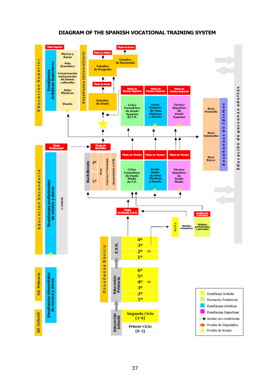### **DIAGRAM OF THE SPANISH VOCATIONAL TRAINING SYSTEM**

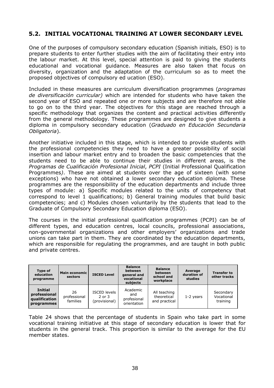# **5.2. INITIAL VOCATIONAL TRAINING AT LOWER SECONDARY LEVEL**

One of the purposes of compulsory secondary education (Spanish initials, ESO) is to prepare students to enter further studies with the aim of facilitating their entry into the labour market. At this level, special attention is paid to giving the students educational and vocational guidance. Measures are also taken that focus on diversity, organization and the adaptation of the curriculum so as to meet the proposed objectives of compulsory ed ucation (ESO).

Included in these measures are curriculum diversification programmes (*programas de diversificación curricular)* which are intended for students who have taken the second year of ESO and repeated one or more subjects and are therefore not able to go on to the third year. The objectives for this stage are reached through a specific methodology that organizes the content and practical activities differently from the general methodology. These programmes are designed to give students a diploma in compulsory secondary education (*Graduado en Educación Secundaria Obligatoria*).

Another initiative included in this stage, which is intended to provide students with the professional competencies they need to have a greater possibility of social insertion and labour market entry and to broaden the basic competencies that the students need to be able to continue their studies in different areas, is the *Programas de Cualificación Profesional Inicial*, *PCPI* (Initial Professional Qualification Programmes*)*. These are aimed at students over the age of sixteen (with some exceptions) who have not obtained a lower secondary education diploma. These programmes are the responsibility of the education departments and include three types of module: a) Specific modules related to the units of competency that correspond to level 1 qualifications; b) General training modules that build basic competencies; and c) Modules chosen voluntarily by the students that lead to the Graduate of Compulsory Secondary Education diploma (ESO).

The courses in the initial professional qualification programmes (PCPI) can be of different types, and education centres, local councils, professional associations, non-governmental organizations and other employers' organizations and trade unions can take part in them. They are coordinated by the education departments, which are responsible for regulating the programmes, and are taught in both public and private centres.

| <b>Type of</b><br>education<br>programme                      | Main economic<br>sectors       | <b>ISCED Level</b>                                 | <b>Balance</b><br>between<br>general and<br>vocational<br>subjects | <b>Balance</b><br>between<br>school and<br>workplace | Average<br>duration of<br>studies | <b>Transfer to</b><br>other tracks  |
|---------------------------------------------------------------|--------------------------------|----------------------------------------------------|--------------------------------------------------------------------|------------------------------------------------------|-----------------------------------|-------------------------------------|
| <b>Initial</b><br>professional<br>qualification<br>programmes | 26<br>professional<br>families | <b>ISCED levels</b><br>$2$ or $3$<br>(provisional) | Academic<br>and<br>profesional<br>orientation                      | All teaching<br>theoretical<br>and practical         | $1-2$ years                       | Secondary<br>Vocational<br>training |

Table 24 shows that the percentage of students in Spain who take part in some vocational training initiative at this stage of secondary education is lower that for students in the general track. This proportion is similar to the average for the EU member states.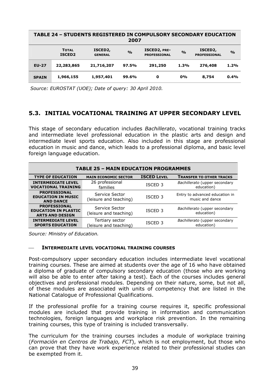| TABLE 24 - STUDENTS REGISTERED IN COMPULSORY SECONDARY EDUCATION<br>2007 |                                    |                                        |               |                                     |               |                                             |               |  |  |
|--------------------------------------------------------------------------|------------------------------------|----------------------------------------|---------------|-------------------------------------|---------------|---------------------------------------------|---------------|--|--|
|                                                                          | <b>TOTAL</b><br>ISCED <sub>2</sub> | ISCED <sub>2</sub> ,<br><b>GENERAL</b> | $\frac{0}{0}$ | ISCED2, PRE-<br><b>PROFESSIONAL</b> | $\frac{0}{0}$ | ISCED <sub>2</sub> ,<br><b>PROFESSIONAL</b> | $\frac{O}{O}$ |  |  |
| <b>EU-27</b>                                                             | 22,283,865                         | 21,716,207                             | 97.5%         | 291,250                             | 1.3%          | 276,408                                     | 1.2%          |  |  |
| <b>SPAIN</b>                                                             | 1,966,155                          | 1,957,401                              | 99.6%         | 0                                   | $0\%$         | 8,754                                       | 0.4%          |  |  |

 *Source: EUROSTAT (UOE); Date of query: 30 April 2010.* 

# **5.3. INITIAL VOCATIONAL TRAINING AT UPPER SECONDARY LEVEL**

This stage of secondary education includes *Bachillerato*, vocational training tracks and intermediate level professional education in the plastic arts and design and intermediate level sports education. Also included in this stage are professional education in music and dance, which leads to a professional diploma, and basic level foreign language education.

| <b>TABLE 25 - MAIN EDUCATION PROGRAMMES</b>                                  |                                          |                    |                                                   |  |  |  |  |  |  |
|------------------------------------------------------------------------------|------------------------------------------|--------------------|---------------------------------------------------|--|--|--|--|--|--|
| <b>TYPE OF EDUCATION</b>                                                     | <b>MAIN ECONOMIC SECTOR</b>              | <b>ISCED LEVEL</b> | <b>TRANSFER TO OTHER TRACKS</b>                   |  |  |  |  |  |  |
| <b>INTERMEDIATE LEVEL</b><br><b>VOCATIONAL TRAINING</b>                      | 26 professional<br>families              | ISCED <sub>3</sub> | Bachillerato (upper secondary<br>education)       |  |  |  |  |  |  |
| <b>PROFESSIONAL</b><br><b>EDUCATION IN MUSIC</b><br><b>AND DANCE</b>         | Service Sector<br>(leisure and teaching) | ISCED <sub>3</sub> | Entry to advanced education in<br>music and dance |  |  |  |  |  |  |
| <b>PROFESSIONAL</b><br><b>EDUCATION IN PLASTIC</b><br><b>ARTS AND DESIGN</b> | Service Sector<br>(leisure and teaching) | ISCED <sub>3</sub> | Bachillerato (upper secondary<br>education)       |  |  |  |  |  |  |
| <b>INTERMEDIATE LEVEL</b><br><b>SPORTS EDUCATION</b>                         | Tertiary sector<br>leisure and teaching) | ISCED <sub>3</sub> | Bachillerato (upper secondary<br>education)       |  |  |  |  |  |  |

*Source: Ministry of Education.*

### ⎯ **INTERMEDIATE LEVEL VOCATIONAL TRAINING COURSES**

Post-compulsory upper secondary education includes intermediate level vocational training courses. These are aimed at students over the age of 16 who have obtained a diploma of graduate of compulsory secondary education (those who are working will also be able to enter after taking a test). Each of the courses includes general objectives and professional modules. Depending on their nature, some, but not all, of these modules are associated with units of competency that are listed in the National Catalogue of Professional Qualifications.

If the professional profile for a training course requires it, specific professional modules are included that provide training in information and communication technologies, foreign languages and workplace risk prevention. In the remaining training courses, this type of training is included transversally.

The curriculum for the training courses includes a module of workplace training (*Formación en Centros de Trabajo, FCT*), which is not employment, but those who can prove that they have work experience related to their professional studies can be exempted from it.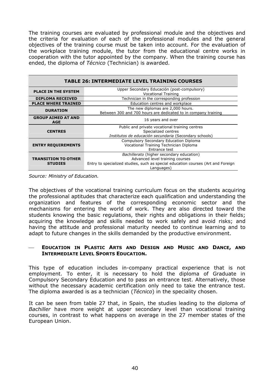The training courses are evaluated by professional module and the objectives and the criteria for evaluation of each of the professional modules and the general objectives of the training course must be taken into account. For the evaluation of the workplace training module, the tutor from the educational centre works in cooperation with the tutor appointed by the company. When the training course has ended, the diploma of *Técnico* (Technician) is awarded.

| <b>TABLE 26: INTERMEDIATE LEVEL TRAINING COURSES</b> |                                                                                                     |  |  |  |  |  |  |  |
|------------------------------------------------------|-----------------------------------------------------------------------------------------------------|--|--|--|--|--|--|--|
| <b>PLACE IN THE SYSTEM</b>                           | Upper Secondary Educación (post-compulsory)<br><b>Vocational Training</b>                           |  |  |  |  |  |  |  |
| <b>DIPLOMA RECEIVED</b>                              | Technician in the corresponding profession                                                          |  |  |  |  |  |  |  |
| <b>PLACE WHERE TRAINED</b>                           | Education centres and workplace                                                                     |  |  |  |  |  |  |  |
| <b>DURATION</b>                                      | The new diplomas are 2,000 hours.<br>Between 300 and 700 hours are dedicated to in company training |  |  |  |  |  |  |  |
| <b>GROUP AIMED AT AND</b><br><b>AGE</b>              | 16 years and over                                                                                   |  |  |  |  |  |  |  |
|                                                      | Public and private vocational training centres                                                      |  |  |  |  |  |  |  |
| <b>CENTRES</b>                                       | Specialized centres                                                                                 |  |  |  |  |  |  |  |
|                                                      | Institutos de educación secundaria (Secondary schools)                                              |  |  |  |  |  |  |  |
|                                                      | Compulsory Secondary Education Diploma                                                              |  |  |  |  |  |  |  |
| <b>ENTRY REQUIREMENTS</b>                            | Vocational Training Technician Diploma                                                              |  |  |  |  |  |  |  |
|                                                      | Entrance test                                                                                       |  |  |  |  |  |  |  |
|                                                      | Bachillerato (higher secondary education)                                                           |  |  |  |  |  |  |  |
| <b>TRANSITION TO OTHER</b>                           | Advanced level training courses                                                                     |  |  |  |  |  |  |  |
| <b>STUDIES</b>                                       | Entry to specialized studies, such as special education courses (Art and Foreign<br>Languages)      |  |  |  |  |  |  |  |

*Source: Ministry of Education.*

The objectives of the vocational training curriculum focus on the students acquiring the professional aptitudes that characterize each qualification and understanding the organization and features of the corresponding economic sector and the mechanisms for entering the world of work. They are also directed toward the students knowing the basic regulations, their rights and obligations in their fields; acquiring the knowledge and skills needed to work safely and avoid risks; and having the attitude and professional maturity needed to continue learning and to adapt to future changes in the skills demanded by the productive environment.

### ⎯ **EDUCATION IN PLASTIC ARTS AND DESIGN AND MUSIC AND DANCE, AND INTERMEDIATE LEVEL SPORTS EDUCATION.**

This type of education includes in-company practical experience that is not employment. To enter, it is necessary to hold the diploma of Graduate in Compulsory Secondary Education and to pass an entrance test. Alternatively, those without the necessary academic certification only need to take the entrance test. The diploma awarded is as a technician (*Técnico*) in the speciality chosen.

It can be seen from table 27 that, in Spain, the studies leading to the diploma of *Bachiller* have more weight at upper secondary level than vocational training courses, in contrast to what happens on average in the 27 member states of the European Union.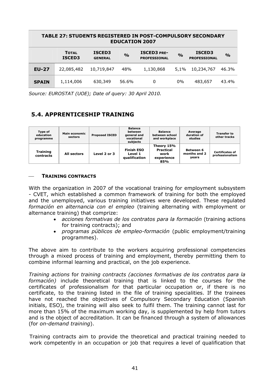| <b>TABLE 27: STUDENTS REGISTERED IN POST-COMPULSORY SECONDARY</b><br><b>EDUCATION 2007</b> |                        |                          |               |                                           |               |                                      |               |  |  |
|--------------------------------------------------------------------------------------------|------------------------|--------------------------|---------------|-------------------------------------------|---------------|--------------------------------------|---------------|--|--|
|                                                                                            | <b>TOTAL</b><br>ISCED3 | ISCED3<br><b>GENERAL</b> | $\frac{0}{0}$ | <b>ISCED3 PRE-</b><br><b>PROFESSIONAL</b> | $\frac{0}{0}$ | <b>ISCED3</b><br><b>PROFESSIONAL</b> | $\frac{0}{0}$ |  |  |
| <b>EU-27</b>                                                                               | 22,085,482             | 10,719,847               | 48%           | 1,130,868                                 | $5.1\%$       | 10,234,767                           | 46.3%         |  |  |
| <b>SPAIN</b>                                                                               | 1,114,006              | 630,349                  | 56.6%         | 0                                         | $0\%$         | 483,657                              | 43.4%         |  |  |

*Source: EUROSTAT (UOE); Date of query: 30 April 2010.*

# **5.4. APPRENTICESHIP TRAINING**

| Type of<br>education<br>programme | Main economic<br>sectors | <b>Proposed ISCED</b> | <b>Balance</b><br>between<br>general and<br>vocational<br>subjects | <b>Balance</b><br>between school<br>and workplace           | Average<br>duration of<br>studies         | <b>Transfer to</b><br>other tracks        |
|-----------------------------------|--------------------------|-----------------------|--------------------------------------------------------------------|-------------------------------------------------------------|-------------------------------------------|-------------------------------------------|
| <b>Training</b><br>contracts      | All sectors              | Level 2 or 3          | <b>Finish ESO</b><br>Level 1<br><b>gualification</b>               | Theory 15%<br><b>Practical</b><br>work<br>experience<br>85% | <b>Between 6</b><br>months and 2<br>years | <b>Certificates of</b><br>professionalism |

### ⎯ **TRAINING CONTRACTS**

With the organization in 2007 of the vocational training for employment subsystem - CVET, which established a common framework of training for both the employed and the unemployed, various training initiatives were developed. These regulated *formación en alternancia con el empleo* (training alternating with employment or alternance training) that comprize:

- *acciones formativas de los contratos para la formación* (training actions for training contracts); and
- *programas públicos de empleo-formación* (public employment/training programmes).

The above aim to contribute to the workers acquiring professional competencies through a mixed process of training and employment, thereby permitting them to combine informal learning and practical, on the job experience.

*Training actions* for *training contracts (acciones formativas de los contratos para la formación)* include theoretical training that is linked to the courses for the certificates of professionalism for that particular occupation or, if there is no certificate, to the training listed in the file of training specialities. If the trainees have not reached the objectives of Compulsory Secondary Education (Spanish initials, ESO), the training will also seek to fulfil them. The training cannot last for more than 15% of the maximum working day, is supplemented by help from tutors and is the object of accreditation. It can be financed through a system of allowances (for *on-demand training*).

Training contracts aim to provide the theoretical and practical training needed to work competently in an occupation or job that requires a level of qualification that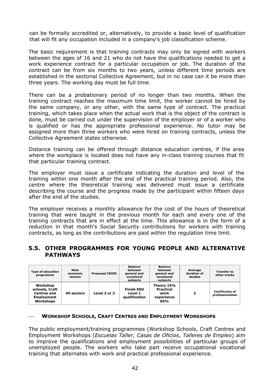can be formally accredited or, alternatively, to provide a basic level of qualification that will fit any occupation included in a company's job classification scheme.

The basic requirement is that training contracts may only be signed with workers between the ages of 16 and 21 who do not have the qualifications needed to get a work experience contract for a particular occupation or job. The duration of the contract can be from six months to two years, unless different time periods are established in the sectorial Collective Agreement, but in no case can it be more than three years. The working day must be full time.

There can be a probationary period of no longer than two months. When the training contract reaches the maximum time limit, the worker cannot be hired by the same company, or any other, with the same type of contract. The practical training, which takes place when the actual work that is the object of the contract is done, must be carried out under the supervision of the employer or of a worker who is qualified or has the appropriate professional experience. No tutor may be assigned more than three workers who were hired on training contracts, unless the Collective Agreement states otherwise.

Distance training can be offered through distance education centres, if the area where the workplace is located does not have any in-class training courses that fit that particular training contract.

The employer must issue a certificate indicating the duration and level of the training within one month after the end of the practical training period. Also, the centre where the theoretical training was delivered must issue a certificate describing the course and the progress made by the participant within fifteen days after the end of the studies.

The employer receives a monthly allowance for the cost of the hours of theoretical training that were taught in the previous month for each and every one of the training contracts that are in effect at the time. This allowance is in the form of a reduction in that month's Social Security contributions for workers with training contracts, as long as the contributions are paid within the regulation time limit.

### **5.5. OTHER PROGRAMMES FOR YOUNG PEOPLE AND ALTERNATIVE PATHWAYS**

| <b>Type of education</b><br>programme                                              | Main<br>economic<br>sectors | <b>Proposed ISCED</b> | <b>Balance</b><br>between<br>general and<br>vocational<br>subjects | <b>Balance</b><br>between<br>general and<br>vocational<br>subjects | Average<br>duration of<br>studies | <b>Transfer to</b><br>other tracks        |
|------------------------------------------------------------------------------------|-----------------------------|-----------------------|--------------------------------------------------------------------|--------------------------------------------------------------------|-----------------------------------|-------------------------------------------|
| Workshop<br>schools, Craft<br><b>Centres and</b><br><b>Employment</b><br>Workshops | All sectors                 | Level 2 or 3          | <b>Finish ESO</b><br>Level 1<br>qualification                      | Theory 15%<br><b>Practical</b><br>work<br>experience<br>85%        | 2                                 | <b>Certificates of</b><br>professionalism |

### ⎯ **WORKSHOP SCHOOLS, CRAFT CENTRES AND EMPLOYMENT WORKSHOPS**

The public employment/training programmes (Workshop Schools, Craft Centres and Employment Workshops (*Escuelas Taller*, *Casas de Oficios*, *Talleres de Empleo*) aim to improve the qualifications and employment possibilities of particular groups of unemployed people. The workers who take part receive occupational vocational training that alternates with work and practical professional experience.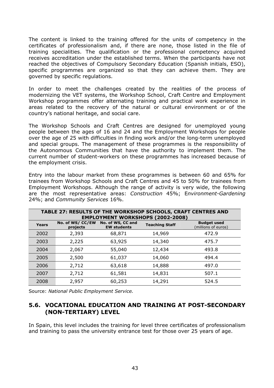The content is linked to the training offered for the units of competency in the certificates of professionalism and, if there are none, those listed in the file of training specialities. The qualification or the professional competency acquired receives accreditation under the established terms. When the participants have not reached the objectives of Compulsory Secondary Education (Spanish initials, ESO), specific programmes are organized so that they can achieve them. They are governed by specific regulations.

In order to meet the challenges created by the realities of the process of modernizing the VET systems, the Workshop School, Craft Centre and Employment Workshop programmes offer alternating training and practical work experience in areas related to the recovery of the natural or cultural environment or of the country's national heritage, and social care.

The Workshop Schools and Craft Centres are designed for unemployed young people between the ages of 16 and 24 and the Employment Workshops for people over the age of 25 with difficulties in finding work and/or the long-term unemployed and special groups. The management of these programmes is the responsibility of the Autonomous Communities that have the authority to implement them. The current number of student-workers on these programmes has increased because of the employment crisis.

Entry into the labour market from these programmes is between 60 and 65% for trainees from Workshop Schools and Craft Centres and 45 to 50% for trainees from Employment Workshops. Although the range of activity is very wide, the following are the most representative areas: *Construction* 45%; E*nvironment-Gardening*  24%; and *Community Services* 16%.

|       | TABLE 27: RESULTS OF THE WORKSHOP SCHOOLS, CRAFT CENTRES AND<br><b>EMPLOYMENT WORKSHOPS (2002-2008)</b> |                                         |                       |                                           |  |  |  |  |  |  |
|-------|---------------------------------------------------------------------------------------------------------|-----------------------------------------|-----------------------|-------------------------------------------|--|--|--|--|--|--|
| Years | No. of WS/CC/EW<br>projects                                                                             | No. of WS, CC and<br><b>EW students</b> | <b>Teaching Staff</b> | <b>Budget used</b><br>(millions of euros) |  |  |  |  |  |  |
| 2002  | 2,393                                                                                                   | 68,871                                  | 14,969                | 472.9                                     |  |  |  |  |  |  |
| 2003  | 2,225                                                                                                   | 63,925                                  | 14,340                | 475.7                                     |  |  |  |  |  |  |
| 2004  | 2,067                                                                                                   | 55,040                                  | 12,434                | 493.8                                     |  |  |  |  |  |  |
| 2005  | 2,500                                                                                                   | 61,037                                  | 14,060                | 494.4                                     |  |  |  |  |  |  |
| 2006  | 2,712                                                                                                   | 63,618                                  | 14,888                | 497.0                                     |  |  |  |  |  |  |
| 2007  | 2,712                                                                                                   | 61,581                                  | 14,831                | 507.1                                     |  |  |  |  |  |  |
| 2008  | 2,957                                                                                                   | 60,253                                  | 14,291                | 524.5                                     |  |  |  |  |  |  |

Source: *National Public Employment Service.*

# **5.6. VOCATIONAL EDUCATION AND TRAINING AT POST-SECONDARY (NON-TERTIARY) LEVEL**

In Spain, this level includes the training for level three certificates of professionalism and training to pass the university entrance test for those over 25 years of age.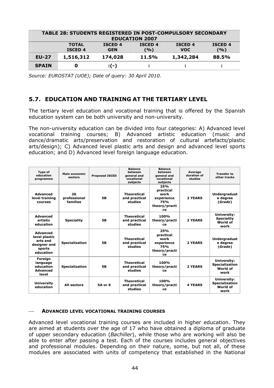| <b>TABLE 28: STUDENTS REGISTERED IN POST-COMPULSORY SECONDARY</b><br><b>EDUCATION 2007</b> |                                |                              |                       |                              |                       |  |  |  |
|--------------------------------------------------------------------------------------------|--------------------------------|------------------------------|-----------------------|------------------------------|-----------------------|--|--|--|
|                                                                                            | <b>TOTAL</b><br><b>ISCED 4</b> | <b>ISCED 4</b><br><b>GEN</b> | <b>ISCED 4</b><br>(%) | <b>ISCED 4</b><br><b>VOC</b> | <b>ISCED 4</b><br>(%) |  |  |  |
| $EU-27$                                                                                    | 1,516,312                      | 174,028                      | <b>11.5%</b>          | 1,342,284                    | 88.5%                 |  |  |  |
| <b>SPAIN</b>                                                                               | O                              | $: (-)$                      |                       |                              |                       |  |  |  |

*Source: EUROSTAT (UOE); Date of query: 30 April 2010.*

# **5.7. EDUCATION AND TRAINING AT THE TERTIARY LEVEL**

The tertiary level education and vocational training that is offered by the Spanish education system can be both university and non-university.

The non-university education can be divided into four categories: A) Advanced level vocational training courses; B) Advanced artistic education (music and dance/dramatic arts/preservation and restoration of cultural artefacts/plastic arts/design); C) Advanced level plastic arts and design and advanced level sports education; and D) Advanced level foreign language education.

| Type of<br>education<br>programme                                                   | Main economic<br>sectors       | <b>Proposed ISCED</b> | <b>Balance</b><br>hetween<br>general and<br>vocational<br>subjects | <b>Balance</b><br>hetween<br>general and<br>vocational<br>subjects          | Average<br>duration of<br>studies | <b>Transfer to</b><br>other tracks                       |
|-------------------------------------------------------------------------------------|--------------------------------|-----------------------|--------------------------------------------------------------------|-----------------------------------------------------------------------------|-----------------------------------|----------------------------------------------------------|
| <b>Advanced</b><br>level training<br>courses                                        | 26<br>professional<br>families | <b>5B</b>             | <b>Theoretical</b><br>and practical<br>studies                     | 25%<br>practical<br>work<br>experience<br><b>75%</b><br>theory/practi<br>ce | 2 YEARS                           | <b>Undergraduat</b><br>e degree<br>(Grado)               |
| <b>Advanced</b><br>artistic<br>education                                            | <b>Speciality</b>              | <b>5B</b>             | <b>Theoretical</b><br>and practical<br>studies                     | 100%<br>theory/practi<br>ce                                                 | 2 YEARS                           | University:<br><b>Speciality</b><br>World of<br>work     |
| <b>Advanced</b><br>level plastic<br>arts and<br>designer and<br>sports<br>education | <b>Specialization</b>          | 5B                    | <b>Theoretical</b><br>and practical<br>studies                     | 25%<br>practical<br>work<br>experience<br><b>75%</b><br>theory/practi<br>ce | 2 YEARS                           | <b>Undergraduat</b><br>e degree<br>(Grado)               |
| Foreign<br>language<br>education<br><b>Advanced</b><br>level                        | <b>Specialization</b>          | <b>5B</b>             | <b>Theoretical</b><br>and practical<br>studies                     | 100%<br>theory/practi<br>ce                                                 | 2 YEARS                           | University:<br><b>Specialization</b><br>World of<br>work |
| <b>University</b><br>education                                                      | <b>All sectors</b>             | 5A or 6               | <b>Theoretical</b><br>and practical<br>studies                     | 100%<br>theory/practi<br>ce                                                 | <b>4 YEARS</b>                    | University:<br><b>Specialization</b><br>World of<br>work |

### ⎯ **ADVANCED LEVEL VOCATIONAL TRAINING COURSES**

Advanced level vocational training courses are included in higher education. They are aimed at students over the age of 17 who have obtained a diploma of graduate of upper secondary education (*Bachiller*), while those who are working will also be able to enter after passing a test. Each of the courses includes general objectives and professional modules. Depending on their nature, some, but not all, of these modules are associated with units of competency that established in the National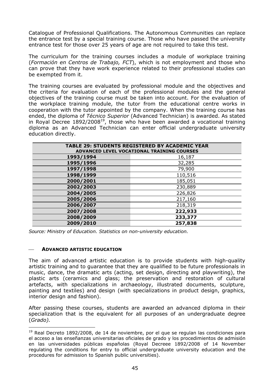Catalogue of Professional Qualifications. The Autonomous Communities can replace the entrance test by a special training course. Those who have passed the university entrance test for those over 25 years of age are not required to take this test.

The curriculum for the training courses includes a module of workplace training (*Formación en Centros de Trabajo, FCT*), which is not employment and those who can prove that they have work experience related to their professional studies can be exempted from it.

The training courses are evaluated by professional module and the objectives and the criteria for evaluation of each of the professional modules and the general objectives of the training course must be taken into account. For the evaluation of the workplace training module, the tutor from the educational centre works in cooperation with the tutor appointed by the company. When the training course has ended, the diploma of *Técnico Superior* (Advanced Technician) is awarded. As stated in Royal Decree 1892/200819, those who have been awarded a vocational training diploma as an Advanced Technician can enter official undergraduate university education directly.

|           | <b>TABLE 29: STUDENTS REGISTERED BY ACADEMIC YEAR</b><br>ADVANCED LEVEL VOCATIONAL TRAINING COURSES |
|-----------|-----------------------------------------------------------------------------------------------------|
| 1993/1994 | 16,187                                                                                              |
| 1995/1996 | 32,285                                                                                              |
| 1997/1998 | 79,900                                                                                              |
| 1998/1999 | 110,516                                                                                             |
| 2000/2001 | 185,051                                                                                             |
| 2002/2003 | 230,889                                                                                             |
| 2004/2005 | 226,826                                                                                             |
| 2005/2006 | 217,160                                                                                             |
| 2006/2007 | 218,319                                                                                             |
| 2007/2008 | 222,933                                                                                             |
| 2008/2009 | 233,377                                                                                             |
| 2009/2010 | 257,838                                                                                             |

*Source: Ministry of Education. Statistics on non-university education.*

### ⎯ **ADVANCED ARTISTIC EDUCATION**

 $\overline{a}$ 

The aim of advanced artistic education is to provide students with high-quality artistic training and to guarantee that they are qualified to be future professionals in music, dance, the dramatic arts (acting, set design, directing and playwriting), the plastic arts (ceramics and glass; the preservation and restoration of cultural artefacts, with specializations in archaeology, illustrated documents, sculpture, painting and textiles) and design (with specializations in product design, graphics, interior design and fashion).

After passing these courses, students are awarded an advanced diploma in their specialization that is the equivalent for all purposes of an undergraduate degree (*Grado).*

 $19$  Real Decreto 1892/2008, de 14 de noviembre, por el que se regulan las condiciones para el acceso a las enseñanzas universitarias oficiales de grado y los procedimientos de admisión en las universidades públicas españolas (Royal Decreee 1892/2008 of 14 November regulating the conditions for entry to official undergraduate university education and the procedures for admission to Spanish public universities).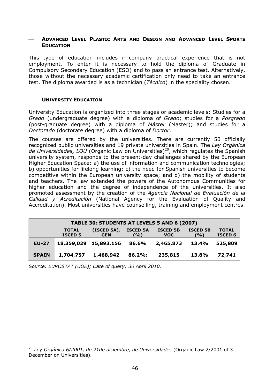### ⎯ **ADVANCED LEVEL PLASTIC ARTS AND DESIGN AND ADVANCED LEVEL SPORTS EDUCATION**

This type of education includes in-company practical experience that is not employment. To enter it is necessary to hold the diploma of Graduate in Compulsory Secondary Education (ESO) and to pass an entrance test. Alternatively, those without the necessary academic certification only need to take an entrance test. The diploma awarded is as a technician (*Técnico*) in the speciality chosen.

#### **UNIVERSITY EDUCATION**

University Education is organized into three stages or academic levels: Studies for a *Grado* (undergraduate degree) with a diploma of *Grado*; studies for a *Posgrado* (post-graduate degree) with a diploma of *Máster* (Master); and studies for a *Doctorado* (doctorate degree) with a diploma of *Doctor*.

The courses are offered by the universities. There are currently 50 officially recognized public universities and 19 private universities in Spain. The *Ley Orgánica de Universidades, LOU* (Organic Law on Universities)<sup>20</sup>, which regulates the Spanish university system, responds to the present-day challenges shared by the European Higher Education Space: a) the use of information and communication technologies; b) opportunities for lifelong learning; c) the need for Spanish universities to become competitive within the European university space; and d) the mobility of students and teachers. The law extended the powers of the Autonomous Communities for higher education and the degree of independence of the universities. It also promoted assessment by the creation of the *Agencia Nacional de Evaluación de la Calidad y Acreditación* (National Agency for the Evaluation of Quality and Accreditation). Most universities have counselling, training and employment centres.

| TABLE 30: STUDENTS AT LEVELS 5 AND 6 (2007) |                                |                           |                         |                               |                          |                                |  |  |
|---------------------------------------------|--------------------------------|---------------------------|-------------------------|-------------------------------|--------------------------|--------------------------------|--|--|
|                                             | <b>TOTAL</b><br><b>ISCED 5</b> | (ISCED 5A).<br><b>GEN</b> | <b>ISCED 5A</b><br>( %) | <b>ISCED 5B</b><br><b>VOC</b> | <b>ISCED 5B</b><br>(9/0) | <b>TOTAL</b><br><b>ISCED 6</b> |  |  |
| <b>EU-27</b>                                | 18,359,029                     | 15,893,156                | 86.6%                   | 2,465,873                     | 13.4%                    | 525,809                        |  |  |
| <b>SPAIN</b>                                | 1,704,757                      | 1,468,942                 | $86.2\%$ :              | 235,815                       | 13.8%                    | 72,741                         |  |  |

*Source: EUROSTAT (UOE); Date of query: 30 April 2010.*

 $\overline{a}$ 

<sup>20</sup> *Ley Orgánica 6/2001, de 21de diciembre, de Universidades* (Organic Law 2/2001 of 3 December on Universities).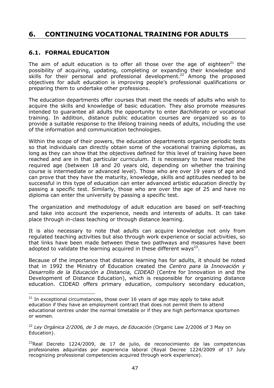# **6. CONTINUING VOCATIONAL TRAINING FOR ADULTS**

# **6.1. FORMAL EDUCATION**

 $\overline{a}$ 

The aim of adult education is to offer all those over the age of eighteen<sup>21</sup> the possibility of acquiring, updating, completing or expanding their knowledge and skills for their personal and professional development.<sup>22</sup> Among the proposed objectives for adult education is improving people's professional qualifications or preparing them to undertake other professions.

The education departments offer courses that meet the needs of adults who wish to acquire the skills and knowledge of basic education. They also promote measures intended to guarantee all adults the opportunity to enter *Bachillerato* or vocational training. In addition, distance public education courses are organized so as to provide a suitable response to the lifelong training needs of adults, including the use of the information and communication technologies.

Within the scope of their powers, the education departments organize periodic tests so that individuals can directly obtain some of the vocational training diplomas, as long as they can show that the objectives defined for this level of training have been reached and are in that particular curriculum. It is necessary to have reached the required age (between 18 and 20 years old, depending on whether the training course is intermediate or advanced level). Those who are over 19 years of age and can prove that they have the maturity, knowledge, skills and aptitudes needed to be successful in this type of education can enter advanced artistic education directly by passing a specific test. Similarly, those who are over the age of 25 and have no diploma can enter the university by passing a specific test.

The organization and methodology of adult education are based on self-teaching and take into account the experience, needs and interests of adults. It can take place through in-class teaching or through distance learning.

It is also necessary to note that adults can acquire knowledge not only from regulated teaching activities but also through work experience or social activities, so that links have been made between these two pathways and measures have been adopted to validate the learning acquired in these different ways<sup>23</sup>.

Because of the importance that distance learning has for adults, it should be noted that in 1992 the Ministry of Education created the *Centro para la Innovación y Desarrollo de la Educación a Distancia, CIDEAD* (Centre for Innovation in and the Development of Distance Education), which is responsible for organizing distance education. CIDEAD offers primary education, compulsory secondary education,

 $21$  In exceptional circumstances, those over 16 years of age may apply to take adult education if they have an employment contract that does not permit them to attend educational centres under the normal timetable or if they are high performance sportsmen or women.

<sup>22</sup> *Ley Orgánica 2/2006, de 3 de mayo, de Educación* (Organic Law 2/2006 of 3 May on Education).

 $^{23}$ Real Decreto 1224/2009, de 17 de julio, de reconocimiento de las competencias profesionales adquiridas por experiencia laboral (Royal Decree 1224/2009 of 17 July recognizing professional competencies acquired through work experience).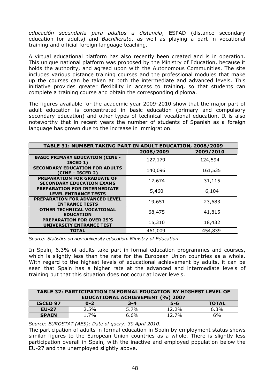*educación secundaria para adultos a distancia*, ESPAD (distance secondary education for adults) and *Bachillerato*, as well as playing a part in vocational training and official foreign language teaching.

A virtual educational platform has also recently been created and is in operation. This unique national platform was proposed by the Ministry of Education, because it holds the authority, and agreed upon with the Autonomous Communities. The site includes various distance training courses and the professional modules that make up the courses can be taken at both the intermediate and advanced levels. This initiative provides greater flexibility in access to training, so that students can complete a training course and obtain the corresponding diploma.

The figures available for the academic year 2009-2010 show that the major part of adult education is concentrated in basic education (primary and compulsory secondary education) and other types of technical vocational education. It is also noteworthy that in recent years the number of students of Spanish as a foreign language has grown due to the increase in immigration.

| TABLE 31: NUMBER TAKING PART IN ADULT EDUCATION, 2008/2009             |           |           |  |  |
|------------------------------------------------------------------------|-----------|-----------|--|--|
|                                                                        | 2008/2009 | 2009/2010 |  |  |
| <b>BASIC PRIMARY EDUCATION (CINE -</b><br>ISCED 1)                     | 127,179   | 124,594   |  |  |
| <b>SECONDARY EDUCATION FOR ADULTS</b><br>(CINE – ISCED 2)              | 140,096   | 161,535   |  |  |
| <b>PREPARATION FOR GRADUATE OF</b><br><b>SECONDARY EDUCATION EXAMS</b> | 17,674    | 31,115    |  |  |
| <b>PREPARATION FOR INTERMEDIATE</b><br><b>LEVEL ENTRANCE TESTS</b>     | 5,460     | 6,104     |  |  |
| <b>PREPARATION FOR ADVANCED LEVEL</b><br><b>ENTRANCE TESTS</b>         | 19,651    | 23,683    |  |  |
| <b>OTHER TECHNICAL VOCATIONAL</b><br><b>EDUCATION</b>                  | 68,475    | 41,815    |  |  |
| <b>PREPARATION FOR OVER 25'S</b><br><b>UNIVERSITY ENTRANCE TEST</b>    | 15,310    | 18,432    |  |  |
| <b>TOTAL</b>                                                           | 461,009   | 454,839   |  |  |

*Source: Statistics on non-university education. Ministry of Education.*

In Spain, 6.3% of adults take part in formal education programmes and courses, which is slightly less than the rate for the European Union countries as a whole. With regard to the highest levels of educational achievement by adults, it can be seen that Spain has a higher rate at the advanced and intermediate levels of training but that this situation does not occur at lower levels.

| TABLE 32: PARTICIPATION IN FORMAL EDUCATION BY HIGHEST LEVEL OF<br><b>EDUCATIONAL ACHIEVEMENT (%) 2007</b> |         |         |          |              |
|------------------------------------------------------------------------------------------------------------|---------|---------|----------|--------------|
| <b>ISCED 97</b>                                                                                            | $0 - 2$ | $3 - 4$ | $5 - 6$  | <b>TOTAL</b> |
| <b>EU-27</b>                                                                                               | $2.5\%$ | 5.7%    | $12.2\%$ | $6.3\%$      |
| <b>SPAIN</b>                                                                                               | 1.7%    | 6.6%    | 12.7%    | 6%           |

*Source: EUROSTAT (AES); Date of query: 30 April 2010.*

The participation of adults in formal education in Spain by employment status shows similar figures to the European Union countries as a whole. There is slightly less participation overall in Spain, with the inactive and employed population below the EU-27 and the unemployed slightly above.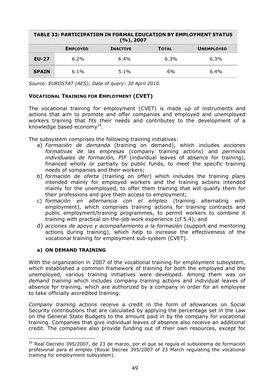| <b>TABLE 33: PARTICIPATION IN FORMAL EDUCATION BY EMPLOYMENT STATUS</b><br>(%), 2007 |                 |                 |              |                   |  |
|--------------------------------------------------------------------------------------|-----------------|-----------------|--------------|-------------------|--|
|                                                                                      | <b>EMPLOYED</b> | <b>INACTIVE</b> | <b>TOTAL</b> | <b>UNEMPLOYED</b> |  |
| <b>EU-27</b>                                                                         | $6.2\%$         | 6.4%            | $6.3\%$      | $6.3\%$           |  |
| <b>SPAIN</b>                                                                         | $6.1\%$         | $5.1\%$         | 6%           | $6.4\%$           |  |

*Source: EUROSTAT (AES); Date of query: 30 April 2010.*

# **VOCATIONAL TRAINING FOR EMPLOYMENT (CVET)**

The vocational training for employment (CVET) is made up of instruments and actions that aim to promote and offer companies and employed and unemployed workers training that fits their needs and contributes to the development of a knowledge based economy $^{24}$ .

The subsystem comprises the following training initiatives:

- a) *Formación de demanda* (training on demand), which includes *acciones formativas de las empresas* (company training actions) and *permisos individuales de formación, PIF* (individual leaves of absence for training), financed wholly or partially by public funds, to meet the specific training needs of companies and their workers;
- b) *formación de oferta* (training on offer) which includes the training plans intended mainly for employed workers and the training actions intended mainly for the unemployed, to offer them training that will qualify them for their professions and give them access to employment;
- c) *formación en alternancia con el empleo* (training alternating with employment), which comprises training actions for training contracts and public employment/training programmes, to permit workers to combine it training with practical on-the-job work experience (cf 5.4); and
- d) *acciones de apoyo y acompañamiento a la formación* (support and mentoring actions during training), which help to increase the effectiveness of the vocational training for employment sub-system (CVET).

### **a) ON DEMAND TRAINING**

 $\overline{a}$ 

With the organization in 2007 of the vocational training for employment subsystem, which established a common framework of training for both the employed and the unemployed, various training initiatives were developed. Among them was *on demand training* which includes company training actions and individual leaves of absence for training, which are authorized by a company in order for an employee to take officially accredited training.

*Company training actions* receive a credit in the form of allowances on Social Security contributions that are calculated by applying the percentage set in the Law on the General State Budgets to the amount paid in by the company for vocational training. Companies that give individual leaves of absence also receive an additional credit. The companies also provide funding out of their own resources, except for

<sup>&</sup>lt;sup>24</sup> Real Decreto 395/2007, de 23 de marzo, por el que se regula el subsistema de formación profesional para el empleo (Royal Decree 395/2007 of 23 March regulating the vocational training for employment subsystem).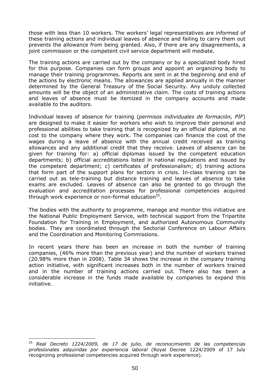those with less than 10 workers. The workers' legal representatives are informed of these training actions and individual leaves of absence and failing to carry them out prevents the allowance from being granted. Also, if there are any disagreements, a joint commission or the competent civil service department will mediate.

The training actions are carried out by the company or by a specialized body hired for this purpose. Companies can form groups and appoint an organizing body to manage their training programmes. Reports are sent in at the beginning and end of the actions by electronic means. The allowances are applied annually in the manner determined by the General Treasury of the Social Security. Any unduly collected amounts will be the object of an administrative claim. The costs of training actions and leaves of absence must be itemized in the company accounts and made available to the auditors.

Individual leaves of absence for training (*permisos individuales de formación, PIF*) are designed to make it easier for workers who wish to improve their personal and professional abilities to take training that is recognized by an official diploma, at no cost to the company where they work. The companies can finance the cost of the wages during a leave of absence with the annual credit received as training allowances and any additional credit that they receive. Leaves of absence can be given for training for: a) official diplomas issued by the competent education departments; b) official accreditations listed in national regulations and issued by the competent department; c) certificates of professionalism; d) training actions that form part of the support plans for sectors in crisis. In-class training can be carried out as tele-training but distance training and leaves of absence to take exams are excluded. Leaves of absence can also be granted to go through the evaluation and accreditation processes for professional competencies acquired through work experience or non-formal education<sup>25</sup>.

The bodies with the authority to programme, manage and monitor this initiative are the National Public Employment Service, with technical support from the Tripartite Foundation for Training in Employment, and authorized Autonomous Community bodies. They are coordinated through the Sectorial Conference on Labour Affairs and the Coordination and Monitoring Commissions.

In recent years there has been an increase in both the number of training companies, (46% more than the previous year) and the number of workers trained (20.98% more than in 2008). Table 34 shows the increase in the company training action initiative, with significant increases both in the number of workers trained and in the number of training actions carried out. There also has been a considerable increase in the funds made available by companies to expand this initiative.

 $\overline{a}$ 

<sup>25</sup> *Real Decreto 1224/2009, de 17 de julio, de reconocimiento de las competencias profesionales adquiridas por experiencia laboral* (Royal Decree 1224/2009 of 17 July recognizing professional competencies acquired through work experience).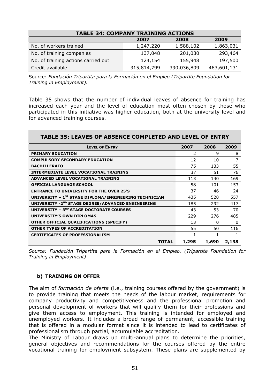| <b>TABLE 34: COMPANY TRAINING ACTIONS</b> |             |             |             |  |  |
|-------------------------------------------|-------------|-------------|-------------|--|--|
| 2008<br>2007<br>2009                      |             |             |             |  |  |
| No. of workers trained                    | 1,247,220   | 1,588,102   | 1,863,031   |  |  |
| No. of training companies                 | 137,048     | 201,030     | 293,464     |  |  |
| No. of training actions carried out       | 124,154     | 155,948     | 197,500     |  |  |
| Credit available                          | 315,814,799 | 390,036,809 | 463,601,131 |  |  |

Source: *Fundación Tripartita para la Formación en el Empleo (Tripartite Foundation for Training in Employment).*

Table 35 shows that the number of individual leaves of absence for training has increased each year and the level of education most often chosen by those who participated in this initiative was higher education, both at the university level and for advanced training courses.

| TABLE 35: LEAVES OF ABSENCE COMPLETED AND LEVEL OF ENTRY          |       |          |       |  |
|-------------------------------------------------------------------|-------|----------|-------|--|
| <b>LEVEL OF ENTRY</b>                                             | 2007  | 2008     | 2009  |  |
| <b>PRIMARY EDUCATION</b>                                          | 2     | 9        | 8     |  |
| <b>COMPULSORY SECONDARY EDUCATION</b>                             | 12    | 10       | 7     |  |
| <b>BACHILLERATO</b>                                               | 75    | 133      | 55    |  |
| <b>INTERMEDIATE LEVEL VOCATIONAL TRAINING</b>                     | 37    | 51       | 76    |  |
| ADVANCED LEVEL VOCATIONAL TRAINING                                | 113   | 140      | 169   |  |
| <b>OFFICIAL LANGUAGE SCHOOL</b>                                   | 58    | 101      | 153   |  |
| <b>ENTRANCE TO UNIVERSITY FOR THE OVER 25'S</b>                   | 37    | 46       | 24    |  |
| UNIVERSITY - 1 <sup>ST</sup> STAGE DIPLOMA/ENGINEERING TECHNICIAN | 435   | 528      | 557   |  |
| UNIVERSITY - 2 <sup>ND</sup> STAGE DEGREE/ADVANCED ENGINEERING    | 185   | 292      | 417   |  |
| <b>UNIVERSITY - 3RD STAGE DOCTORATE COURSES</b>                   | 43    | 53       | 70    |  |
| UNIVERSITY'S OWN DIPLOMAS                                         | 229   | 276      | 485   |  |
| OTHER OFFICIAL QUALIFICATIONS (SPECIFY)                           | 13    | $\Omega$ | 0     |  |
| <b>OTHER TYPES OF ACCREDITATION</b>                               | 55    | 50       | 116   |  |
| <b>CERTIFICATES OF PROFESSIONALISM</b>                            | 1     | 1        | 1     |  |
| <b>TOTAL</b>                                                      | 1,295 | 1,690    | 2,138 |  |

*Source: Fundación Tripartita para la Formación en el Empleo. (Tripartite Foundation for Training in Employment)* 

### **b) TRAINING ON OFFER**

The aim of *formación de oferta* (i.e., training courses offered by the government) is to provide training that meets the needs of the labour market, requirements for company productivity and competitiveness and the professional promotion and personal development of workers that will qualify them for their professions and give them access to employment. This training is intended for employed and unemployed workers. It includes a broad range of permanent, accessible training that is offered in a modular format since it is intended to lead to certificates of professionalism through partial, accumulable accreditation.

The Ministry of Labour draws up multi-annual plans to determine the priorities, general objectives and recommendations for the courses offered by the entire vocational training for employment subsystem. These plans are supplemented by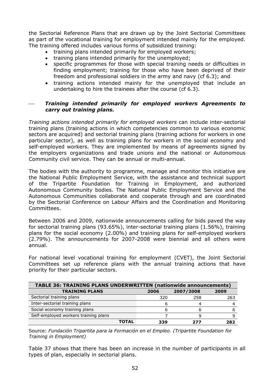the Sectorial Reference Plans that are drawn up by the Joint Sectorial Committees as part of the vocational training for employment intended mainly for the employed. The training offered includes various forms of subsidized training:

- training plans intended primarily for employed workers;
- training plans intended primarily for the unemployed;
- specific programmes for those with special training needs or difficulties in finding employment; training for those who have been deprived of their freedom and professional soldiers in the army and navy (cf 6.3); and
- training actions intended mainly for the unemployed that include an undertaking to hire the trainees after the course (cf 6.3).

### ⎯ *Training intended primarily for employed workers Agreements to carry out training plans.*

*Training actions intended primarily for employed workers* can include inter-sectorial training plans (training actions in which competencies common to various economic sectors are acquired) and sectorial training plans (training actions for workers in one particular sector), as well as training plans for workers in the social economy and self-employed workers. They are implemented by means of agreements signed by the employers organizations and trade unions and the national or Autonomous Community civil service. They can be annual or multi-annual.

The bodies with the authority to programme, manage and monitor this initiative are the National Public Employment Service, with the assistance and technical support of the Tripartite Foundation for Training in Employment, and authorized Autonomous Community bodies. The National Public Employment Service and the Autonomous Communities collaborate and cooperate through and are coordinated by the Sectorial Conference on Labour Affairs and the Coordination and Monitoring Committees.

Between 2006 and 2009, nationwide announcements calling for bids paved the way for sectorial training plans (93.65%), inter-sectorial training plans (1.56%), training plans for the social economy (2.00%) and training plans for self-employed workers (2.79%). The announcements for 2007-2008 were biennial and all others were annual.

For national level vocational training for employment (CVET), the Joint Sectorial Committees set up reference plans with the annual training actions that have priority for their particular sectors.

| <b>TABLE 36: TRAINING PLANS UNDERWRITTEN (nationwide announcements)</b> |              |     |     |     |  |
|-------------------------------------------------------------------------|--------------|-----|-----|-----|--|
| <b>TRAINING PLANS</b><br>2007/2008<br>2009<br>2006                      |              |     |     |     |  |
| Sectorial training plans                                                |              | 320 | 258 | 263 |  |
| Inter-sectorial training plans                                          |              |     |     |     |  |
| Social economy training plans                                           |              |     |     |     |  |
| Self-employed workers training plans                                    |              |     |     |     |  |
|                                                                         | <b>TOTAL</b> | 339 | フフフ | 282 |  |

Source: *Fundación Tripartita para la Formación en el Empleo. (Tripartite Foundation for Training in Employment)*

Table 37 shows that there has been an increase in the number of participants in all types of plan, especially in sectorial plans.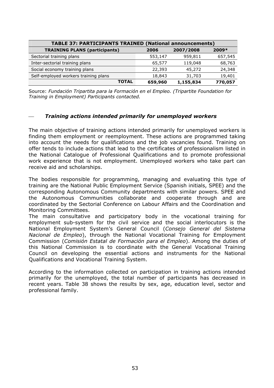| <b>TABLE 37: PARTICIPANTS TRAINED (National announcements)</b> |         |           |         |  |  |
|----------------------------------------------------------------|---------|-----------|---------|--|--|
| <b>TRAINING PLANS (participants)</b>                           | 2006    | 2007/2008 | $2009*$ |  |  |
| Sectorial training plans                                       | 553,147 | 959,811   | 657,545 |  |  |
| Inter-sectorial training plans                                 | 65,577  | 119,048   | 68,763  |  |  |
| Social economy training plans                                  | 22,393  | 45,272    | 24,348  |  |  |
| Self-employed workers training plans                           | 18,843  | 31,703    | 19,401  |  |  |
| <b>TOTAL</b>                                                   | 659,960 | 1,155,834 | 770,057 |  |  |

Source: *Fundación Tripartita para la Formación en el Empleo. (Tripartite Foundation for Training in Employment) Participants contacted.*

### ⎯ *Training actions intended primarily for unemployed workers*

The main objective of training actions intended primarily for unemployed workers is finding them employment or reemployment. These actions are programmed taking into account the needs for qualifications and the job vacancies found. Training on offer tends to include actions that lead to the certificates of professionalism listed in the National Catalogue of Professional Qualifications and to promote professional work experience that is not employment. Unemployed workers who take part can receive aid and scholarships.

The bodies responsible for programming, managing and evaluating this type of training are the National Public Employment Service (Spanish initials, SPEE) and the corresponding Autonomous Community departments with similar powers. SPEE and the Autonomous Communities collaborate and cooperate through and are coordinated by the Sectorial Conference on Labour Affairs and the Coordination and Monitoring Committees.

The main consultative and participatory body in the vocational training for employment sub-system for the civil service and the social interlocutors is the National Employment System's General Council (*Consejo General del Sistema Nacional de Empleo*), through the National Vocational Training for Employment Commission (*Comisión Estatal de Formación para el Empleo*). Among the duties of this National Commission is to coordinate with the General Vocational Training Council on developing the essential actions and instruments for the National Qualifications and Vocational Training System.

According to the information collected on participation in training actions intended primarily for the unemployed, the total number of participants has decreased in recent years. Table 38 shows the results by sex, age, education level, sector and professional family.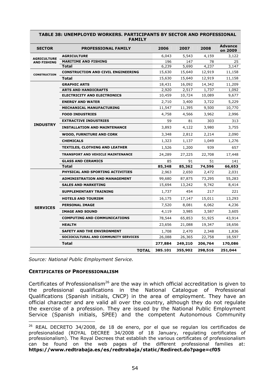| <b>SECTOR</b>       | <b>PROFESSIONAL FAMILY</b>                | 2006    | 2007    | 2008    | <b>Advance</b><br>on 2009 |
|---------------------|-------------------------------------------|---------|---------|---------|---------------------------|
| <b>AGRICULTURE</b>  | <b>AGRICULTURE</b>                        | 6,043   | 5,543   | 4,159   | 3,122                     |
| <b>AND FISHING</b>  | <b>MARITIME AND FISHING</b>               | 196     | 147     | 78      | 25                        |
|                     | Total                                     | 6,239   | 5,690   | 4,237   | 3,147                     |
| <b>CONSTRUCTION</b> | <b>CONSTRUCTION AND CIVIL ENGINEERING</b> | 15,630  | 15,640  | 12,919  | 11,158                    |
|                     | Total                                     | 15,630  | 15,640  | 12,919  | 11,158                    |
|                     | <b>GRAPHIC ARTS</b>                       | 18,431  | 16,092  | 14,342  | 11,209                    |
|                     | <b>ARTS AND HANDICRAFTS</b>               | 2,920   | 2,517   | 1,737   | 1,092                     |
|                     | <b>ELECTRICITY AND ELECTRONICS</b>        | 10,459  | 10,724  | 10,089  | 9,677                     |
|                     | <b>ENERGY AND WATER</b>                   | 2,710   | 3,400   | 3,722   | 5,229                     |
|                     | <b>MECHANICAL MANUFACTURING</b>           | 11,547  | 11,395  | 9,500   | 10,770                    |
|                     | <b>FOOD INDUSTRIES</b>                    | 4,758   | 4,566   | 3,962   | 2,996                     |
|                     | <b>EXTRACTIVE INDUSTRIES</b>              | 59      | 81      | 303     | 313                       |
| <b>INDUSTRY</b>     | <b>INSTALLATION AND MAINTENANCE</b>       | 3,893   | 4,122   | 3,980   | 3,755                     |
|                     | <b>WOOD, FURNITURE AND CORK</b>           | 3,348   | 2,812   | 2,214   | 2,090                     |
|                     | <b>CHEMICALS</b>                          | 1,323   | 1,137   | 1,049   | 1,276                     |
|                     | <b>TEXTILES, CLOTHING AND LEATHER</b>     | 1,526   | 1,200   | 939     | 657                       |
|                     | <b>TRANSPORT AND VEHICLE MAINTENANCE</b>  | 24,289  | 27,225  | 22,708  | 17,448                    |
|                     | <b>GLASS AND CERAMICS</b>                 | 85      | 91      | 51      | 141                       |
|                     | Total                                     | 85,348  | 85,362  | 74,596  | 66,653                    |
|                     | PHYSICAL AND SPORTING ACTIVITIES          | 2,963   | 2,650   | 2,472   | 2,031                     |
|                     | <b>ADMINISTRATION AND MANAGEMENT</b>      | 99,680  | 87,875  | 73,295  | 55,283                    |
|                     | <b>SALES AND MARKETING</b>                | 15,694  | 13,242  | 9,742   | 8,414                     |
|                     | <b>SUPPLEMENTARY TRAINING</b>             | 1,737   | 454     | 217     | 221                       |
|                     | <b>HOTELS AND TOURISM</b>                 | 16,175  | 17,147  | 15,011  | 13,293                    |
| <b>SERVICES</b>     | <b>PERSONAL IMAGE</b>                     | 7,520   | 8,081   | 6,062   | 4,236                     |
|                     | <b>IMAGE AND SOUND</b>                    | 4,119   | 3,985   | 3,587   | 3,605                     |
|                     | <b>COMPUTING AND COMMUNICATIONS</b>       | 78,544  | 65,853  | 51,925  | 43,914                    |
|                     | <b>HEALTH</b>                             | 23,656  | 21,088  | 19,347  | 18,656                    |
|                     | <b>SAFETY AND THE ENVIRONMENT</b>         | 1,708   | 2,470   | 2,348   | 1,836                     |
|                     | SOCIOCULTURAL AND COMMUNITY SERVICES      | 26,088  | 26,365  | 22,758  | 18,597                    |
|                     | Total                                     | 277,884 | 249,210 | 206,764 | 170,086                   |
|                     | <b>TOTAL</b>                              | 385.101 | 355,902 | 298,516 | 251,044                   |

#### **TABLE 38: UNEMPLOYED WORKERS. PARTICIPANTS BY SECTOR AND PROFESSIONAL FAMILY**

*Source: National Public Employment Service.* 

### **CERTIFICATES OF PROFESSIONALISM**

 $\overline{a}$ 

Certificates of Professionalism<sup>26</sup> are the way in which official accreditation is given to the professional qualifications in the National Catalogue of Professional Qualifications (Spanish initials, CNCP) in the area of employment. They have an official character and are valid all over the country, although they do not regulate the exercise of a profession. They are issued by the National Public Employment Service (Spanish initials, SPEE) and the competent Autonomous Community

<sup>26</sup> REAL DECRETO 34/2008, de 18 de enero, por el que se regulan los certificados de profesionalidad (ROYAL DECREE 34/2008 of 18 January, regulating certificates of professionalism). The Royal Decrees that establish the various certificates of professionalism can be found on the web pages of the different professional families at: **<https://www.redtrabaja.es/es/redtrabaja/static/Redirect.do?page=cf05>**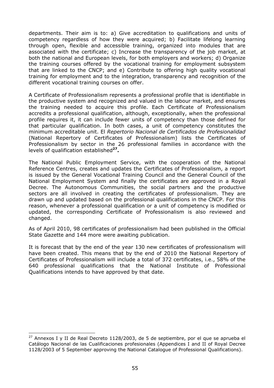departments. Their aim is to: a) Give accreditation to qualifications and units of competency regardless of how they were acquired; b) Facilitate lifelong learning through open, flexible and accessible training, organized into modules that are associated with the certificate; c) Increase the transparency of the job market, at both the national and European levels, for both employers and workers; d) Organize the training courses offered by the vocational training for employment subsystem that are linked to the CNCP; and e) Contribute to offering high quality vocational training for employment and to the integration, transparency and recognition of the different vocational training courses on offer.

A Certificate of Professionalism represents a professional profile that is identifiable in the productive system and recognized and valued in the labour market, and ensures the training needed to acquire this profile. Each Certificate of Professionalism accredits a professional qualification, although, exceptionally, when the professional profile requires it, it can include fewer units of competency than those defined for that particular qualification. In both cases, a unit of competency constitutes the minimum accreditable unit. El *Repertorio Nacional de Certificados de Profesionalidad* (National Repertory of Certificates of Professionalism) lists the Certificates of Professionalism by sector in the 26 professional families in accordance with the levels of qualification established**27.** 

The National Public Employment Service, with the cooperation of the National Reference Centres, creates and updates the Certificates of Professionalism, a report is issued by the General Vocational Training Council and the General Council of the National Employment System and finally the certificates are approved in a Royal Decree. The Autonomous Communities, the social partners and the productive sectors are all involved in creating the certificates of professionalism. They are drawn up and updated based on the professional qualifications in the CNCP. For this reason, whenever a professional qualification or a unit of competency is modified or updated, the corresponding Certificate of Professionalism is also reviewed and changed.

As of April 2010, 98 certificates of professionalism had been published in the Official State Gazette and 144 more were awaiting publication.

It is forecast that by the end of the year 130 new certificates of professionalism will have been created. This means that by the end of 2010 the National Repertory of Certificates of Professionalism will include a total of 372 certificates, i.e., 58% of the 640 professional qualifications that the National Institute of Professional Qualifications intends to have approved by that date.

 $\overline{a}$ 

 $27$  Annexos I y II de Real Decreto 1128/2003, de 5 de septiembre, por el que se aprueba el Catálogo Nacional de las Cualificaciones profesionales (Appendices I and II of Royal Decree 1128/2003 of 5 September approving the National Catalogue of Professional Qualifications).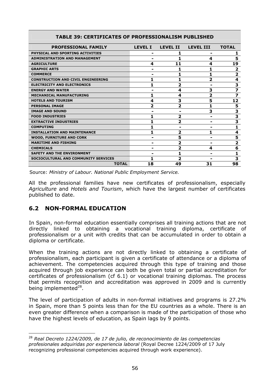| AI LY VI                                  |                |                         |                  |                         |  |
|-------------------------------------------|----------------|-------------------------|------------------|-------------------------|--|
| <b>PROFESSIONAL FAMILY</b>                | <b>LEVEL I</b> | <b>LEVEL II</b>         | <b>LEVEL III</b> | <b>TOTAL</b>            |  |
| PHYSICAL AND SPORTING ACTIVITIES          | -              |                         | -                | 1                       |  |
| <b>ADMINISTRATION AND MANAGEMENT</b>      |                |                         | 4                | 5                       |  |
| <b>AGRICULTURE</b>                        | 4              | 11                      | 4                | 19                      |  |
| <b>GRAPHIC ARTS</b>                       |                |                         |                  | $\overline{\mathbf{2}}$ |  |
| <b>COMMERCE</b>                           |                |                         | 1                | $\overline{2}$          |  |
| <b>CONSTRUCTION AND CIVIL ENGINEERING</b> |                |                         | 2                | $\overline{\mathbf{4}}$ |  |
| <b>ELECTRICITY AND ELECTRONICS</b>        | 1              | $\overline{2}$          | -                | $\overline{\mathbf{3}}$ |  |
| <b>ENERGY AND WATER</b>                   |                | 4                       | 3                | $\overline{\mathbf{z}}$ |  |
| <b>MECHANICAL MANUFACTURING</b>           |                | 4                       | 2                | $\overline{\mathbf{z}}$ |  |
| <b>HOTELS AND TOURISM</b>                 | 4              | 3                       | 5                | 12                      |  |
| <b>PERSONAL IMAGE</b>                     | 2              | $\overline{\mathbf{z}}$ | 1                | 5                       |  |
| <b>IMAGE AND SOUND</b>                    |                |                         | 3                | $\overline{\mathbf{3}}$ |  |
| <b>FOOD INDUSTRIES</b>                    |                | 2                       | -                | $\overline{\mathbf{3}}$ |  |
| <b>EXTRACTIVE INDUSTRIES</b>              |                | 2                       | -                | $\overline{\mathbf{3}}$ |  |
| <b>COMPUTING</b>                          |                |                         |                  | 1                       |  |
| <b>INSTALLATION AND MAINTENANCE</b>       |                | 2                       | 1                | 4                       |  |
| <b>WOOD, FURNITURE AND CORK</b>           |                | 5                       |                  | 5                       |  |
| <b>MARITIME AND FISHING</b>               |                | $\overline{2}$          |                  | $\overline{\mathbf{2}}$ |  |
| <b>CHEMICALS</b>                          |                | 2                       | 4                | 6                       |  |
| <b>SAFETY AND THE ENVIRONMENT</b>         |                |                         |                  | 1                       |  |
| SOCIOCULTURAL AND COMMUNITY SERVICES      |                | 2                       |                  | 3                       |  |
| <b>TOTAL</b>                              | 18             | 49                      | 31               | 98                      |  |

### **TABLE 39: CERTIFICATES OF PROFESSIONALISM PUBLISHED**

Source: *Ministry of Labour. National Public Employment Service.*

All the professional families have new certificates of professionalism, especially *Agriculture* and *Hotels and Tourism*, which have the largest number of certificates published to date.

# **6.2 NON-FORMAL EDUCATION**

In Spain, non-formal education essentially comprises all training actions that are not directly linked to obtaining a vocational training diploma, certificate of professionalism or a unit with credits that can be accumulated in order to obtain a diploma or certificate.

When the training actions are not directly linked to obtaining a certificate of professionalism, each participant is given a certificate of attendance or a diploma of achievement. The competencies acquired through this type of training and those acquired through job experience can both be given total or partial accreditation for certificates of professionalism (cf 6.1) or vocational training diplomas. The process that permits recognition and accreditation was approved in 2009 and is currently being implemented $^{28}$ .

The level of participation of adults in non-formal initiatives and programs is 27.2% in Spain, more than 5 points less than for the EU countries as a whole. There is an even greater difference when a comparison is made of the participation of those who have the highest levels of education, as Spain lags by 9 points.

 $\overline{a}$ <sup>28</sup> *Real Decreto 1224/2009, de 17 de julio, de reconocimiento de las competencias profesionales adquiridas por experiencia laboral* (Royal Decree 1224/2009 of 17 July recognizing professional competencies acquired through work experience).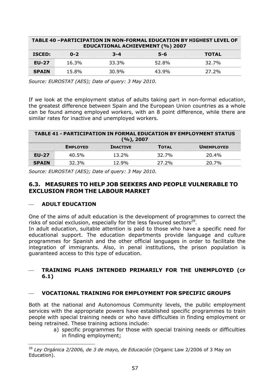| TABLE 40 -PARTICIPATION IN NON-FORMAL EDUCATION BY HIGHEST LEVEL OF<br><b>EDUCATIONAL ACHIEVEMENT (%) 2007</b> |         |         |         |              |  |
|----------------------------------------------------------------------------------------------------------------|---------|---------|---------|--------------|--|
| <b>ISCED:</b>                                                                                                  | $0 - 2$ | $3 - 4$ | $5 - 6$ | <b>TOTAL</b> |  |
| <b>EU-27</b>                                                                                                   | 16.3%   | 33.3%   | 52.8%   | 32.7%        |  |
| <b>SPAIN</b>                                                                                                   | 15.8%   | 30.9%   | 43.9%   | 27.2%        |  |

*Source: EUROSTAT (AES); Date of query: 3 May 2010.* 

If we look at the employment status of adults taking part in non-formal education, the greatest difference between Spain and the European Union countries as a whole can be found among employed workers, with an 8 point difference, while there are similar rates for inactive and unemployed workers.

| <b>TABLE 41 - PARTICIPATION IN FORMAL EDUCATION BY EMPLOYMENT STATUS</b><br>(%), 2007 |                 |                 |              |                   |
|---------------------------------------------------------------------------------------|-----------------|-----------------|--------------|-------------------|
|                                                                                       | <b>EMPLOYED</b> | <b>INACTIVE</b> | <b>TOTAL</b> | <b>UNEMPLOYED</b> |
| <b>EU-27</b>                                                                          | 40.5%           | $13.2\%$        | 32.7%        | 20.4%             |
| <b>SPAIN</b>                                                                          | 32.3%           | 12.9%           | 27.2%        | 20.7%             |

*Source: EUROSTAT (AES); Date of query: 3 May 2010.*

# **6.3. MEASURES TO HELP JOB SEEKERS AND PEOPLE VULNERABLE TO EXCLUSION FROM THE LABOUR MARKET**

### ⎯ **ADULT EDUCATION**

 $\overline{a}$ 

One of the aims of adult education is the development of programmes to correct the risks of social exclusion, especially for the less favoured sectors $^{29}$ .

In adult education, suitable attention is paid to those who have a specific need for educational support. The education departments provide language and culture programmes for Spanish and the other official languages in order to facilitate the integration of immigrants. Also, in penal institutions, the prison population is guaranteed access to this type of education.

### ⎯ **TRAINING PLANS INTENDED PRIMARILY FOR THE UNEMPLOYED (CF 6.1)**

### ⎯ **VOCATIONAL TRAINING FOR EMPLOYMENT FOR SPECIFIC GROUPS**

Both at the national and Autonomous Community levels, the public employment services with the appropriate powers have established specific programmes to train people with special training needs or who have difficulties in finding employment or being retrained. These training actions include:

a) specific programmes for those with special training needs or difficulties in finding employment;

<sup>29</sup> *Ley Orgánica 2/2006, de 3 de mayo, de Educación* (Organic Law 2/2006 of 3 May on Education).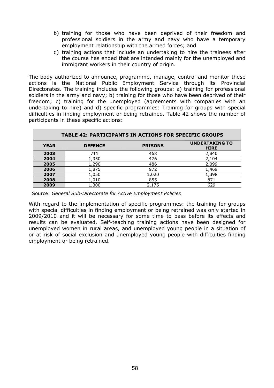- b) training for those who have been deprived of their freedom and professional soldiers in the army and navy who have a temporary employment relationship with the armed forces; and
- c) training actions that include an undertaking to hire the trainees after the course has ended that are intended mainly for the unemployed and immigrant workers in their country of origin.

The body authorized to announce, programme, manage, control and monitor these actions is the National Public Employment Service through its Provincial Directorates. The training includes the following groups: a) training for professional soldiers in the army and navy; b) training for those who have been deprived of their freedom; c) training for the unemployed (agreements with companies with an undertaking to hire) and d) specific programmes: Training for groups with special difficulties in finding employment or being retrained. Table 42 shows the number of participants in these specific actions:

| <b>TABLE 42: PARTICIPANTS IN ACTIONS FOR SPECIFIC GROUPS</b> |                |                |                                      |  |  |
|--------------------------------------------------------------|----------------|----------------|--------------------------------------|--|--|
| <b>YEAR</b>                                                  | <b>DEFENCE</b> | <b>PRISONS</b> | <b>UNDERTAKING TO</b><br><b>HIRE</b> |  |  |
| 2003                                                         | 711            | 468            | 2,840                                |  |  |
| 2004                                                         | 1,350          | 476            | 2,104                                |  |  |
| 2005                                                         | 1,290          | 486            | 2,099                                |  |  |
| 2006                                                         | 1,875          | 972            | 1,469                                |  |  |
| 2007                                                         | 1,050          | 1,020          | 1,398                                |  |  |
| 2008                                                         | 1,010          | 855            | 871                                  |  |  |
| 2009                                                         | 1,300          | 2,175          | 629                                  |  |  |

Source: *General Sub-Directorate for Active Employment Policies*

With regard to the implementation of specific programmes: the training for groups with special difficulties in finding employment or being retrained was only started in 2009/2010 and it will be necessary for some time to pass before its effects and results can be evaluated. Self-teaching training actions have been designed for unemployed women in rural areas, and unemployed young people in a situation of or at risk of social exclusion and unemployed young people with difficulties finding employment or being retrained.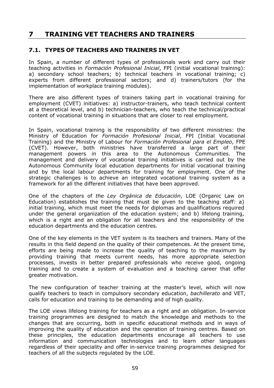# **7 TRAINING VET TEACHERS AND TRAINERS**

# **7.1. TYPES OF TEACHERS AND TRAINERS IN VET**

In Spain, a number of different types of professionals work and carry out their teaching activities in *Formación Profesional Inicial*, FPI (initial vocational training): a) secondary school teachers; b) technical teachers in vocational training; c) experts from different professional sectors; and d) trainers/tutors (for the implementation of workplace training modules).

There are also different types of trainers taking part in vocational training for employment (CVET) initiatives: a) instructor-trainers, who teach technical content at a theoretical level, and b) technician-teachers, who teach the technical/practical content of vocational training in situations that are closer to real employment.

In Spain, vocational training is the responsibility of two different ministries: the Ministry of Education for *Formación Profesional Inicial*, FPI (Initial Vocational Training) and the Ministry of Labour for *Formación Profesional para el Empleo*, FPE (CVET). However, both ministries have transferred a large part of their management powers in this area to the Autonomous Communities. The management and delivery of vocational training initiatives is carried out by the Autonomous Community local education departments for initial vocational training and by the local labour departments for training for employment. One of the strategic challenges is to achieve an integrated vocational training system as a framework for all the different initiatives that have been approved.

One of the chapters of *the Ley Orgánica de Educación*, LOE (Organic Law on Education) establishes the training that must be given to the teaching staff: a) initial training, which must meet the needs for diplomas and qualifications required under the general organization of the education system; and b) lifelong training, which is a right and an obligation for all teachers and the responsibility of the education departments and the education centres.

One of the key elements in the VET system is its teachers and trainers. Many of the results in this field depend on the quality of their competences. At the present time, efforts are being made to increase the quality of teaching to the maximum by providing training that meets current needs, has more appropriate selection processes, invests in better prepared professionals who receive good, ongoing training and to create a system of evaluation and a teaching career that offer greater motivation.

The new configuration of teacher training at the master's level, which will now qualify teachers to teach in compulsory secondary education, *bachillerato* and VET, calls for education and training to be demanding and of high quality.

The LOE views lifelong training for teachers as a right and an obligation. In-service training programmes are designed to match the knowledge and methods to the changes that are occurring, both in specific educational methods and in ways of improving the quality of education and the operation of training centres. Based on these principles, the education departments encourage all teachers to use information and communication technologies and to learn other languages regardless of their speciality and offer in-service training programmes designed for teachers of all the subjects regulated by the LOE.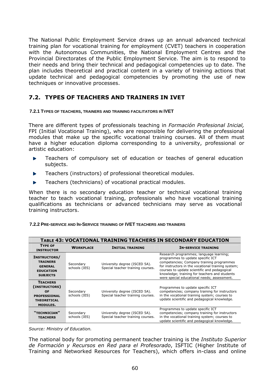The National Public Employment Service draws up an annual advanced technical training plan for vocational training for employment (CVET) teachers in cooperation with the Autonomous Communities, the National Employment Centres and the Provincial Directorates of the Public Employment Service. The aim is to respond to their needs and bring their technical and pedagogical competencies up to date. The plan includes theoretical and practical content in a variety of training actions that update technical and pedagogical competencies by promoting the use of new techniques or innovative processes.

# **7.2. TYPES OF TEACHERS AND TRAINERS IN IVET**

### **7.2.1 TYPES OF TEACHERS, TRAINERS AND TRAINING FACILITATORS IN IVET**

There are different types of professionals teaching in *Formación Profesional Inicial,* FPI (Initial Vocational Training), who are responsible for delivering the professional modules that make up the specific vocational training courses. All of them must have a higher education diploma corresponding to a university, professional or artistic education:

- Teachers of compulsory set of education or teaches of general education ĥ. subjects.
- Teachers (instructors) of professional theoretical modules. ĥ.
- Teachers (technicians) of vocational practical modules. Þ

When there is no secondary education teacher or technical vocational training teacher to teach vocational training, professionals who have vocational training qualifications as technicians or advanced technicians may serve as vocational training instructors.

|                                     |                  |                         | TABLE 43: VOCATIONAL TRAINING TEACHERS IN SECONDARY EDUCATION                                                          |
|-------------------------------------|------------------|-------------------------|------------------------------------------------------------------------------------------------------------------------|
| <b>TYPE OF</b><br><b>INSTRUCTOR</b> | <b>WORKPLACE</b> | <b>INITIAL TRAINING</b> | <b>IN-SERVICE TRAINING</b>                                                                                             |
| INSTRUCTORS/<br><b>TRAINERS</b>     |                  | .<br>$1 - 2 - 1$        | Research programmes; language learning;<br>programmes to update specific ICT<br>competencies: Company training program |

#### **7.2.2 PRE-SERVICE AND IN-SERVICE TRAINING OF IVET TEACHERS AND TRAINERS**

| <b>TYPE OF</b><br><b>INSTRUCTOR</b>                                                             | <b>WORKPLACE</b>           | <b>INITIAL TRAINING</b>                                            | <b>IN-SERVICE TRAINING</b>                                                                                                                                                                                                                                                                                                      |
|-------------------------------------------------------------------------------------------------|----------------------------|--------------------------------------------------------------------|---------------------------------------------------------------------------------------------------------------------------------------------------------------------------------------------------------------------------------------------------------------------------------------------------------------------------------|
| INSTRUCTORS/<br><b>TRAINERS</b><br><b>GENERAL</b><br><b>EDUCATION</b><br><b>SUBJECTS</b>        | Secondary<br>schools (IES) | University degree (ISCED 5A).<br>Special teacher training courses. | Research programmes; language learning;<br>programmes to update specific ICT<br>competencies; Company training programmes<br>for instructors in the vocational training system;<br>courses to update scientific and pedagogical<br>knowledge; training for teachers and students<br>were special educational needs; assessment. |
| <b>TEACHERS</b><br>(INSTRUCTORS)<br>OF<br><b>PROFESSIONAL</b><br><b>THEORETICAL</b><br>MODULES. | Secondary<br>schools (IES) | University degree (ISCED 5A).<br>Special teacher training courses. | Programmes to update specific ICT<br>competencies; company training for instructors<br>in the vocational training system; courses to<br>update scientific and pedagogical knowledge.                                                                                                                                            |
| "TECHNICIAN"<br><b>TEACHERS</b>                                                                 | Secondary<br>schools (IES) | University degree (ISCED 5A).<br>Special teacher training courses. | Programmes to update specific ICT<br>competencies; company training for instructors<br>in the vocational training system; courses to<br>update scientific and pedagogical knowledge.                                                                                                                                            |

*Source: Ministry of Education.*

The national body for promoting permanent teacher training is the *Instituto Superior de Formación y Recursos en Red para el Profesorado*, ISFTIC (Higher Institute of Training and Networked Resources for Teachers), which offers in-class and online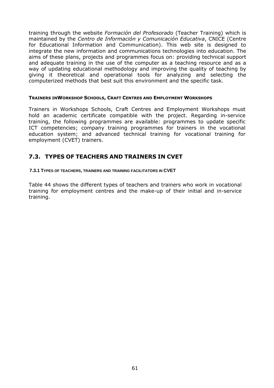training through the website *Formación del Profesorado* (Teacher Training) which is maintained by the *Centro de Información y Comunicación Educativa*, CNICE (Centre for Educational Information and Communication). This web site is designed to integrate the new information and communications technologies into education. The aims of these plans, projects and programmes focus on: providing technical support and adequate training in the use of the computer as a teaching resource and as a way of updating educational methodology and improving the quality of teaching by giving it theoretical and operational tools for analyzing and selecting the computerized methods that best suit this environment and the specific task.

#### **TRAINERS INWORKSHOP SCHOOLS, CRAFT CENTRES AND EMPLOYMENT WORKSHOPS**

Trainers in Workshops Schools, Craft Centres and Employment Workshops must hold an academic certificate compatible with the project. Regarding in-service training, the following programmes are available: programmes to update specific ICT competencies; company training programmes for trainers in the vocational education system; and advanced technical training for vocational training for employment (CVET) trainers.

# **7.3. TYPES OF TEACHERS AND TRAINERS IN CVET**

#### **7.3.1 TYPES OF TEACHERS, TRAINERS AND TRAINING FACILITATORS IN CVET**

Table 44 shows the different types of teachers and trainers who work in vocational training for employment centres and the make-up of their initial and in-service training.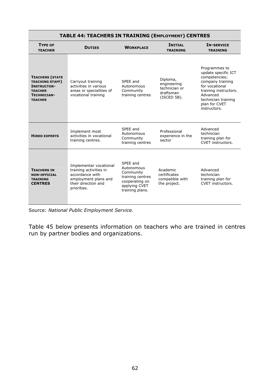| $\sim$                                                                                                                    |                                                                                                                                   |                                                                                                               |                                                                         |                                                                                                                                                                                          |  |  |
|---------------------------------------------------------------------------------------------------------------------------|-----------------------------------------------------------------------------------------------------------------------------------|---------------------------------------------------------------------------------------------------------------|-------------------------------------------------------------------------|------------------------------------------------------------------------------------------------------------------------------------------------------------------------------------------|--|--|
| <b>TYPE OF</b><br><b>TEACHER</b>                                                                                          | <b>DUTIES</b>                                                                                                                     | <b>WORKPLACE</b>                                                                                              | <b>INITIAL</b><br><b>TRAINING</b>                                       | <b>IN-SERVICE</b><br><b>TRAINING</b>                                                                                                                                                     |  |  |
| <b>TEACHERS (STATE</b><br><b>TEACHING STAFF)</b><br><b>INSTRUCTOR-</b><br><b>TEACHER</b><br>TECHNICIAN-<br><b>TEACHER</b> | Carryout training<br>activities in various<br>areas or specialities of<br>vocational training                                     | SPEE and<br>Autonomous<br>Community<br>training centres                                                       | Diploma,<br>engineering<br>technician or<br>draftsman<br>$(ISCED 5B)$ . | Programmes to<br>update specific ICT<br>competencies;<br>company training<br>for vocational<br>training instructors.<br>Advanced<br>technician training<br>plan for CVET<br>instructors. |  |  |
| <b>HIRED EXPERTS</b>                                                                                                      | Implement most<br>activities in vocational<br>training centres.                                                                   | SPEE and<br>Autonomous<br>Community<br>training centres                                                       | Professional<br>experience in the<br>sector                             | Advanced<br>technician<br>training plan for<br>CVET instructors.                                                                                                                         |  |  |
| <b>TEACHERS IN</b><br><b>NON-OFFICIAL</b><br><b>TRAINING</b><br><b>CENTRES</b>                                            | Implementar vocational<br>training activities in<br>accordance with<br>employment plans and<br>their direction and<br>priorities. | SPEE and<br>Autonomous<br>Community<br>training centres<br>cooperating on<br>applying CVET<br>training plans. | Academic<br>certificates<br>compatible with<br>the project.             | Advanced<br>technician<br>training plan for<br>CVET instructors.                                                                                                                         |  |  |

# **TABLE 44: TEACHERS IN TRAINING (EMPLOYMENT) CENTRES**

Source: *National Public Employment Service.*

Table 45 below presents information on teachers who are trained in centres run by partner bodies and organizations.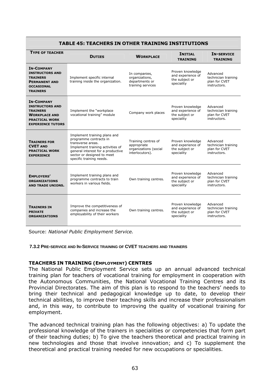| <b>TYPE OF TEACHER</b>                                                                                                                      | <b>DUTIES</b>                                                                                                                                                                                                  | <b>WORKPLACE</b>                                                               | <b>INITIAL</b><br><b>TRAINING</b>                                     | <b>IN-SERVICE</b><br><b>TRAINING</b>                             |  |  |  |
|---------------------------------------------------------------------------------------------------------------------------------------------|----------------------------------------------------------------------------------------------------------------------------------------------------------------------------------------------------------------|--------------------------------------------------------------------------------|-----------------------------------------------------------------------|------------------------------------------------------------------|--|--|--|
| <b>IN-COMPANY</b><br><b>INSTRUCTORS AND</b><br><b>TRAINERS</b><br><b>PERMANENT AND</b><br><b>OCCASIONAL</b><br><b>TRAINERS</b>              | Implement specific internal<br>training inside the organization.                                                                                                                                               | In companies,<br>organizations,<br>departments or<br>training services         | Proven knowledge<br>and experience of<br>the subject or<br>speciality | Advanced<br>technician training<br>plan for CVET<br>instructors. |  |  |  |
| <b>IN-COMPANY</b><br><b>INSTRUCTORS AND</b><br><b>TRAINERS</b><br><b>WORKPLACE AND</b><br><b>PRACTICAL WORK</b><br><b>EXPERIENCE TUTORS</b> | Implement the "workplace<br>vocational training" module                                                                                                                                                        | Company work places                                                            | Proven knowledge<br>and experience of<br>the subject or<br>speciality | Advanced<br>technician training<br>plan for CVET<br>instructors. |  |  |  |
| <b>TRAINERS FOR</b><br><b>CVET AND</b><br><b>PRACTICAL WORK</b><br><b>EXPERIENCE</b>                                                        | Implement training plans and<br>programme contracts in<br>transverse areas.<br>Implement training activities of<br>general interest for a productive<br>sector or designed to meet<br>specific training needs. | Training centres of<br>appropriate<br>organizations (social<br>interlocutors). | Proven knowledge<br>and experience of<br>the subject or<br>speciality | Advanced<br>technician training<br>plan for CVET<br>instructors. |  |  |  |
| <b>EMPLOYERS'</b><br><b>ORGANIZATIONS</b><br><b>AND TRADE UNIONS.</b>                                                                       | Implement training plans and<br>programme contracts to train<br>workers in various fields.                                                                                                                     | Own training centres.                                                          | Proven knowledge<br>and experience of<br>the subject or<br>speciality | Advanced<br>technician training<br>plan for CVET<br>instructors. |  |  |  |
| <b>TRAINERS IN</b><br><b>PRIVATE</b><br><b>ORGANIZATIONS</b>                                                                                | Improve the competitiveness of<br>companies and increase the<br>employability of their workers                                                                                                                 | Own training centres.                                                          | Proven knowledge<br>and experience of<br>the subject or<br>speciality | Advanced<br>technician training<br>plan for CVET<br>instructors. |  |  |  |

#### **TABLE 45: TEACHERS IN OTHER TRAINING INSTITUTIONS**

Source: *National Public Employment Service.* 

#### **7.3.2 PRE-SERVICE AND IN-SERVICE TRAINING OF CVET TEACHERS AND TRAINERS**

### **TEACHERS IN TRAINING (EMPLOYMENT) CENTRES**

The National Public Employment Service sets up an annual advanced technical training plan for teachers of vocational training for employment in cooperation with the Autonomous Communities, the National Vocational Training Centres and its Provincial Directorates. The aim of this plan is to respond to the teachers' needs to bring their technical and pedagogical knowledge up to date, to develop their technical abilities, to improve their teaching skills and increase their professionalism and, in this way, to contribute to improving the quality of vocational training for employment.

The advanced technical training plan has the following objectives: a) To update the professional knowledge of the trainers in specialities or competencies that form part of their teaching duties; b) To give the teachers theoretical and practical training in new technologies and those that involve innovation; and c) To supplement the theoretical and practical training needed for new occupations or specialities.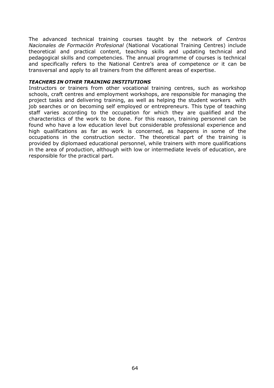The advanced technical training courses taught by the network of *Centros Nacionales de Formación Profesional* (National Vocational Training Centres) include theoretical and practical content, teaching skills and updating technical and pedagogical skills and competencies. The annual programme of courses is technical and specifically refers to the National Centre's area of competence or it can be transversal and apply to all trainers from the different areas of expertise.

#### *TEACHERS IN OTHER TRAINING INSTITUTIONS*

Instructors or trainers from other vocational training centres, such as workshop schools, craft centres and employment workshops, are responsible for managing the project tasks and delivering training, as well as helping the student workers with job searches or on becoming self employed or entrepreneurs. This type of teaching staff varies according to the occupation for which they are qualified and the characteristics of the work to be done. For this reason, training personnel can be found who have a low education level but considerable professional experience and high qualifications as far as work is concerned, as happens in some of the occupations in the construction sector. The theoretical part of the training is provided by diplomaed educational personnel, while trainers with more qualifications in the area of production, although with low or intermediate levels of education, are responsible for the practical part.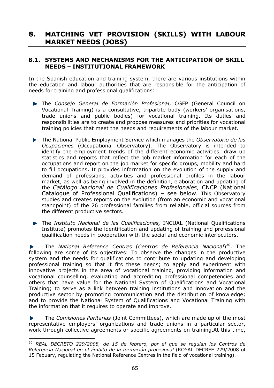# **8. MATCHING VET PROVISION (SKILLS) WITH LABOUR MARKET NEEDS (JOBS)**

## **8.1. SYSTEMS AND MECHANISMS FOR THE ANTICIPATION OF SKILL NEEDS – INSTITUTIONAL FRAMEWORK**

In the Spanish education and training system, there are various institutions within the education and labour authorities that are responsible for the anticipation of needs for training and professional qualifications:

- The *Consejo General de Formación Profesional*, CGFP (General Council on Vocational Training) is a consultative, tripartite body (workers' organisations, trade unions and public bodies) for vocational training. Its duties and responsibilities are to create and propose measures and priorities for vocational training policies that meet the needs and requirements of the labour market.
- The National Public Employment Service which manages the *Observatorio de las Ocupaciones* (Occupational Observatory). The Observatory is intended to identify the employment trends of the different economic activities, draw up statistics and reports that reflect the job market information for each of the occupations and report on the job market for specific groups, mobility and hard to fill occupations**.** It provides information on the evolution of the supply and demand of professions, activities and professional profiles in the labour market, as well as being involved in the definition, elaboration and updating of the *Catálogo Nacional de Cualificaciones Profesionales*, CNCP (National Catalogue of Professional Qualifications) – see below. This Observatory studies and creates reports on the evolution (from an economic and vocational standpoint) of the 26 professional families from reliable, official sources from the different productive sectors.
- The *Instituto Nacional de las Cualificaciones,* INCUAL (National Qualifications Institute) promotes the identification and updating of training and professional qualification needs in cooperation with the social and economic interlocutors.

The *National Reference Centres* (*Centros de Referencia Nacional*)30. The following are some of its objectives: To observe the changes in the productive system and the needs for qualifications to contribute to updating and developing professional training so that it fits these needs; to apply and experiment with innovative projects in the area of vocational training, providing information and vocational counselling, evaluating and accrediting professional competencies and others that have value for the National System of Qualifications and Vocational Training; to serve as a link between training institutions and innovation and the productive sector by promoting communication and the distribution of knowledge; and to provide the National System of Qualifications and Vocational Training with the information that it requires to operate and improve.

The *Comisiones Paritarias* (Joint Committees), which are made up of the most representative employers' organizations and trade unions in a particular sector, work through collective agreements or specific agreements on training.At this time,

 $\overline{a}$ 

<sup>30</sup> *REAL DECRETO 229/2008, de 15 de febrero, por el que se regulan los Centros de Referencia Nacional en el ámbito de la formación profesional* (ROYAL DECREE 229/2008 of 15 Febuary, regulating the National Reference Centres in the field of vocational training).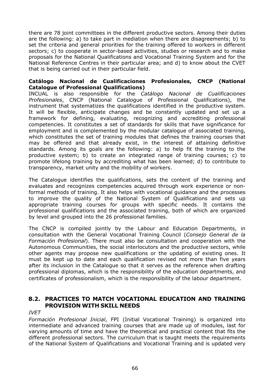there are 78 joint committees in the different productive sectors. Among their duties are the following: a) to take part in mediation when there are disagreements; b) to set the criteria and general priorities for the training offered to workers in different sectors; c) to cooperate in sector-based activities, studies or research and to make proposals for the National Qualifications and Vocational Training System and for the National Reference Centres in their particular area; and d) to know about the CVET that is being carried out in their particular field.

### **Catálogo Nacional de Cualificaciones Profesionales, CNCP (National Catalogue of Professional Qualifications)**

INCUAL is also responsible for the *Catálogo Nacional de Cualificaciones Profesionales*, CNCP (National Catalogue of Professional Qualifications), the instrument that systematizes the qualifications identified in the productive system. It will be flexible, anticipate changes and be constantly updated and set up a framework for defining, evaluating, recognizing and accrediting professional competencies. It constitutes a set of standards for skills that have significance for employment and is complemented by the modular catalogue of associated training, which constitutes the set of training modules that defines the training courses that may be offered and that already exist, in the interest of attaining definitive standards. Among its goals are the following: a) to help fit the training to the productive system; b) to create an integrated range of training courses; c) to promote lifelong training by accrediting what has been learned; d) to contribute to transparency, market unity and the mobility of workers.

The Catalogue identifies the qualifications, sets the content of the training and evaluates and recognizes competencies acquired through work experience or nonformal methods of training. It also helps with vocational guidance and the processes to improve the quality of the National System of Qualifications and sets up appropriate training courses for groups with specific needs. It contains the professional qualifications and the associated training, both of which are organized by level and grouped into the 26 professional families.

The CNCP is compiled jointly by the Labour and Education Departments, in consultation with the General Vocational Training Council (*Consejo General de la Formación Profesional*). There must also be consultation and cooperation with the Autonomous Communities, the social interlocutors and the productive sectors, while other agents may propose new qualifications or the updating of existing ones. It must be kept up to date and each qualification revised not more than five years after its inclusion in the Catalogue so that it serves as the reference when drafting professional diplomas, which is the responsibility of the education departments, and certificates of professionalism, which is the responsibility of the labour department.

# **8.2. PRACTICES TO MATCH VOCATIONAL EDUCATION AND TRAINING PROVISION WITH SKILL NEEDS**

*IVET* 

*Formación Profesional Inicial*, FPI (Initial Vocational Training) is organized into intermediate and advanced training courses that are made up of modules, last for varying amounts of time and have the theoretical and practical content that fits the different professional sectors. The curriculum that is taught meets the requirements of the National System of Qualifications and Vocational Training and is updated very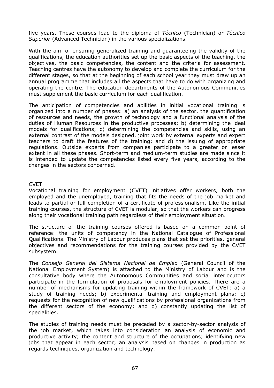five years. These courses lead to the diploma of *Técnico* (Technician) or *Técnico Superior* (Advanced Technician) in the various specializations.

With the aim of ensuring generalized training and guaranteeing the validity of the qualifications, the education authorities set up the basic aspects of the teaching, the objectives, the basic competencies, the content and the criteria for assessment. Teaching centres have the autonomy to develop and complete the curriculum for the different stages, so that at the beginning of each school year they must draw up an annual programme that includes all the aspects that have to do with organizing and operating the centre. The education departments of the Autonomous Communities must supplement the basic curriculum for each qualification.

The anticipation of competencies and abilities in initial vocational training is organized into a number of phases: a) an analysis of the sector, the quantification of resources and needs, the growth of technology and a functional analysis of the duties of Human Resources in the productive processes; b) determining the ideal models for qualifications; c) determining the competencies and skills, using an external contrast of the models designed, joint work by external experts and expert teachers to draft the features of the training; and d) the issuing of appropriate regulations. Outside experts from companies participate to a greater or lesser extent in all these phases. Short-term and medium-term studies are made since it is intended to update the competencies listed every five years, according to the changes in the sectors concerned.

### CVET

Vocational training for employment (CVET) initiatives offer workers, both the employed and the unemployed, training that fits the needs of the job market and leads to partial or full completion of a certificate of professionalism. Like the initial training courses, the structure of CVET is modular, so that the workers can progress along their vocational training path regardless of their employment situation.

The structure of the training courses offered is based on a common point of reference: the units of competency in the National Catalogue of Professional Qualifications. The Ministry of Labour produces plans that set the priorities, general objectives and recommendations for the training courses provided by the CVET subsystem.

The *Consejo General del Sistema Nacional de Empleo* (General Council of the National Employment System) is attached to the Ministry of Labour and is the consultative body where the Autonomous Communities and social interlocutors participate in the formulation of proposals for employment policies. There are a number of mechanisms for updating training within the framework of CVET: a) a study of training needs; b) experimental training and employment plans; c) requests for the recognition of new qualifications by professional organizations from the different sectors of the economy; and d) constantly updating the list of specialities.

The studies of training needs must be preceded by a sector-by-sector analysis of the job market, which takes into consideration an analysis of economic and productive activity; the content and structure of the occupations; identifying new jobs that appear in each sector; an analysis based on changes in production as regards techniques, organization and technology.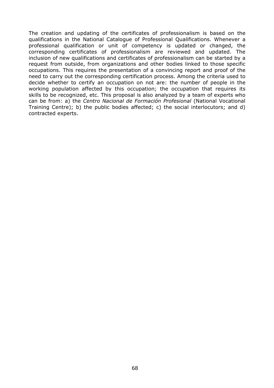The creation and updating of the certificates of professionalism is based on the qualifications in the National Catalogue of Professional Qualifications. Whenever a professional qualification or unit of competency is updated or changed, the corresponding certificates of professionalism are reviewed and updated. The inclusion of new qualifications and certificates of professionalism can be started by a request from outside, from organizations and other bodies linked to those specific occupations. This requires the presentation of a convincing report and proof of the need to carry out the corresponding certification process. Among the criteria used to decide whether to certify an occupation on not are: the number of people in the working population affected by this occupation; the occupation that requires its skills to be recognized, etc. This proposal is also analyzed by a team of experts who can be from: a) the *Centro Nacional de Formación Profesional* (National Vocational Training Centre); b) the public bodies affected; c) the social interlocutors; and d) contracted experts.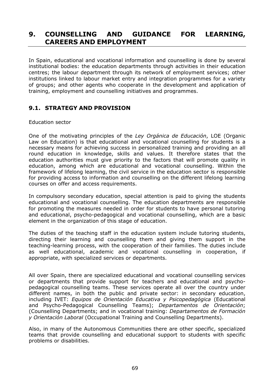# **9. COUNSELLING AND GUIDANCE FOR LEARNING, CAREERS AND EMPLOYMENT**

In Spain, educational and vocational information and counselling is done by several institutional bodies: the education departments through activities in their education centres; the labour department through its network of employment services; other institutions linked to labour market entry and integration programmes for a variety of groups; and other agents who cooperate in the development and application of training, employment and counselling initiatives and programmes.

# **9.1. STRATEGY AND PROVISION**

### Education sector

One of the motivating principles of the *Ley Orgánica de Educación*, LOE (Organic Law on Education) is that educational and vocational counselling for students is a necessary means for achieving success in personalized training and providing an all round education in knowledge, skills and values. It therefore states that the education authorities must give priority to the factors that will promote quality in education, among which are educational and vocational counselling. Within the framework of lifelong learning, the civil service in the education sector is responsible for providing access to information and counselling on the different lifelong learning courses on offer and access requirements.

In compulsory secondary education, special attention is paid to giving the students educational and vocational counselling. The education departments are responsible for promoting the measures needed in order for students to have personal tutoring and educational, psycho-pedagogical and vocational counselling, which are a basic element in the organization of this stage of education.

The duties of the teaching staff in the education system include tutoring students, directing their learning and counselling them and giving them support in the teaching-learning process, with the cooperation of their families. The duties include as well educational, academic and vocational counselling in cooperation, if appropriate, with specialized services or departments.

All over Spain, there are specialized educational and vocational counselling services or departments that provide support for teachers and educational and psychopedagogical counselling teams. These services operate all over the country under different names, in both the public and private sector: in secondary education, including IVET: *Equipos de Orientación Educativa y Psicopedagógica* (Educational and Psycho-Pedagogical Counselling Teams); *Departamentos de Orientación*; (Counselling Departments; and in vocational training: *Departamentos de Formación y Orientación Laboral* (Occupational Training and Counselling Departments).

Also, in many of the Autonomous Communities there are other specific, specialized teams that provide counselling and educational support to students with specific problems or disabilities.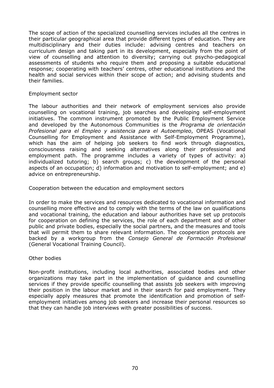The scope of action of the specialized counselling services includes all the centres in their particular geographical area that provide different types of education. They are multidisciplinary and their duties include: advising centres and teachers on curriculum design and taking part in its development, especially from the point of view of counselling and attention to diversity; carrying out psycho-pedagogical assessments of students who require them and proposing a suitable educational response; cooperating with teachers' centres, other educational institutions and the health and social services within their scope of action; and advising students and their families.

### Employment sector

The labour authorities and their network of employment services also provide counselling on vocational training, job searches and developing self-employment initiatives. The common instrument promoted by the Public Employment Service and developed by the Autonomous Communities is the *Programa de orientación Profesional para el Empleo y asistencia para el Autoempleo*, OPEAS (Vocational Counselling for Employment and Assistance with Self-Employment Programme), which has the aim of helping job seekers to find work through diagnostics, consciousness raising and seeking alternatives along their professional and employment path. The programme includes a variety of types of activity: a) individualized tutoring; b) search groups; c) the development of the personal aspects of an occupation; d) information and motivation to self-employment; and e) advice on entrepreneurship.

Cooperation between the education and employment sectors

In order to make the services and resources dedicated to vocational information and counselling more effective and to comply with the terms of the law on qualifications and vocational training, the education and labour authorities have set up protocols for cooperation on defining the services, the role of each department and of other public and private bodies, especially the social partners, and the measures and tools that will permit them to share relevant information. The cooperation protocols are backed by a workgroup from the *Consejo General de Formación Profesional*  (General Vocational Training Council).

### Other bodies

Non-profit institutions, including local authorities, associated bodies and other organizations may take part in the implementation of guidance and counselling services if they provide specific counselling that assists job seekers with improving their position in the labour market and in their search for paid employment. They especially apply measures that promote the identification and promotion of selfemployment initiatives among job seekers and increase their personal resources so that they can handle job interviews with greater possibilities of success.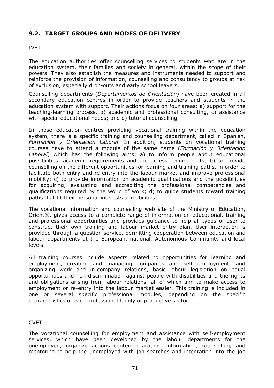# **9.2. TARGET GROUPS AND MODES OF DELIVERY**

# IVET

The education authorities offer counselling services to students who are in the education system, their families and society in general, within the scope of their powers. They also establish the measures and instruments needed to support and reinforce the provision of information, counselling and consultancy to groups at risk of exclusion, especially drop-outs and early school leavers.

Counselling departments (*Departamentos de Orientación*) have been created in all secondary education centres in order to provide teachers and students in the education system with support. Their actions focus on four areas: a) support for the teaching-learning process, b) academic and professional consulting, c) assistance with special educational needs; and d) tutorial counselling.

In those education centres providing vocational training within the education system, there is a specific training and counselling department, called in Spanish, *Formación y Orientación Laboral*. In addition, students on vocational training courses have to attend a module of the same name (*Formación y Orientación Laboral*) which has the following aims: a) to inform people about educational possibilities, academic requirements and the access requirements; b) to provide counselling on the different opportunities for learning and training paths, in order to facilitate both entry and re-entry into the labour market and improve professional mobility; c) to provide information on academic qualifications and the possibilities for acquiring, evaluating and accrediting the professional competencies and qualifications required by the world of work; d) to guide students toward training paths that fit their personal interests and abilities.

The vocational information and counselling web site of the Ministry of Education, Orient@, gives access to a complete range of information on educational, training and professional opportunities and provides guidance to help all types of user to construct their own training and labour market entry plan. User interaction is provided through a question service, permitting cooperation between education and labour departments at the European, national, Autonomous Community and local levels.

All training courses include aspects related to opportunities for learning and employment, creating and managing companies and self employment, and organizing work and in-company relations, basic labour legislation on equal opportunities and non-discrimination against people with disabilities and the rights and obligations arising from labour relations, all of which aim to make access to employment or re-entry into the labour market easier. This training is included in one or several specific professional modules, depending on the specific characteristics of each professional family or productive sector.

# CVET

The vocational counselling for employment and assistance with self-employment services, which have been developed by the labour departments for the unemployed, organize actions centering around: information, counselling, and mentoring to help the unemployed with job searches and integration into the job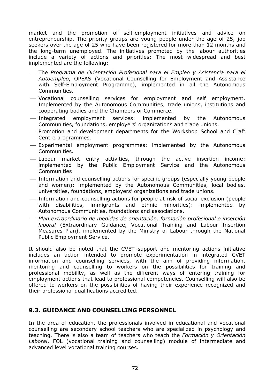market and the promotion of self-employment initiatives and advice on entrepreneurship. The priority groups are young people under the age of 25, job seekers over the age of 25 who have been registered for more than 12 months and the long-term unemployed. The initiatives promoted by the labour authorities include a variety of actions and priorities: The most widespread and best implemented are the following;

- ⎯ The *Programa de Orientación Profesional para el Empleo y Asistencia para el Autoempleo*, OPEAS (Vocational Counselling for Employment and Assistance with Self-Employment Programme), implemented in all the Autonomous Communities.
- ⎯ Vocational counselling services for employment and self employment. Implemented by the Autonomous Communities, trade unions, institutions and cooperating bodies and the Chambers of Commerce.
- ⎯ Integrated employment services: implemented by the Autonomous Communities, foundations, employers' organizations and trade unions.
- ⎯ Promotion and development departments for the Workshop School and Craft Centre programmes.
- ⎯ Experimental employment programmes: implemented by the Autonomous Communities.
- ⎯ Labour market entry activities, through the active insertion income: implemented by the Public Employment Service and the Autonomous **Communities**
- ⎯ Information and counselling actions for specific groups (especially young people and women): implemented by the Autonomous Communities, local bodies, universities, foundations, employers' organizations and trade unions.
- ⎯ Information and counselling actions for people at risk of social exclusion (people with disabilities, immigrants and ethnic minorities): implemented by Autonomous Communities, foundations and associations.
- ⎯ *Plan extraordinario de medidas de orientación, formación profesional e inserción laboral* (Extraordinary Guidance, Vocational Training and Labour Insertion Measures Plan), implemented by the Ministry of Labour through the National Public Employment Service.

It should also be noted that the CVET support and mentoring actions initiative includes an action intended to promote experimentation in integrated CVET information and counselling services, with the aim of providing information, mentoring and counselling to workers on the possibilities for training and professional mobility, as well as the different ways of entering training for employment actions that lead to professional competencies. Counselling will also be offered to workers on the possibilities of having their experience recognized and their professional qualifications accredited.

# **9.3. GUIDANCE AND COUNSELLING PERSONNEL**

In the area of education, the professionals involved in educational and vocational counselling are secondary school teachers who are specialized in psychology and teaching. There is also a team of teachers who teach the *Formación y Orientación Laboral*, FOL (vocational training and counselling) module of intermediate and advanced level vocational training courses.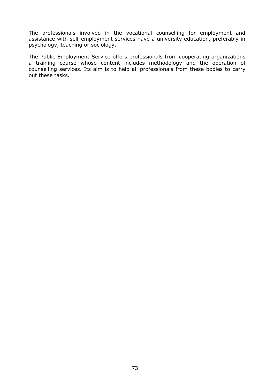The professionals involved in the vocational counselling for employment and assistance with self-employment services have a university education, preferably in psychology, teaching or sociology.

The Public Employment Service offers professionals from cooperating organizations a training course whose content includes methodology and the operation of counselling services. Its aim is to help all professionals from these bodies to carry out these tasks.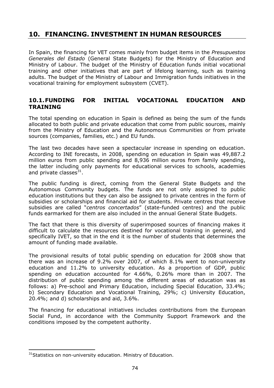# **10. FINANCING. INVESTMENT IN HUMAN RESOURCES**

In Spain, the financing for VET comes mainly from budget items in the *Presupuestos Generales del Estado* (General State Budgets) for the Ministry of Education and Ministry of Labour. The budget of the Ministry of Education funds initial vocational training and other initiatives that are part of lifelong learning, such as training adults. The budget of the Ministry of Labour and Immigration funds initiatives in the vocational training for employment subsystem (CVET).

## **10.1. FUNDING FOR INITIAL VOCATIONAL EDUCATION AND TRAINING**

The total spending on education in Spain is defined as being the sum of the funds allocated to both public and private education that come from public sources, mainly from the Ministry of Education and the Autonomous Communities or from private sources (companies, families, etc.) and EU funds.

The last two decades have seen a spectacular increase in spending on education. According to INE forecasts, in 2008, spending on education in Spain was 49,887.2 million euros from public spending and 8,936 million euros from family spending, the latter including only payments for educational services to schools, academies and private classes $^{31}$ .

The public funding is direct, coming from the General State Budgets and the Autonomous Community budgets. The funds are not only assigned to public education institutions but they can also be assigned to private centres in the form of subsidies or scholarships and financial aid for students. Private centres that receive subsidies are called "*centros concertados*" (state-funded centres) and the public funds earmarked for them are also included in the annual General State Budgets.

The fact that there is this diversity of superimposed sources of financing makes it difficult to calculate the resources destined for vocational training in general, and specifically IVET, so that in the end it is the number of students that determines the amount of funding made available.

The provisional results of total public spending on education for 2008 show that there was an increase of 9.2% over 2007, of which 8.1% went to non-university education and 11.2% to university education. As a proportion of GDP, public spending on education accounted for 4.66%, 0.26% more than in 2007. The distribution of public spending among the different areas of education was as follows: a) Pre-school and Primary Education, including Special Education, 33.4%; b) Secondary Education and Vocational Training, 29%; c) University Education, 20.4%; and d) scholarships and aid, 3.6%.

The financing for educational initiatives includes contributions from the European Social Fund, in accordance with the Community Support Framework and the conditions imposed by the competent authority.

 $\overline{a}$ 

<sup>&</sup>lt;sup>31</sup> Statistics on non-university education. Ministry of Education.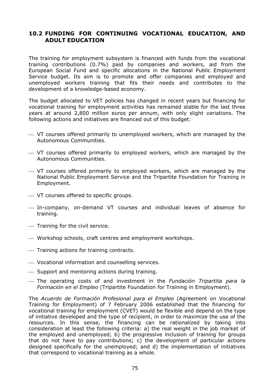## **10.2 FUNDING FOR CONTINUING VOCATIONAL EDUCATION, AND ADULT EDUCATION**

The training for employment subsystem is financed with funds from the vocational training contributions (0.7%) paid by companies and workers, aid from the European Social Fund and specific allocations in the National Public Employment Service budget. Its aim is to promote and offer companies and employed and unemployed workers training that fits their needs and contributes to the development of a knowledge-based economy.

The budget allocated to VET policies has changed in recent years but financing for vocational training for employment activities has remained stable for the last three years at around 2,800 million euros per annum, with only slight variations. The following actions and initiatives are financed out of this budget:

- ⎯ VT courses offered primarily to unemployed workers, which are managed by the Autonomous Communities.
- ⎯ VT courses offered primarily to employed workers, which are managed by the Autonomous Communities.
- $-$  VT courses offered primarily to employed workers, which are managed by the National Public Employment Service and the Tripartite Foundation for Training in Employment.
- ⎯ VT courses offered to specific groups.
- ⎯ In-company, on-demand VT courses and individual leaves of absence for training.
- ⎯ Training for the civil service.
- ⎯ Workshop schools, craft centres and employment workshops.
- ⎯ Training actions for training contracts.
- ⎯ Vocational information and counselling services.
- ⎯ Support and mentoring actions during training.
- ⎯ The operating costs of and investment in the *Fundación Tripartita para la Formación en el Empleo* (Tripartite Foundation for Training in Employment).

The *Acuerdo de Formación Profesional para el Empleo* (Agreement on Vocational Training for Employment) of 7 February 2006 established that the financing for vocational training for employment (CVET) would be flexible and depend on the type of initiative developed and the type of recipient, in order to maximize the use of the resources. In this sense, the financing can be rationalized by taking into consideration at least the following criteria: a) the real weight in the job market of the employed and unemployed; b) the progressive inclusion of training for groups that do not have to pay contributions; c) the development of particular actions designed specifically for the unemployed; and d) the implementation of initiatives that correspond to vocational training as a whole.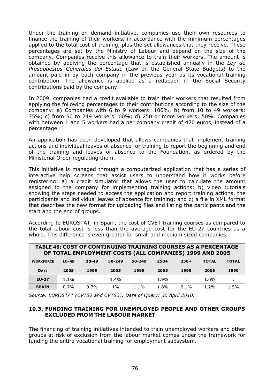Under the training on demand initiative, companies use their own resources to finance the training of their workers, in accordance with the minimum percentages applied to the total cost of training, plus the set allowances that they receive. These percentages are set by the Ministry of Labour and depend on the size of the company. Companies receive this allowance to train their workers. The amount is obtained by applying the percentage that is established annually in the *Ley de Presupuestos Generales del Estado* (Law on the General State Budgets) to the amount paid in by each company in the previous year as its vocational training contribution. The allowance is applied as a reduction in the Social Security contributions paid by the company.

In 2009, companies had a credit available to train their workers that resulted from applying the following percentages to their contributions according to the size of the company: a) Companies with 6 to 9 workers: 100%; b) from 10 to 49 workers: 75%; c) from 50 to 249 workers: 60%; d) 250 or more workers: 50%. Companies with between 1 and 5 workers had a per company credit of 420 euros, instead of a percentage.

An application has been developed that allows companies that implement training actions and individual leaves of absence for training to report the beginning and end of the training and leaves of absence to the Foundation, as ordered by the Ministerial Order regulating them.

This initiative is managed through a computerized application that has a series of interactive help screens that assist users to understand how it works before registering: a) a credit simulator that allows the user to calculate the amount assigned to the company for implementing training actions; b) video tutorials showing the steps needed to access the application and report training actions, the participants and individual leaves of absence for training; and c) a file in XML format that describes the new format for uploading files and listing the participants and the start and the end of groups.

According to EUROSTAT, in Spain, the cost of CVET training courses as compared to the total labour cost is less than the average cost for the EU-27 countries as a whole. This difference is even greater for small and medium sized companies.

| <b>TABLE 46: COST OF CONTINUING TRAINING COURSES AS A PERCENTAGE</b><br>OF TOTAL EMPLOYMENT COSTS (ALL COMPANIES) 1999 AND 2005 |           |         |         |            |        |         |              |              |
|---------------------------------------------------------------------------------------------------------------------------------|-----------|---------|---------|------------|--------|---------|--------------|--------------|
| <b>WORKFORCE</b>                                                                                                                | $10 - 49$ | $10-49$ | 50-249  | $50 - 249$ | $250+$ | $250+$  | <b>TOTAL</b> | <b>TOTAL</b> |
| <b>DATE</b>                                                                                                                     | 2005      | 1999    | 2005    | 1999       | 2005   | 1999    | 2005         | 1999         |
| <b>EU-27</b>                                                                                                                    | $1.1\%$   | ÷       | $1.4\%$ | ÷          | 1.9%   | ÷       | 1.6%         | ÷            |
| <b>SPAIN</b>                                                                                                                    | 0.7%      | 0.7%    | 1%      | $1.1\%$    | 1.8%   | $2.1\%$ | 1.2%         | 1.5%         |

*Source: EUROSTAT (CVTS2 and CVTS3); Date of Query: 30 April 2010.*

#### **10.3. FUNDING TRAINING FOR UNEMPLOYED PEOPLE AND OTHER GROUPS EXCLUDED FROM THE LABOUR MARKET**

The financing of training initiatives intended to train unemployed workers and other groups at risk of exclusion from the labour market comes under the framework for funding the entire vocational training for employment subsystem.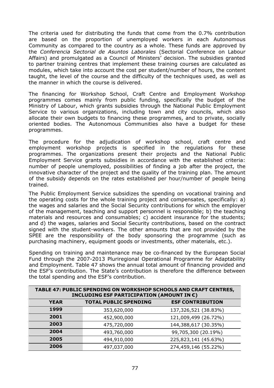The criteria used for distributing the funds that come from the 0.7% contribution are based on the proportion of unemployed workers in each Autonomous Community as compared to the country as a whole. These funds are approved by the *Conferencia Sectorial de Asuntos Laborales* (Sectorial Conference on Labour Affairs) and promulgated as a Council of Ministers' decision. The subsidies granted to partner training centres that implement these training courses are calculated as modules, which take into account the cost per student/number of hours, the content taught, the level of the course and the difficulty of the techniques used, as well as the manner in which the course is delivered.

The financing for Workshop School, Craft Centre and Employment Workshop programmes comes mainly from public funding, specifically the budget of the Ministry of Labour, which grants subsidies through the National Public Employment Service to various organizations, including town and city councils, which also allocate their own budgets to financing these programmes, and to private, socially oriented bodies. The Autonomous Communities also have a budget for these programmes.

The procedure for the adjudication of workshop school, craft centre and employment workshop projects is specified in the regulations for these programmes. The organizations present their projects and the National Public Employment Service grants subsidies in accordance with the established criteria: number of people unemployed, possibilities of finding a job after the project, the innovative character of the project and the quality of the training plan. The amount of the subsidy depends on the rates established per hour/number of people being trained.

The Public Employment Service subsidizes the spending on vocational training and the operating costs for the whole training project and compensates, specifically: a) the wages and salaries and the Social Security contributions for which the employer of the management, teaching and support personnel is responsible; b) the teaching materials and resources and consumables; c) accident insurance for the students; and d) the wages, salaries and Social Security contributions, based on the contract signed with the student-workers. The other amounts that are not provided by the SPEE are the responsibility of the body sponsoring the programme (such as purchasing machinery, equipment goods or investments, other materials, etc.).

Spending on training and maintenance may be co-financed by the European Social Fund through the 2007-2013 Pluriregional Operational Programme for Adaptability and Employment. Table 47 shows the annual total amount of financing provided and the ESF's contribution. The State's contribution is therefore the difference between the total spending and the ESF's contribution.

| TABLE 47: PUBLIC SPENDING ON WORKSHOP SCHOOLS AND CRAFT CENTRES,<br>INCLUDING ESF PARTICIPATION (AMOUNT IN $\epsilon$ ) |                              |                         |  |  |
|-------------------------------------------------------------------------------------------------------------------------|------------------------------|-------------------------|--|--|
| <b>YEAR</b>                                                                                                             | <b>TOTAL PUBLIC SPENDING</b> | <b>ESF CONTRIBUTION</b> |  |  |
| 1999                                                                                                                    | 353,620,000                  | 137,326,521 (38.83%)    |  |  |
| 2001                                                                                                                    | 452,900,000                  | 121,009,499 (26.72%)    |  |  |
| 2003                                                                                                                    | 475,720,000                  | 144,388,617 (30.35%)    |  |  |
| 2004                                                                                                                    | 493,760,000                  | 99,705,300 (20.19%)     |  |  |
| 2005                                                                                                                    | 494,910,000                  | 225,823,141 (45.63%)    |  |  |
| 2006                                                                                                                    | 497,037,000                  | 274,459,146 (55.22%)    |  |  |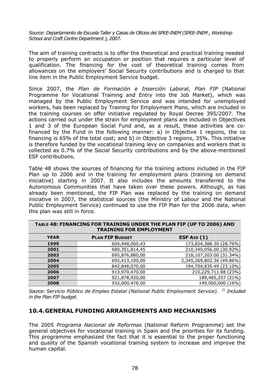*Source: Departamento de Escuela Taller y Casas de Oficios del SPEE-INEM (SPEE-INEM , Workshop School and Craft Centre Department ), 2007.*

The aim of training contracts is to offer the theoretical and practical training needed to properly perform an occupation or position that requires a particular level of qualification. The financing for the cost of theoretical training comes from allowances on the employers' Social Security contributions and is charged to that line item in the Public Employment Service budget.

Since 2007, the *Plan de Formación e Inserción Laboral*, *Plan FIP* (National Programme for Vocational Training and Entry into the Job Market), which was managed by the Public Employment Service and was intended for unemployed workers, has been replaced by Training for Employment Plans, which are included in the training courses on offer initiative regulated by Royal Decree 395/2007. The actions carried out under the strain for employment plans are included in Objectives 1 and 3 of the European Social Fund and, as a result, these activities are cofinanced by the Fund in the following manner: a) in Objective 1 regions, the co financing is 65% of the total cost; and b) in Objective 3 regions, 35%. This initiative is therefore funded by the vocational training levy on companies and workers that is collected as 0.7% of the Social Security contributions and by the above-mentioned ESF contributions.

Table 48 shows the sources of financing for the training actions included in the FIP Plan up to 2006 and in the training for employment plans (training on demand iniciative) starting in 2007. It also includes the amounts transferred to the Autonomous Communities that have taken over these powers. Although, as has already been mentioned, the FIP Plan was replaced by the training on demand iniciative in 2007, the statistical sources (the Ministry of Labour and the National Public Employment Service) continued to use the FIP Plan for the 2006 data, when this plan was still in force.

| I KAINING FOK EMPLOYMEN I |                        |                           |  |  |
|---------------------------|------------------------|---------------------------|--|--|
| <b>YEAR</b>               | <b>PLAN FIP BUDGET</b> | ESF AID $(1)$             |  |  |
| 1999                      | 604,448,000,43         | 173,824,388.30 (28.76%)   |  |  |
| 2001                      | 680,351,814,45         | 210,340,056.00 (30.92%)   |  |  |
| 2003                      | 695,876,880,00         | 218,107,203.00 (31.34%)   |  |  |
| 2004                      | 692,413,100,00         | 2,345,269,802.36 (49.86%) |  |  |
| 2005                      | 842,848,070,00         | 194,704,835.49 (23.10%)   |  |  |
| 2006                      | 913,970,470,00         | 210,229,711.88 (23%)      |  |  |
| 2007                      | 921,878,920,00         | 189,485,257 (21%)         |  |  |
| 2008                      | 932,000,478,00         | 149,000,000 (16%)         |  |  |

| TABLE 48: FINANCING FOR TRAINING UNDER THE PLAN FIP (UP TO 2006) AND |
|----------------------------------------------------------------------|
| <b>TRAINING FOR EMPLOYMENT</b>                                       |

*Source: Servicio Público de Empleo Estatal (National Public Employment Service). 1) Included in the Plan FIP budget.*

#### **10.4. GENERAL FUNDING ARRANGEMENTS AND MECHANISMS**

The 2005 *Programa Nacional de Reformas* (National Reform Programme) set the general objectives for vocational training in Spain and the priorities for its funding. This programme emphasized the fact that it is essential to the proper functioning and quality of the Spanish vocational training system to increase and improve the human capital.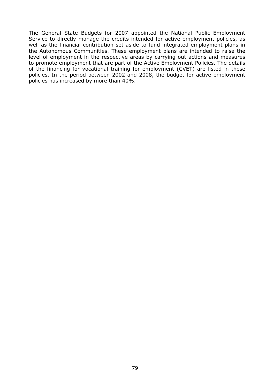The General State Budgets for 2007 appointed the National Public Employment Service to directly manage the credits intended for active employment policies, as well as the financial contribution set aside to fund integrated employment plans in the Autonomous Communities. These employment plans are intended to raise the level of employment in the respective areas by carrying out actions and measures to promote employment that are part of the Active Employment Policies. The details of the financing for vocational training for employment (CVET) are listed in these policies. In the period between 2002 and 2008, the budget for active employment policies has increased by more than 40%.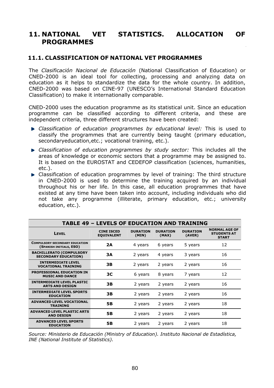# **11. NATIONAL VET STATISTICS. ALLOCATION OF PROGRAMMES**

### **11.1. CLASSIFICATION OF NATIONAL VET PROGRAMMES**

The *Clasificación Nacional de Educación* (National Classification of Education) or CNED-2000 is an ideal tool for collecting, processing and analyzing data on education as it helps to standardize the data for the whole country. In addition, CNED-2000 was based on CINE-97 (UNESCO's International Standard Education Classification) to make it internationally comparable.

CNED-2000 uses the education programme as its statistical unit. Since an education programme can be classified according to different criteria, and these are independent criteria, three different structures have been created:

- *Classification of education programmes by educational level:* This is used to classify the programmes that are currently being taught (primary education, secondaryeducation,etc.; vocational training, etc.).
- *Classification of education programmes by study sector:* This includes all the areas of knowledge or economic sectors that a programme may be assigned to. It is based on the EUROSTAT and CEDEFOP classification (sciences, humanities, etc.).
- Classification of education programmes by level of training: The third structure in CNED-2000 is used to determine the training acquired by an individual throughout his or her life. In this case, all education programmes that have existed at any time have been taken into account, including individuals who did not take any programme (illiterate, primary education, etc.; university education, etc.).

|                                                                  |                                        |                          |                          | 1778881                   |                                                            |
|------------------------------------------------------------------|----------------------------------------|--------------------------|--------------------------|---------------------------|------------------------------------------------------------|
| <b>LEVEL</b>                                                     | <b>CINE ISCED</b><br><b>EQUIVALENT</b> | <b>DURATION</b><br>(MIN) | <b>DURATION</b><br>(MAX) | <b>DURATION</b><br>(AVER) | <b>NORMAL AGE OF</b><br><b>STUDENTS AT</b><br><b>START</b> |
| <b>COMPULSORY SECONDARY EDUCATION</b><br>(SPANISH INITIALS, ESO) | 2A                                     | 4 years                  | 6 years                  | 5 years                   | 12                                                         |
| <b>BACHILLERATO (COMPULSORY</b><br><b>SECONDARY EDUCATION)</b>   | 3A                                     | 2 years                  | 4 years                  | 3 years                   | 16                                                         |
| <b>INTERMEDIATE LEVEL</b><br><b>VOCATIONAL TRAINING</b>          | 3В                                     | 2 years                  | 2 years                  | 2 years                   | 16                                                         |
| <b>PROFESSIONAL EDUCATION IN</b><br><b>MUSIC AND DANCE</b>       | 3 <sup>C</sup>                         | 6 years                  | 8 years                  | 7 years                   | 12                                                         |
| <b>INTERMEDIATE LEVEL PLASTIC</b><br><b>ARTS AND DESIGN</b>      | 3B                                     | 2 years                  | 2 years                  | 2 years                   | 16                                                         |
| <b>INTERMEDIATE LEVEL SPORTS</b><br><b>EDUCATION</b>             | 3В                                     | 2 years                  | 2 years                  | 2 years                   | 16                                                         |
| <b>ADVANCED LEVEL VOCATIONAL</b><br><b>TRAINING</b>              | <b>5B</b>                              | 2 years                  | 2 years                  | 2 years                   | 18                                                         |
| <b>ADVANCED LEVEL PLASTIC ARTS</b><br><b>AND DESIGN</b>          | <b>5B</b>                              | 2 years                  | 2 years                  | 2 years                   | 18                                                         |
| <b>ADVANCED LEVEL SPORTS</b><br><b>EDUCATION</b>                 | 5B                                     | 2 years                  | 2 years                  | 2 years                   | 18                                                         |

*Source: Ministerio de Educación (Ministry of Education). Instituto Nacional de Estadística, INE (National Institute of Statistics).*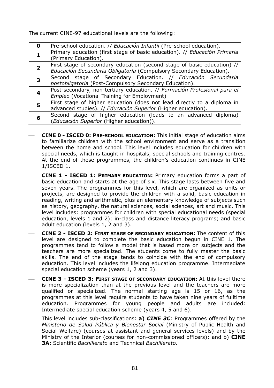The current CINE-97 educational levels are the following:

| 0 | Pre-school education. // Educación Infantil (Pre-school education).                                                                           |
|---|-----------------------------------------------------------------------------------------------------------------------------------------------|
|   | Primary education (first stage of basic education). // Educación Primaria<br>(Primary Education).                                             |
|   | First stage of secondary education (second stage of basic education) //<br>Educación Secundaria Obligatoria (Compulsory Secondary Education). |
|   | Second stage of Secondary Education. // Educación Secundaria<br>postobligatoria (Post-Compulsory Secondary Education).                        |
|   | Post-secondary, non-tertiary education. // Formación Profesional para el<br>Empleo (Vocational Training for Employment)                       |
|   | First stage of higher education (does not lead directly to a diploma in<br>advanced studies). // Educación Superior (Higher education).       |
| 6 | Second stage of higher education (leads to an advanced diploma)<br>(Educación Superior (Higher education)).                                   |

- ⎯ **CINE 0 - ISCED 0: PRE-SCHOOL EDUCATION:** This initial stage of education aims to familiarize children with the school environment and serve as a transition between the home and school. This level includes education for children with special needs, which is taught in hospitals, special schools and training centres. At the end of these programmes, the children's education continues in CINE 1/ISCED 1.
- ⎯ **CINE 1 ISCED 1: PRIMARY EDUCATION:** Primary education forms a part of basic education and starts at the age of six. This stage lasts between five and seven years. The programmes for this level, which are organized as units or projects, are designed to provide the children with a solid, basic education in reading, writing and arithmetic, plus an elementary knowledge of subjects such as history, geography, the natural sciences, social sciences, art and music. This level includes: programmes for children with special educational needs (special education, levels 1 and 2); in-class and distance literacy programs; and basic adult education (levels 1, 2 and 3).
- ⎯ **CINE 2 ISCED 2: FIRST STAGE OF SECONDARY EDUCATION:** The content of this level are designed to complete the basic education begun in CINE 1. The programmes tend to follow a model that is based more on subjects and the teachers are more specialized. The students come to fully master the basic skills. The end of the stage tends to coincide with the end of compulsory education. This level includes the lifelong education programme. Intermediate special education scheme (years 1, 2 and 3).
- ⎯ **CINE 3 ISCED 3: FIRST STAGE OF SECONDARY EDUCATION:** At this level there is more specialization than at the previous level and the teachers are more qualified or specialized. The normal starting age is 15 or 16, as the programmes at this level require students to have taken nine years of fulltime education. Programmes for young people and adults are included: Intermediate special education scheme (years 4, 5 and 6).

This level includes sub-classifications: **a)** *CINE 3C:* Programmes offered by the *Ministerio de Salud Pública y Bienestar Social* (Ministry of Public Health and Social Welfare) (courses at assistant and general services levels) and by the Ministry of the Interior (courses for non-commissioned officers); and b) **CINE 3A:** Scientific *Bachillerato* and Technical *Bachillerato.*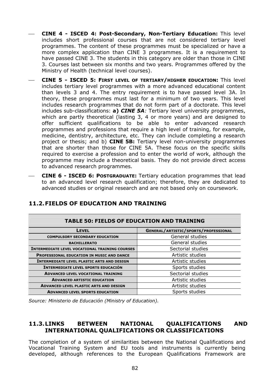- ⎯ **CINE 4 ISCED 4: Post-Secondary, Non-Tertiary Education:** This level includes short professional courses that are not considered tertiary level programmes. The content of these programmes must be specialized or have a more complex application than CINE 3 programmes. It is a requirement to have passed CINE 3. The students in this category are older than those in CINE 3. Courses last between six months and two years. Programmes offered by the Ministry of Health (technical level courses).
- ⎯ **CINE 5 ISCED 5: FIRST LEVEL OF TERTIARY/HIGHER EDUCATION:** This level includes tertiary level programmes with a more advanced educational content than levels 3 and 4. The entry requirement is to have passed level 3A. In theory, these programmes must last for a minimum of two years. This level includes research programmes that do not form part of a doctorate. This level includes sub-classifications: **a)** *CINE 5A:* Tertiary level university programmes, which are partly theoretical (lasting 3, 4 or more years) and are designed to offer sufficient qualifications to be able to enter advanced research programmes and professions that require a high level of training, for example, medicine, dentistry, architecture, etc. They can include completing a research project or thesis; and b) **CINE 5B:** Tertiary level non-university programmes that are shorter than those for CINE 5A. These focus on the specific skills required to exercise a profession and to enter the world of work, although the programme may include a theoretical basis. They do not provide direct access to advanced research programmes.
- ⎯ **CINE 6 ISCED 6: POSTGRADUATE:** Tertiary education programmes that lead to an advanced level research qualification; therefore, they are dedicated to advanced studies or original research and are not based only on coursework.

| <b>TABLE 50: FIELDS OF EDUCATION AND TRAINING</b>     |                                      |  |
|-------------------------------------------------------|--------------------------------------|--|
| LEVEL                                                 | GENERAL/ARTISTIC/SPORTS/PROFESSIONAL |  |
| <b>COMPULSORY SECONDARY EDUCATION</b>                 | General studies                      |  |
| <b>BACHILLERATO</b>                                   | General studies                      |  |
| <b>INTERMEDIATE LEVEL VOCATIONAL TRAINING COURSES</b> | Sectorial studies                    |  |
| <b>PROFESSIONAL EDUCATION IN MUSIC AND DANCE</b>      | Artistic studies                     |  |
| <b>INTERMEDIATE LEVEL PLASTIC ARTS AND DESIGN</b>     | Artistic studies                     |  |
| <b>INTERMEDIATE LEVEL SPORTS EDUCACIÓN</b>            | Sports studies                       |  |
| <b>ADVANCED LEVEL VOCATIONAL TRAINING</b>             | Sectorial studies                    |  |
| <b>ADVANCED ARTISTIC EDUCATION</b>                    | Artistic studies                     |  |
| <b>ADVANCED LEVEL PLASTIC ARTS AND DESIGN</b>         | Artistic studies                     |  |
| <b>ADVANCED LEVEL SPORTS EDUCATION</b>                | Sports studies                       |  |

## **11.2.FIELDS OF EDUCATION AND TRAINING**

*Source: Ministerio de Educación (Ministry of Education).*

### **11.3.LINKS BETWEEN NATIONAL QUALIFICATIONS AND INTERNATIONAL QUALIFICATIONS OR CLASSIFICATIONS**

The completion of a system of similarities between the National Qualifications and Vocational Training System and EU tools and instruments is currently being developed, although references to the European Qualifications Framework are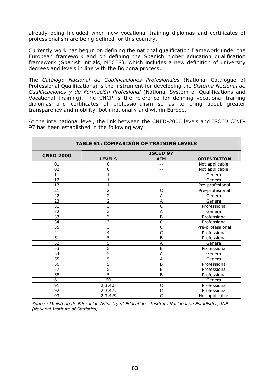already being included when new vocational training diplomas and certificates of professionalism are being defined for this country.

Currently work has begun on defining the national qualification framework under the European framework and on defining the Spanish higher education qualification framework (Spanish initials, MECES), which includes a new definition of university degrees and levels in line with the Bologna process.

The *Catálogo Nacional de Cualificaciones Profesionales* (National Catalogue of Professional Qualifications) is the instrument for developing the *Sistema Nacional de Cualificaciones y de Formación Profesional* (National System of Qualifications and Vocational Training). The CNCP is the reference for defining vocational training diplomas and certificates of professionalism so as to bring about greater transparency and mobility, both nationally and within Europe.

At the international level, the link between the CNED-2000 levels and ISCED CINE-97 has been established in the following way:

| <b>TABLE 51: COMPARISON OF TRAINING LEVELS</b> |                |                         |                    |  |
|------------------------------------------------|----------------|-------------------------|--------------------|--|
|                                                |                | <b>ISCED 97</b>         |                    |  |
| <b>CNED 2000</b>                               | <b>LEVELS</b>  | <b>AIM</b>              | <b>ORIENTATION</b> |  |
| 01                                             | 0              |                         | Not applicable.    |  |
| 02                                             | 0              |                         | Not applicable.    |  |
| 11                                             |                | --                      | General            |  |
| 12                                             |                | --                      | General            |  |
| 13                                             |                | --                      | Pre-profesional    |  |
| 21                                             | $\overline{2}$ | C                       | Pre-profesional    |  |
| 22                                             | 2              | A                       | General            |  |
| 23                                             | $\overline{2}$ | A                       | General            |  |
| 31                                             | 3              | Ċ                       | Professional       |  |
| 32                                             | 3              | A                       | General            |  |
| 33                                             | 3              | B                       | Professional       |  |
| 34                                             | 3              | C                       | Professional       |  |
| 35                                             | 3              | C                       | Pre-professional   |  |
| 41                                             | 4              | C                       | Professional       |  |
| 51                                             | 5              | B                       | Professional       |  |
| 52                                             | 5              | A                       | General            |  |
| 53                                             | 5              | B                       | Professional       |  |
| 54                                             | 5              | Α                       | General            |  |
| 55                                             | 5              | A                       | General            |  |
| 56                                             | 5              | B                       | Professional       |  |
| 57                                             | 5              | B                       | Professional       |  |
| 58                                             | 5              | B                       | Professional       |  |
| 61                                             | 60             | --                      | General            |  |
| 91                                             | 2,3,4,5        | C                       | Professional       |  |
| 92                                             | 2,3,4,5        | C                       | Professional       |  |
| 93                                             | 2,3,4,5        | $\overline{\mathsf{C}}$ | Not applicable.    |  |

*Source: Ministerio de Educación (Ministry of Education). Instituto Nacional de Estadística, INE (National Institute of Statistics).*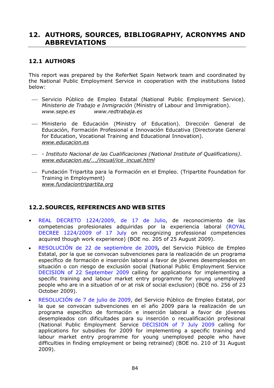# **12. AUTHORS, SOURCES, BIBLIOGRAPHY, ACRONYMS AND ABBREVIATIONS**

## **12.1 AUTHORS**

This report was prepared by the ReferNet Spain Network team and coordinated by the National Public Employment Service in cooperation with the institutions listed below:

- ⎯ Servicio Público de Empleo Estatal (National Public Employment Service). *Ministerio de Trabajo e Inmigración* (Ministry of Labour and Immigration). *www.sepe.es www.redtrabaja.es*
- ⎯ Ministerio de Educación (Ministry of Education). Dirección General de Educación, Formación Profesional e Innovación Educativa (Directorate General for Education, Vocational Training and Educational Innovation). *[www.educacion.es](http://www.educacion.es/)*
- ⎯ - *Instituto Nacional de las Cualificaciones (National Institute of Qualifications)*. *www.educacion.es/.../incual/ice\_incual.html*
- ⎯ Fundación Tripartita para la Formación en el Empleo. (Tripartite Foundation for Training in Employment) *[www.fundaciontripartita.org](http://www.fundaciontripartita.org/)*

## **12.2. SOURCES, REFERENCES AND WEB SITES**

- REAL DECRETO 1224/2009, de 17 de Julio, de reconocimiento de las competencias profesionales adquiridas por la experiencia laboral (ROYAL DECREE 1224/2009 of 17 July on recognizing professional competencies acquired though work experience) (BOE no. 205 of 25 August 2009).
- RESOLUCIÓN de 22 de septiembre de 2009**,** del Servicio Público de Empleo Estatal, por la que se convocan subvenciones para la realización de un programa específico de formación e inserción laboral a favor de jóvenes desempleados en situación o con riesgo de exclusión social (National Public Employment Service DECISION of 22 September 2009 calling for applications for implementing a specific training and labour market entry programme for young unemployed people who are in a situation of or at risk of social exclusion) (BOE no. 256 of 23 October 2009).
- RESOLUCIÓN de 7 de julio de 2009, del Servicio Público de Empleo Estatal, por la que se convocan subvenciones en el año 2009 para la realización de un programa específico de formación e inserción laboral a favor de jóvenes desempleados con dificultades para su inserción o recualificación profesional (National Public Employment Service DECISION of 7 July 2009 calling for applications for subsidies for 2009 for implementing a specific training and labour market entry programme for young unemployed people who have difficulties in finding employment or being retrained) (BOE no. 210 of 31 August 2009).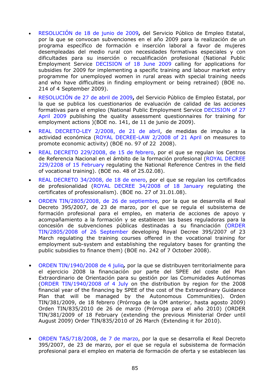- RESOLUCIÓN de 18 de junio de 2009**,** del Servicio Público de Empleo Estatal, por la que se convocan subvenciones en el año 2009 para la realización de un programa específico de formación e inserción laboral a favor de mujeres desempleadas del medio rural con necesidades formativas especiales y con dificultades para su inserción o recualificación profesional (National Public Employment Service DECISION of 18 June 2009 calling for applications for subsidies for 2009 for implementing a specific training and labour market entry programme for unemployed women in rural areas with special training needs and who have difficulties in finding employment or being retrained) (BOE no. 214 of 4 September 2009).
- RESOLUCIÓN de 27 de abril de 2009**,** del Servicio Público de Empleo Estatal, por la que se publica los cuestionarios de evaluación de calidad de las acciones formativas para el empleo (National Public Employment Service DECISION of 27 April 2009 publishing the quality assessment questionnaires for training for employment actions )(BOE no. 141, de 11 de junio de 2009).
- REAL DECRETO-LEY 2/2008, de 21 de abril, de medidas de impulso a la actividad económica (ROYAL DECREE-LAW 2/2008 of 21 April on measures to promote economic activity) (BOE no. 97 of 22 2008).
- REAL DECRETO 229/2008, de 15 de febrero, por el que se regulan los Centros de Referencia Nacional en el ámbito de la formación profesional (ROYAL DECREE 229/2208 of 15 February regulating the National Reference Centres in the field of vocational training). (BOE no. 48 of 25.02.08).
- REAL DECRETO 34/2008, de 18 de enero, por el que se regulan los certificados de profesionalidad (ROYAL DECREE 34/2008 of 18 January regulating the certificates of professionalism). (BOE no. 27 of 31.01.08).
- ORDEN TIN/2805/2008, de 26 de septiembre*,* por la que se desarrolla el Real Decreto 395/2007, de 23 de marzo, por el que se regula el subsistema de formación profesional para el empleo, en materia de acciones de apoyo y acompañamiento a la formación y se establecen las bases reguladoras para la concesión de subvenciones públicas destinadas a su financiación (ORDER TIN/2805/2008 of 26 September developing Royal Decree 395/2007 of 23 March regulating the training courses offered in the vocational training for employment sub-system and establishing the regulatory bases for granting the public subsidies to finance them) (BOE no. 242 of 7 October 2008).
- ORDEN TIN/1940/2008 de 4 julio*,* por la que se distribuyen territorialmente para el ejercicio 2008 la financiación por parte del SPEE del coste del Plan Extraordinario de Orientación para su gestión por las Comunidades Autónomas (ORDER TIN/1940/2008 of 4 July on the distribution by region for the 2008 financial year of the financing by SPEE of the cost of the Extraordinary Guidance Plan that will be managed by the Autonomous Communities). Orden TIN/381/2009, de 18 febrero (Prórroga de la OM anterior, hasta agosto 2009) Orden TIN/835/2010 de 26 de marzo (Prórroga para el año 2010) (ORDER TIN/381/2009 of 18 February (extending the previous Ministerial Order until August 2009) Order TIN/835/2010 of 26 March (Extending it for 2010).
- ORDEN TAS/718/2008, de 7 de marzo, por la que se desarrolla el Real Decreto 395/2007, de 23 de marzo, por el que se regula el subsistema de formación profesional para el empleo en materia de formación de oferta y se establecen las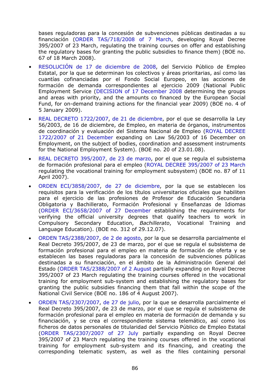bases reguladoras para la concesión de subvenciones públicas destinadas a su financiación (ORDER TAS/718/2008 of 7 March, developing Royal Decree 395/2007 of 23 March, regulating the training courses on offer and establishing the regulatory bases for granting the public subsidies to finance them) (BOE no. 67 of 18 March 2008).

- RESOLUCIÓN de 17 de diciembre de 2008, del Servicio Público de Empleo Estatal, por la que se determinan los colectivos y áreas prioritarias, así como las cuantías cofinanciadas por el Fondo Social Europeo, en las acciones de formación de demanda correspondientes al ejercicio 2009 (National Public Employment Service (DECISION of 17 December 2008 determining the groups and areas with priority, and the amounts co financed by the European Social Fund, for on-demand training actions for the financial year 2009) (BOE no. 4 of 5 January 2009).
- REAL DECRETO 1722/2007, de 21 de diciembre, por el que se desarrolla la Ley 56/2003, de 16 de diciembre, de Empleo, en materia de órganos, instrumentos de coordinación y evaluación del Sistema Nacional de Empleo (ROYAL DECREE 1722/2007 of 21 December expanding on Law 56/2003 of 16 December on Employment, on the subject of bodies, coordination and assessment instruments for the National Employment System). (BOE no. 20 of 23.01.08).
- REAL DECRETO 395/2007, de 23 de marzo, por el que se regula el subsistema de formación profesional para el empleo (ROYAL DECREE 395/2007 of 23 March regulating the vocational training for employment subsystem) (BOE no. 87 of 11 April 2007).
- ORDEN ECI/3858/2007, de 27 de diciembre, por la que se establecen los requisitos para la verificación de los títulos universitarios oficiales que habiliten para el ejercicio de las profesiones de Profesor de Educación Secundaria Obligatoria y Bachillerato, Formación Profesional y Enseñanzas de Idiomas (ORDER ECI/3658/2007 of 27 December establishing the requirements for verifying the official university degrees that qualify teachers to work in Compulsory Secondary Education, *Bachillerato*, Vocational Training and Language Education). (BOE no. 312 of 29.12.07).
- ORDEN TAS/2388/2007, de 2 de agosto, por la que se desarrolla parcialmente el Real Decreto 395/2007, de 23 de marzo, por el que se regula el subsistema de formación profesional para el empleo en materia de formación de oferta y se establecen las bases reguladoras para la concesión de subvenciones públicas destinadas a su financiación, en el ámbito de la Administración General del Estado (ORDER TAS/2388/2007 of 2 August partially expanding on Royal Decree 395/2007 of 23 March regulating the training courses offered in the vocational training for employment sub-system and establishing the regulatory bases for granting the public subsidies financing them that fall within the scope of the National Civil Service (BOE no. 186 of 4 August 2007).
- ORDEN TAS/2307/2007, de 27 de julio, por la que se desarrolla parcialmente el Real Decreto 395/2007, de 23 de marzo, por el que se regula el subsistema de formación profesional para el empleo en materia de formación de demanda y su financiación, y se crea el correspondiente sistema telemático, así como los ficheros de datos personales de titularidad del Servicio Público de Empleo Estatal (ORDER TAS/2307/2007 of 27 July partially expanding on Royal Decree 395/2007 of 23 March regulating the training courses offered in the vocational training for employment sub-system and its financing, and creating the corresponding telematic system, as well as the files containing personal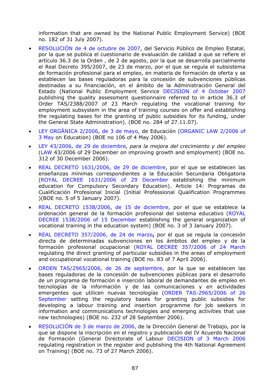information that are owned by the National Public Employment Service) (BOE no. 182 of 31 July 2007).

- RESOLUCIÓN de 4 de octubre de 2007, del Servicio Público de Empleo Estatal, por la que se publica el cuestionario de evaluación de calidad a que se refiere el artículo 36.3 de la Orden , de 2 de agosto, por la que se desarrolla parcialmente el Real Decreto 395/2007, de 23 de marzo, por el que se regula el subsistema de formación profesional para el empleo, en materia de formación de oferta y se establecen las bases reguladoras para la concesión de subvenciones públicas destinadas a su financiación, en el ámbito de la Administración General del Estado (National Public Employment Service DECISION of 4 October 2007 publishing the quality assessment questionnaire referred to in article 36.3 of Order TAS/2388/2007 of 23 March regulating the vocational training for employment subsystem in the area of training courses on offer and establishing the regulating bases for the granting of public subsidies for its funding, under the General State Administration). (BOE no. 284 of 27.11.07).
- LEY ORGÁNICA 2/2006, de 3 de mayo, de Educación (ORGANIC LAW 2/2006 of 3 May on Education) (BOE no 106 of 4 May 2006).
- LEY 43/2006, de 29 de diciembre*, para la mejora del crecimiento y del empleo*  (LAW 43/2006 of 29 December on improving growth and employment) (BOE no. 312 of 30 December 2006).
- REAL DECRETO 1631/2006, de 29 de diciembre, por el que se establecen las enseñanzas mínimas correspondientes a la Educación Secundaria Obligatoria (ROYAL DECREE 1631/2006 of 29 December establishing the minimum education for Compulsory Secondary Education). Article 14: Programas de Cualificación Profesional Inicial (Initial Professional Qualification Programmes )(BOE no. 5 of 5 January 2007).
- REAL DECRETO 1538/2006, de 15 de diciembre, por el que se establece la ordenación general de la formación profesional del sistema educativo (ROYAL DECREE 1538/2006 of 15 December establishing the general organization of vocational training in the education system) (BOE no. 3 of 3 January 2007).
- REAL DECRETO 357/2006, de 24 de marzo**,** por el que se regula la concesión directa de determinadas subvenciones en los ámbitos del empleo y de la formación profesional ocupacional (ROYAL DECREE 357/2006 of 24 March regulating the direct granting of particular subsidies in the areas of employment and occupational vocational training (BOE no. 83 of 7 April 2006).
- ORDEN TAS/2965/2006, de 26 de septiembre, por la que se establecen las bases reguladoras de la concesión de subvenciones públicas para el desarrollo de un programa de formación e inserción laboral de demandantes de empleo en tecnologías de la información y de las comunicaciones y en actividades emergentes que utilicen nuevas tecnologías (ORDER TAS-2965/2006 of 26 September setting the regulatory bases for granting public subsidies for developing a labour training and insertion programme for job seekers in information and communications technologies and emerging activities that use new technologies) (BOE no. 232 of 28 September 2006).
- RESOLUCIÓN de 3 de marzo de 2006, de la Dirección General de Trabajo, por la que se dispone la inscripción en el registro y publicación del IV Acuerdo Nacional de Formación (General Directorate of Labour DECISION of 3 March 2006 regulating registration in the register and publishing the 4th National Agreement on Training) (BOE no. 73 of 27 March 2006).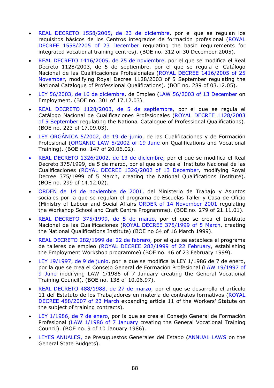- REAL DECRETO 1558/2005, de 23 de diciembre, por el que se regulan los requisitos básicos de los Centros integrados de formación profesional (ROYAL DECREE 1558/2205 of 23 December regulating the basic requirements for integrated vocational training centres). (BOE no. 312 of 30 December 2005).
- REAL DECRETO 1416/2005, de 25 de noviembre, por el que se modifica el Real Decreto 1128/2003, de 5 de septiembre, por el que se regula el Catálogo Nacional de las Cualificaciones Profesionales (ROYAL DECREE 1416/2005 of 25 November, modifying Royal Decree 1128/2003 of 5 September regulating the National Catalogue of Professional Qualifications). (BOE no. 289 of 03.12.05).
- LEY 56/2003, de 16 de diciembre, de Empleo (LAW 56/2003 of 13 December on Employment. (BOE no. 301 of 17.12.03).
- REAL DECRETO 1128/2003, de 5 de septiembre, por el que se regula el Catálogo Nacional de Cualificaciones Profesionales (ROYAL DECREE 1128/2003 of 5 September regulating the National Catalogue of Professional Qualifications). (BOE no. 223 of 17.09.03).
- LEY ORGÁNICA 5/2002, de 19 de junio, de las Cualificaciones y de Formación Profesional (ORGANIC LAW 5/2002 of 19 June on Qualifications and Vocational Training). (BOE no. 147 of 20.06.02).
- REAL DECRETO 1326/2002, de 13 de diciembre, por el que se modifica el Real Decreto 375/1999, de 5 de marzo, por el que se crea el Instituto Nacional de las Cualificaciones (ROYAL DECREE 1326/2002 of 13 December, modifying Royal Decree 375/1999 of 5 March, creating the National Qualifications Institute). (BOE no. 299 of 14.12.02).
- ORDEN de 14 de noviembre de 2001, del Ministerio de Trabajo y Asuntos sociales por la que se regulan el programa de Escuelas Taller y Casa de Oficio (Ministry of Labour and Social Affairs ORDER of 14 November 2001 regulating the Workshop School and Craft Centre Programme). (BOE no. 279 of 21.11.01).
- REAL DECRETO 375/1999, de 5 de marzo, por el que se crea el Instituto Nacional de las Cualificaciones (ROYAL DECREE 375/1999 of 5 March, creating the National Qualifications Institute) (BOE no 64 of 16 March 1999).
- REAL DECRETO 282/1999 del 22 de febrero, por el que se establece el programa de talleres de empleo (ROYAL DECREE 282/1999 of 22 February, establishing the Employment Workshop programme) (BOE no. 46 of 23 February 1999).
- LEY 19/1997, de 9 de junio, por la que se modifica la LEY 1/1986 de 7 de enero, por la que se crea el Consejo General de Formación Profesional (LAW 19/1997 of 9 June modifying LAW 1/1986 of 7 January creating the General Vocational Training Council). (BOE no. 138 of 10.06.97).
- REAL DECRETO 488/1988, de 27 de marzo, por el que se desarrolla el artículo 11 del Estatuto de los Trabajadores en materia de contratos formativos (ROYAL DECREE 488/2007 of 23 March expanding article 11 of the Workers' Statute on the subject of training contracts).
- LEY 1/1986, de 7 de enero, por la que se crea el Consejo General de Formación Profesional (LAW 1/1986 of 7 January creating the General Vocational Training Council). (BOE no. 9 of 10 January 1986).
- LEYES ANUALES, de Presupuestos Generales del Estado (ANNUAL LAWS on the General State Budgets).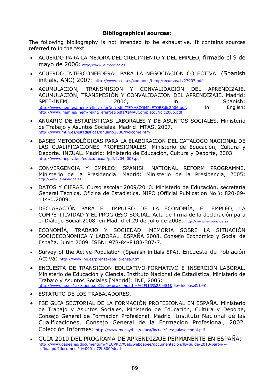#### **Bibliographical sources:**

The following bibliography is not intended to be exhaustive. It contains sources referred to in the text.

- ACUERDO PARA LA MEJORA DEL CRECIMIENTO Y DEL EMPLEO, firmado el 9 de mayo de 2006: [http://www.la-moncloa.es](http://www.la-moncloa.es/)
- ACUERDO INTERCONFEDERAL PARA LA NEGOCIACIÓN COLECTIVA. (Spanish initials, ANC) 2007: <http://www.ccoo.es/comunes/temp/recursos/1/27907.pdf>
- ACUMULACIÓN, TRANSMISIÓN Y CONVALIDACIÓN DEL APRENDIZAJE. ACUMULACIÓN, TRANSMISIÓN Y CONVALIDACIÓN DEL APRENDIZAJE. Madrid: SPEE-INEM, 2006, in Spanish: [http://www.inem.es/inem/relint/referNet/pdfs/TEMA8COMPLETOESdic2006.pdf,](http://www.inem.es/inem/relint/referNet/pdfs/TEMA8COMPLETOESdic2006.pdf) in English: http://www.inem.es/inem/relint/referNet/pdfs/teMA8CompletoENdic2006.pdf
- ANUARIO DE ESTADÍSTICAS LABORALES Y DE ASUNTOS SOCIALES. Ministerio de Trabajo y Asuntos Sociales. Madrid: MTAS, 2007. http://www.mtin.es/estadisticas/anuario2006/welcome.htm
- BASES METODOLÓGICAS PARA LA ELABORACIÓN DEL CATÁLOGO NACIONAL DE LAS CUALIFICACIONES PROFESIONALES. Ministerio de Educación, Cultura y Deporte. INCUAL. Madrid: Ministerio de Educación, Cultura y Deporte, 2003. http://www.mepsyd.es/educa/incual/pdf/1/04\_003.pdf
- CONVERGENCIA Y EMPLEO: SPANISH NATIONAL REFORM PROGRAMME. [Ministerio de la](http://www.la-moncloa.es/) Presidencia. Madrid: Ministerio de la Presidencia, 2005:<br>[http://www.la-moncloa.es](http://www.la-moncloa.es/)
- DATOS Y CIFRAS. Curso escolar 2009/2010. Ministerio de Educación, secretaría General Técnica, Oficina de Estadística. NIPO (Official Publication No.): 820-09- 114-0.2009.
- DECLARACIÓN PARA EL IMPULSO DE LA ECONOMÍA, EL EMPLEO, LA COMPETITIVIDAD Y EL PROGRESO SOCIAL. Acta de firma de la declaración para el Diálogo Social 2008, en Madrid el 29 de julio de 2008: [http://www.la-moncloa.es](http://www.la-moncloa.es/)
- ECONOMÍA, TRABAJO Y SOCIEDAD. MEMORIA SOBRE LA SITUACIÓN SOCIOECONÓMICA Y LABORAL. ESPAÑA 2008. Consejo Económico y Social de España. Junio 2009. ISBN: 978-84-8188-307-7.
- Survey of the Active Population (Spanish initials EPA). Encuesta de Población Activa: [http://www.ine.es/prensa/epa\\_prensa.htm](http://www.ine.es/prensa/epa_prensa.htm)
- ENCUESTA DE TRANSICIÓN EDUCATIVO-FORMATIVO E INSERCIÓN LABORAL. Ministerio de Educación y Ciencia, Instituto Nacional de Estadística, Ministerio de Trabajo y Asuntos Sociales.[Madrid]: INE, 2005: [http://www.ine.es/jaxi/menu.do?type=pcaxis&path=%2Ft13%2Fp451&fi](http://www.ine.es/jaxi/menu.do?type=pcaxis&path=%2Ft13%2Fp451&)le=inebase& L=0
- ESTATUTO DE LOS TRABAJADORES.
- FSE GUÍA SECTORIAL DE LA FORMACIÓN PROFESIONAL EN ESPAÑA. Ministerio de Trabajo y Asuntos Sociales, Ministerio de Educación, Cultura y Deporte, Consejo General de Formación Profesional. Madrid: Instituto Nacional de las Cualificaciones, Consejo General de la Formación Profesional, 2002. Colección Informes: http://www.mepsyd.es/educa/incual/files/guiasectorial.pdf
- GUIA 2010 DEL PROGRAMA DE APRENDIZAJE PERMANENTE EN ESPAÑA: [http://www.oapee.es/documentum/MECPRO/Web/weboapee/documentacion/llp-guide-2010-part-i--](http://www.oapee.es/documentum/MECPRO/Web/weboapee/documentacion/llp-guide-2010-part-i---esfinal.pdf?documentId=0901e72b8009dea1) [esfinal.pdf?documentId=0901e72b8009dea1](http://www.oapee.es/documentum/MECPRO/Web/weboapee/documentacion/llp-guide-2010-part-i---esfinal.pdf?documentId=0901e72b8009dea1)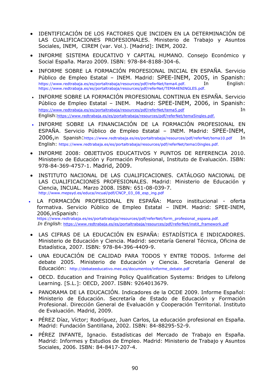- IDENTIFICACIÓN DE LOS FACTORES QUE INCIDEN EN LA DETERMINACIÓN DE LAS CUALIFICACIONES PROFESIONALES. Ministerio de Trabajo y Asuntos Sociales, INEM, CIREM (var. Vol.). [Madrid]: INEM, 2002.
- INFORME SISTEMA EDUCATIVO Y CAPITAL HUMANO. Consejo Económico y Social España. Marzo 2009. ISBN: 978-84-8188-304-6.
- INFORME SOBRE LA FORMACIÓN PROFESIONAL INICIAL EN ESPAÑA. Servicio Público de Empleo Estatal – INEM. Madrid: SPEE-INEM, 2005, in Spanish: https://www.redtrabaja.es/es/portaltrabaja/resources/pdf/referNet/tema4.pdf. In English: https://www.redtrabaja.es/es/portaltrabaja/resources/pdf/referNet/TEMA4ENINGLES.pdf.
- INFORME SOBRE LA FORMACIÓN PROFESIONAL CONTINUA EN ESPAÑA. Servicio Público de Empleo Estatal – INEM. Madrid: SPEE-INEM, 2006, in Spanish: https://www.redtrabaja.es/es/portaltrabaja/resources/pdf/referNet/tema5.pdf In English:https://www.redtrabaja.es/es/portaltrabaja/resources/pdf/referNet/tema5ingles.pdf.
- INFORME SOBRE LA FINANCIACIÓN DE LA FORMACIÓN PROFESIONAL EN ESPAÑA. Servicio Público de Empleo Estatal – INEM. Madrid: SPEE-INEM, 2006,in Spanish:https://www.redtrabaja.es/es/portaltrabaja/resources/pdf/referNet/tema10.pdf In English: https://www.redtrabaja.es/es/portaltrabaja/resources/pdf/referNet/tema10ingles.pdf.
- INFORME 2008: OBJETIVOS EDUCATIVOS Y PUNTOS DE REFERENCIA 2010. Ministerio de Educación y Formación Profesional, Instituto de Evaluación. ISBN: 978-84-369-4757-1. Madrid, 2009.
- INSTITUTO NACIONAL DE LAS CUALIFICACIONES. CATÁLOGO NACIONAL DE LAS CUALIFICACIONES PROFESIONALES. Madrid: Ministerio de Educación y Ciencia, INCUAL. Marzo 2008. ISBN: 651-08-039-7. http://www.mepsyd.es/educa/incual/pdf/CNCP\_03\_08\_esp\_ing.pdf
- LA FORMACIÓN PROFESIONAL EN ESPAÑA: Marco institucional oferta formativa. Servicio Público de Empleo Estatal – INEM. Madrid: SPEE-INEM, 2006,inSpanish: https://www.redtrabaja.es/es/portaltrabaja/resources/pdf/referNet/form\_profesional\_espana.pdf.

*In English*<sub>*:*</sub> [https://www.redtrabaja.es/es/portaltrabaja/resources/pdf/referNet/instit\\_framework.pdf](https://www.redtrabaja.es/es/portaltrabaja/resources/pdf/referNet/instit_framework.pdf)

- LAS CIFRAS DE LA EDUCACIÓN EN ESPAÑA: ESTADÍSTICA E INDICADORES. Ministerio de Educación y Ciencia. Madrid: secretaría General Técnica, Oficina de Estadística, 2007. ISBN: 978-84-396-4409-9.
- UNA EDUCACIÓN DE CALIDAD PARA TODOS Y ENTRE TODOS. Informe del debate 2005. Ministerio de Educación y Ciencia. Secretaría General de Educación: http://debateeducativo.mec.es/documentos/informe\_debate.pdf
- OECD. Education and Training Policy Qualification Systems: Bridges to Lifelong Learning. [S.L.]: OECD, 2007. ISBN: 9264013679.
- PANORAMA DE LA EDUCACIÓN. Indicadores de la OCDE 2009. Informe Español: Ministerio de Educación. Secretaría de Estado de Educación y Formación Profesional. Dirección General de Evaluación y Cooperación Territorial. Instituto de Evaluación. Madrid, 2009.
- PÉREZ Díaz, Víctor; Rodríguez, Juan Carlos, La educación profesional en España. Madrid: Fundación Santillana, 2002. ISBN: 84-88295-52-9.
- PÉREZ INFANTE, Ignacio. Estadísticas del Mercado de Trabajo en España. Madrid: Informes y Estudios de Empleo. Madrid: Ministerio de Trabajo y Asuntos Sociales, 2006. ISBN: 84-8417-207-4.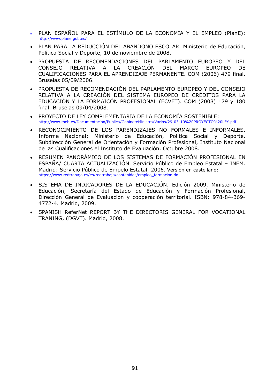- PLAN ESPAÑOL PARA EL ESTÍMULO DE LA ECONOMÍA Y EL EMPLEO (PlanE): http://www.plane.gob.es/
- PLAN PARA LA REDUCCIÓN DEL ABANDONO ESCOLAR. Ministerio de Educación, Política Social y Deporte, 10 de noviembre de 2008.
- PROPUESTA DE RECOMENDACIONES DEL PARLAMENTO EUROPEO Y DEL CONSEJO RELATIVA A LA CREACIÓN DEL MARCO EUROPEO DE CUALIFICACIONES PARA EL APRENDIZAJE PERMANENTE. COM (2006) 479 final. Bruselas 05/09/2006.
- PROPUESTA DE RECOMENDACIÓN DEL PARLAMENTO EUROPEO Y DEL CONSEJO RELATIVA A LA CREACIÓN DEL SISTEMA EUROPEO DE CRÉDITOS PARA LA EDUCACIÓN Y LA FORMAICÓN PROFESIONAL (ECVET). COM (2008) 179 y 180 final. Bruselas 09/04/2008.
- PROYECTO DE LEY COMPLEMENTARIA DE LA ECONOMÍA SOSTENIBLE: http://www.meh.es/Documentacion/Publico/GabineteMinistro/Varios/29-03-10%20PROYECTO%20LEY.pdf
- RECONOCIMIENTO DE LOS PARENDIZAJES NO FORMALES E INFORMALES. Informe Nacional: Ministerio de Educación, Política Social y Deporte. Subdirección General de Orientación y Formación Profesional, Instituto Nacional de las Cualificaciones el Instituto de Evaluación, Octubre 2008.
- RESUMEN PANORÁMICO DE LOS SISTEMAS DE FORMACIÓN PROFESIONAL EN ESPAÑA/ CUARTA ACTUALIZACIÓN. Servicio Público de Empleo Estatal – INEM. Madrid: Servicio Público de Empelo Estatal, 2006. Versión en castellano: [https://www.redtrabaja.es/es/redtrabaja/contenidos/empleo\\_formacion.do](https://www.redtrabaja.es/es/redtrabaja/contenidos/empleo_formacion.do)
- SISTEMA DE INDICADORES DE LA EDUCACIÓN. Edición 2009. Ministerio de Educación, Secretaría del Estado de Educación y Formación Profesional, Dirección General de Evaluación y cooperación territorial. ISBN: 978-84-369- 4772-4. Madrid, 2009.
- SPANISH ReferNet REPORT BY THE DIRECTORIS GENERAL FOR VOCATIONAL TRANING, (DGVT). Madrid, 2008.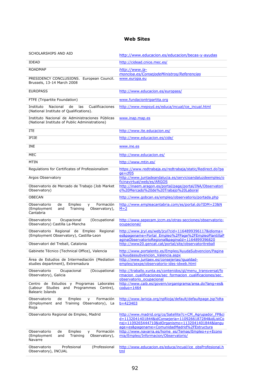### **Web Sites**

| SCHOLARSHIPS AND AID                                                                                           | http://www.educacion.es/educacion/becas-y-ayudas                                                                                                                                                                    |  |
|----------------------------------------------------------------------------------------------------------------|---------------------------------------------------------------------------------------------------------------------------------------------------------------------------------------------------------------------|--|
| <b>IDEAD</b>                                                                                                   | http://cidead.cnice.mec.es/                                                                                                                                                                                         |  |
| <b>ROADMAP</b><br>PRESIDENCY CONCLUSIONS. European Council.<br>Brussels, 13-14 March 2008                      | http://www.la-<br>moncloa.es/ConsejodeMinistros/Referencias<br>www.europa.eu                                                                                                                                        |  |
| <b>EUROPASS</b>                                                                                                | http://www.educacion.es/europass/                                                                                                                                                                                   |  |
| FTFE (Tripartite Foundation)                                                                                   | www.fundaciontripartita.org                                                                                                                                                                                         |  |
| Instituto<br>Nacional<br>de<br>las<br>Cualificaciones<br>(National Institute of Qualifications).               | http://www.mepsyd.es/educa/incual/ice_incual.html                                                                                                                                                                   |  |
| Instituto Nacional de Administraciones Públicas<br>(National Institute of Public Administrations)              | www.inap.map.es                                                                                                                                                                                                     |  |
| <b>ITE</b>                                                                                                     | http://www.ite.educacion.es/                                                                                                                                                                                        |  |
| <b>IFIIE</b>                                                                                                   | http://www.educacion.es/cide/                                                                                                                                                                                       |  |
| <b>INE</b>                                                                                                     | www.ine.es                                                                                                                                                                                                          |  |
| <b>MEC</b>                                                                                                     | http://www.educacion.es/                                                                                                                                                                                            |  |
| MTIN                                                                                                           | http://www.mtin.es/                                                                                                                                                                                                 |  |
| Regulations for Certificates of Professionalism                                                                | https://www.redtrabaja.es/redtrabaja/static/Redirect.do?pa<br>$qe = cf05$                                                                                                                                           |  |
| Argos Observatory                                                                                              | http://www.juntadeandalucia.es/servicioandaluzdeempleo/o                                                                                                                                                            |  |
| Observatorio de Mercado de Trabajo (Job Market<br>Observatory)                                                 | ficinavirtual/web/es/ARGOS<br>http://inaem.aragon.es/portal/page/portal/INA/Observatori<br>0%20Mercado%20de%20Trabajo%20Laboral                                                                                     |  |
| <b>OBECAN</b>                                                                                                  | http://www.gobcan.es/empleo/observatorio/portada.php                                                                                                                                                                |  |
| Observatorio<br>de<br>Empleo<br>Formación<br>y<br>(Employment<br>and<br>Training<br>Observatory),<br>Cantabria | http://www.empleacantabria.com/es/portal.do?IDM=23&N<br>$M=2$                                                                                                                                                       |  |
| (Occupational<br>Observatorio<br>Ocupacional<br>Observatory) Castilla La-Mancha                                | http://www.sepecam.jccm.es/otras-secciones/observatorio-<br>ocupacional/                                                                                                                                            |  |
| Observatorio Regional de Empleo Regional<br>(Employment Observatory), Castilla-Leon                            | http://www.jcyl.es/web/jcyl?cid=1164899396117&idioma=<br>es&pagename=Portal Empleo%2FPage%2FEmpleoPlantillaP<br>aginaObservatorioRegional&paginaId=1164899396820                                                    |  |
| Observatori del Treball, Catalonia                                                                             | http://www20.gencat.cat/portal/site/observatoritreball                                                                                                                                                              |  |
| Gabinete Técnico (Technical Office), Valencia                                                                  | http://www.portalento.es/Empleo/AyudaSubvencion/Pagina<br>s/Ayudassubvencion Valencia.aspx                                                                                                                          |  |
| Área de Estudios de Intermediación (Mediation<br>studies department), Extremadura                              | <u>http://www.juntaex.es/consejerias/iqualdad-</u><br>empleo/sexpe/observatorio-ides-idweb.html                                                                                                                     |  |
| Observatorio<br>Ocupacional<br>(Occupational<br>Observatory), Galicia                                          | http://traballo.xunta.es/contenidos/gl/menu_transversal/fo<br>rmacion cualificaciones/sec formacion cualificaciones/sec<br>observatorio ocupacional                                                                 |  |
| Centro de Estudios y Programas Laborales<br>(Labour Studies and Programmes Centre),<br><b>Balearic Islands</b> | http://www.caib.es/govern/organigrama/area.do?lang=es&<br>$coduo=1464$                                                                                                                                              |  |
| Observatorio<br>de<br>Empleo<br>Formación<br>У<br>(Employment and Training Observatory), La<br>Rioja           | http://www.larioja.org/npRioja/default/defaultpage.jsp?idta<br>$b = 423403$                                                                                                                                         |  |
| Observatorio Regional de Empleo, Madrid                                                                        | http://www.madrid.org/cs/Satellite?c=CM Agrupador FP&ci<br>d=1132041401844&idConsejeria=1109266187284&idListCo<br>nsj=1109265444710&idOrganismo=1132041401844&langu<br>age=es&pagename=ComunidadMadrid%2FEstructura |  |
| Formación<br>Observatorio<br>de<br>Empleo<br>y<br>(Employment<br>Training<br>Observatory),<br>and<br>Navarre   | http://www.navarra.es/home_es/Temas/Empleo+y+Econo<br>mia/Empleo/Informacion/Observatorio/                                                                                                                          |  |
| Profesional<br>(Professional<br>Observatorio<br>Observatory), INCUAL                                           | http://www.educacion.es/educa/incual/ice_obsProfesional.h<br><u>tml</u>                                                                                                                                             |  |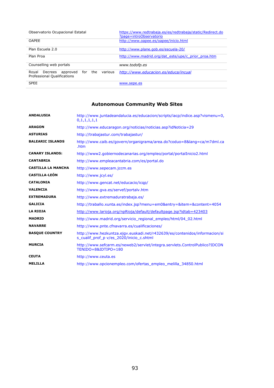| Observatorio Ocupacional Estatal                                                  | https://www.redtrabaja.es/es/redtrabaja/static/Redirect.do<br>?page=introObservatorio |
|-----------------------------------------------------------------------------------|---------------------------------------------------------------------------------------|
| <b>OAPFF</b>                                                                      | http://www.oapee.es/oapee/inicio.html                                                 |
| Plan Escuela 2.0                                                                  | http://www.plane.gob.es/escuela-20/                                                   |
| Plan Proa                                                                         | http://www.madrid.org/dat este/upe/c prior proa.htm                                   |
| Counselling web portals                                                           | www.todofp.es                                                                         |
| various<br>the<br>Decrees approved<br>for<br>Royal<br>Professional Qualifications | http://www.educacion.es/educa/incual                                                  |
| <b>SPEE</b>                                                                       | www.sepe.es                                                                           |

# **Autonomous Community Web Sites**

| <b>ANDALUSIA</b>          | http://www.juntadeandalucia.es/educacion/scripts/iacp/indice.asp?vismenu=0,<br>0,1,1,1,1,1                             |
|---------------------------|------------------------------------------------------------------------------------------------------------------------|
| <b>ARAGON</b>             | http://www.educaragon.org/noticias/noticias.asp?idNoticia=29                                                           |
| <b>ASTURIAS</b>           | http://trabajastur.com/trabajastur/                                                                                    |
| <b>BALEARIC ISLANDS</b>   | http://www.caib.es/govern/organigrama/area.do?coduo=8⟨=ca/m7dml.ca<br>.htm                                             |
| <b>CANARY ISLANDS:</b>    | http://www2.gobiernodecanarias.org/empleo/portal/portalInicio2.html                                                    |
| <b>CANTABRIA</b>          | http://www.empleacantabria.com/es/portal.do                                                                            |
| <b>CASTILLA LA MANCHA</b> | http://www.sepecam.jccm.es                                                                                             |
| <b>CASTILLA-LEÓN</b>      | http://www.jcyl.es/                                                                                                    |
| <b>CATALONIA</b>          | http://www.gencat.net/educacio/icqp/                                                                                   |
| <b>VALENCIA</b>           | http://www.gva.es/servef/portalv.htm                                                                                   |
| <b>EXTREMADURA</b>        | http://www.extremaduratrabaja.es/                                                                                      |
| <b>GALICIA</b>            | http://traballo.xunta.es/index.jsp?menu=em0&entry=&item=&content=4054                                                  |
| <b>LA RIOJA</b>           | http://www.larioja.org/npRioja/default/defaultpage.jsp?idtab=423403                                                    |
| <b>MADRID</b>             | http://www.madrid.org/servicio regional empleo/html/04 02.html                                                         |
| <b>NAVARRE</b>            | http://www.pnte.cfnavarra.es/cualificaciones/                                                                          |
| <b>BASQUE COUNTRY</b>     | http://www.hezkuntza.ejqv.euskadi.net/r432639/es/contenidos/informacion/si<br>s_cualif_prof_p v/es_2020/inicio_c.shtml |
| <b>MURCIA</b>             | http://www.sefcarm.es/neweb2/servlet/integra.servlets.ControlPublico?IDCON<br>TENIDO=8&IDTIPO=180                      |
| <b>CEUTA</b>              | http://www.ceuta.es                                                                                                    |
| <b>MELILLA</b>            | http://www.opcionempleo.com/ofertas empleo melilla 34850.html                                                          |